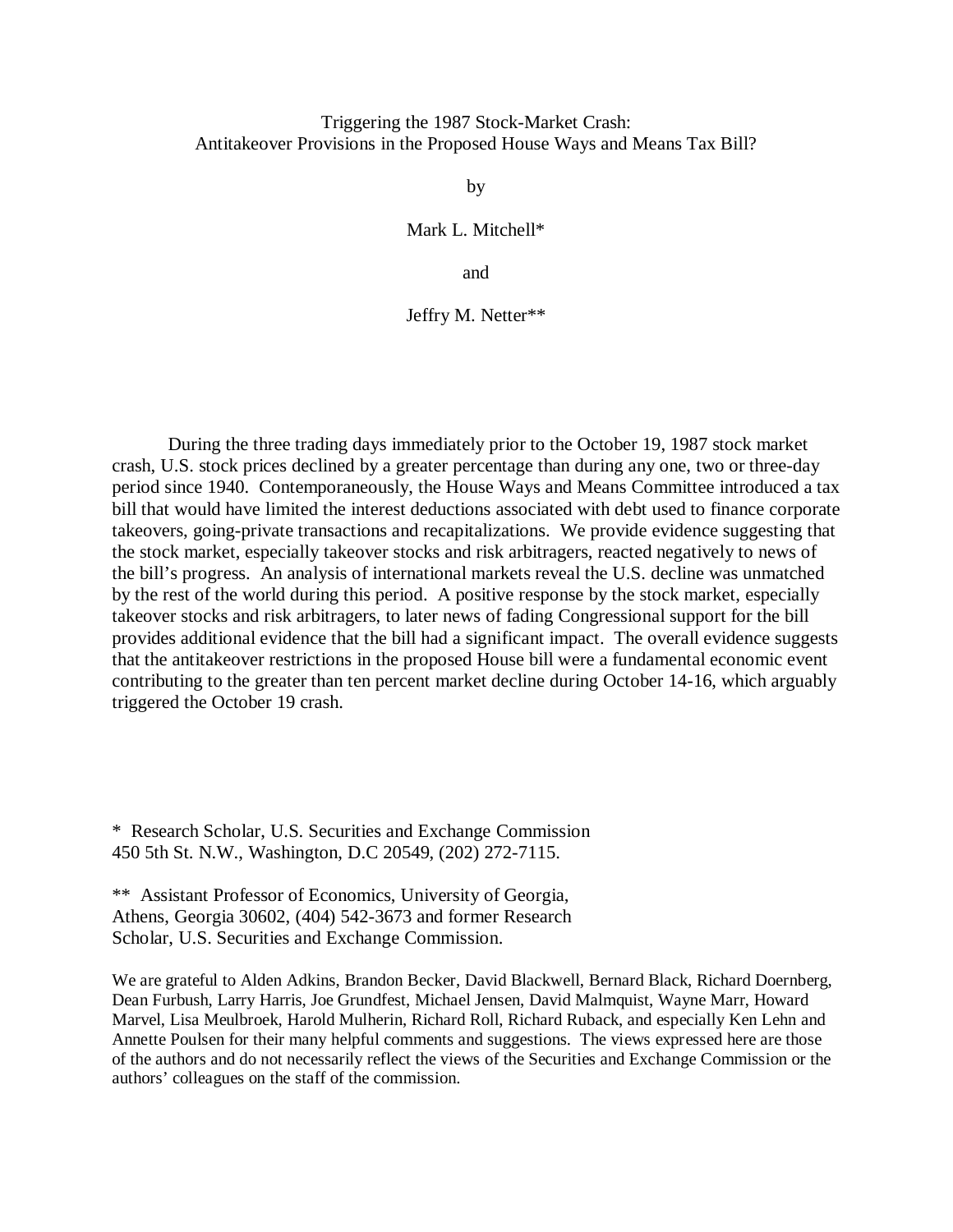## Triggering the 1987 Stock-Market Crash: Antitakeover Provisions in the Proposed House Ways and Means Tax Bill?

by

Mark L. Mitchell\*

and

Jeffry M. Netter\*\*

During the three trading days immediately prior to the October 19, 1987 stock market crash, U.S. stock prices declined by a greater percentage than during any one, two or three-day period since 1940. Contemporaneously, the House Ways and Means Committee introduced a tax bill that would have limited the interest deductions associated with debt used to finance corporate takeovers, going-private transactions and recapitalizations. We provide evidence suggesting that the stock market, especially takeover stocks and risk arbitragers, reacted negatively to news of the bill's progress. An analysis of international markets reveal the U.S. decline was unmatched by the rest of the world during this period. A positive response by the stock market, especially takeover stocks and risk arbitragers, to later news of fading Congressional support for the bill provides additional evidence that the bill had a significant impact. The overall evidence suggests that the antitakeover restrictions in the proposed House bill were a fundamental economic event contributing to the greater than ten percent market decline during October 14-16, which arguably triggered the October 19 crash.

\* Research Scholar, U.S. Securities and Exchange Commission 450 5th St. N.W., Washington, D.C 20549, (202) 272-7115.

\*\* Assistant Professor of Economics, University of Georgia, Athens, Georgia 30602, (404) 542-3673 and former Research Scholar, U.S. Securities and Exchange Commission.

We are grateful to Alden Adkins, Brandon Becker, David Blackwell, Bernard Black, Richard Doernberg, Dean Furbush, Larry Harris, Joe Grundfest, Michael Jensen, David Malmquist, Wayne Marr, Howard Marvel, Lisa Meulbroek, Harold Mulherin, Richard Roll, Richard Ruback, and especially Ken Lehn and Annette Poulsen for their many helpful comments and suggestions. The views expressed here are those of the authors and do not necessarily reflect the views of the Securities and Exchange Commission or the authors' colleagues on the staff of the commission.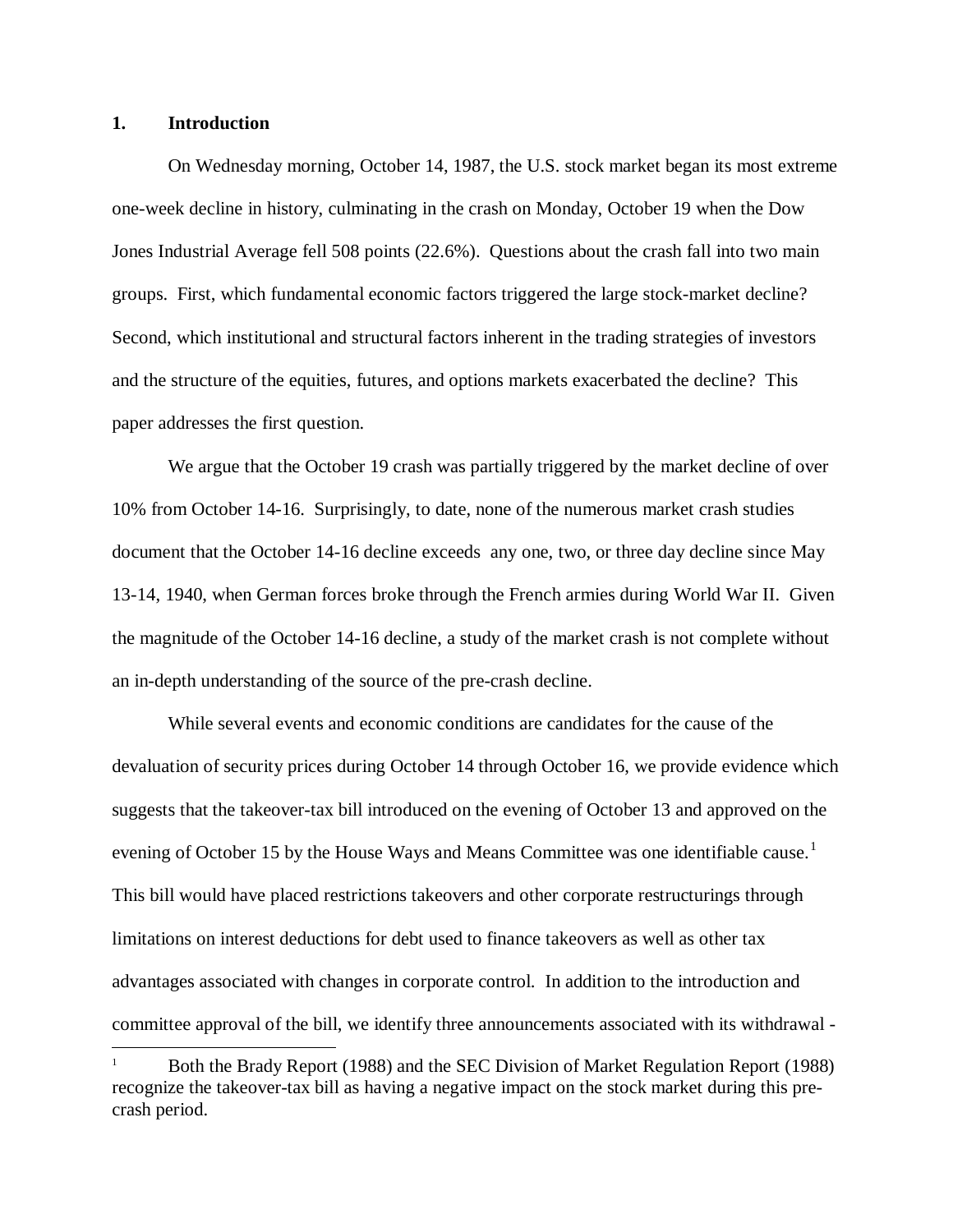### **1. Introduction**

On Wednesday morning, October 14, 1987, the U.S. stock market began its most extreme one-week decline in history, culminating in the crash on Monday, October 19 when the Dow Jones Industrial Average fell 508 points (22.6%). Questions about the crash fall into two main groups. First, which fundamental economic factors triggered the large stock-market decline? Second, which institutional and structural factors inherent in the trading strategies of investors and the structure of the equities, futures, and options markets exacerbated the decline? This paper addresses the first question.

We argue that the October 19 crash was partially triggered by the market decline of over 10% from October 14-16. Surprisingly, to date, none of the numerous market crash studies document that the October 14-16 decline exceeds any one, two, or three day decline since May 13-14, 1940, when German forces broke through the French armies during World War II. Given the magnitude of the October 14-16 decline, a study of the market crash is not complete without an in-depth understanding of the source of the pre-crash decline.

While several events and economic conditions are candidates for the cause of the devaluation of security prices during October 14 through October 16, we provide evidence which suggests that the takeover-tax bill introduced on the evening of October 13 and approved on the evening of October [1](#page-1-0)5 by the House Ways and Means Committee was one identifiable cause.<sup>1</sup> This bill would have placed restrictions takeovers and other corporate restructurings through limitations on interest deductions for debt used to finance takeovers as well as other tax advantages associated with changes in corporate control. In addition to the introduction and committee approval of the bill, we identify three announcements associated with its withdrawal -

<span id="page-1-0"></span> <sup>1</sup> Both the Brady Report (1988) and the SEC Division of Market Regulation Report (1988) recognize the takeover-tax bill as having a negative impact on the stock market during this precrash period.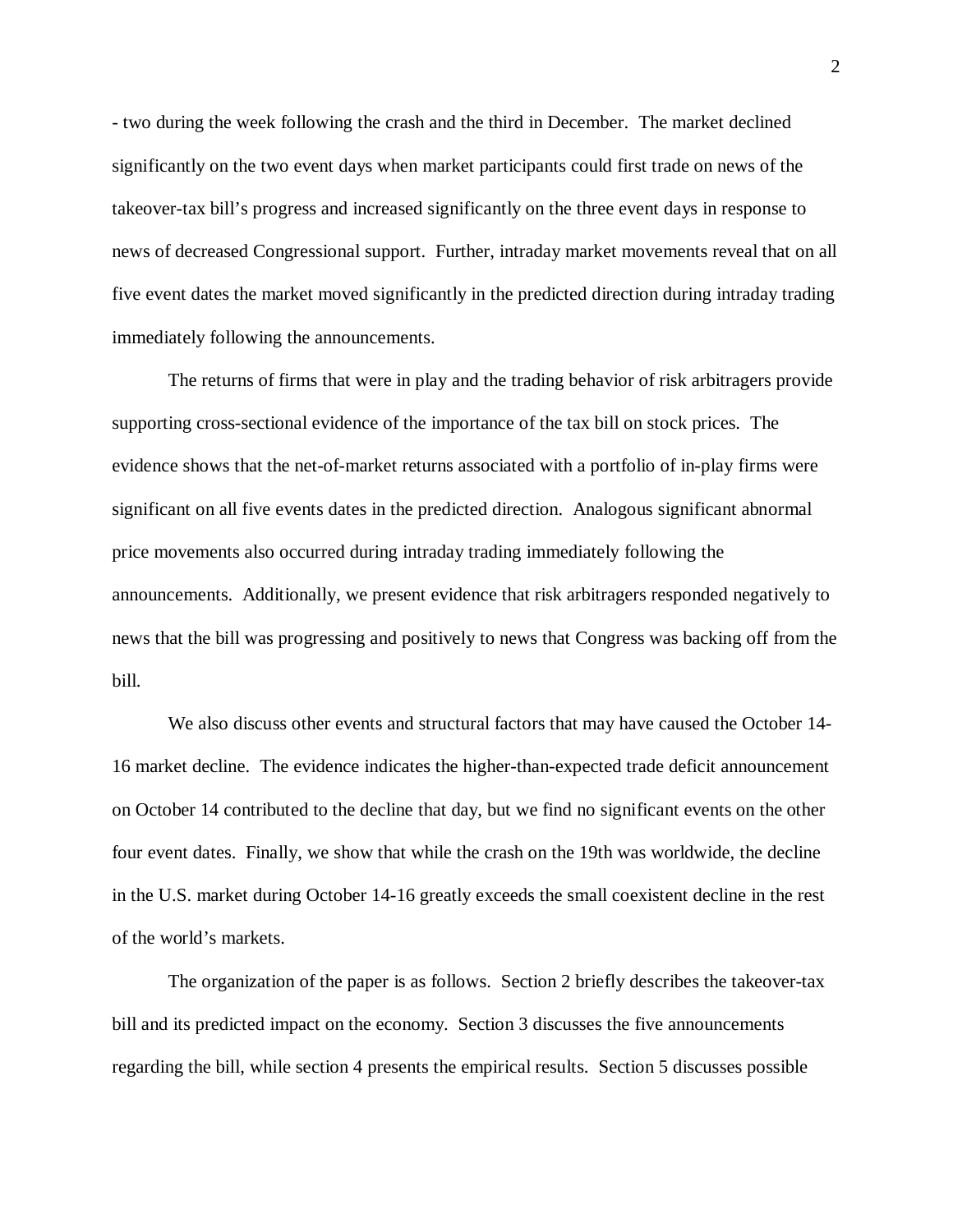- two during the week following the crash and the third in December. The market declined significantly on the two event days when market participants could first trade on news of the takeover-tax bill's progress and increased significantly on the three event days in response to news of decreased Congressional support. Further, intraday market movements reveal that on all five event dates the market moved significantly in the predicted direction during intraday trading immediately following the announcements.

The returns of firms that were in play and the trading behavior of risk arbitragers provide supporting cross-sectional evidence of the importance of the tax bill on stock prices. The evidence shows that the net-of-market returns associated with a portfolio of in-play firms were significant on all five events dates in the predicted direction. Analogous significant abnormal price movements also occurred during intraday trading immediately following the announcements. Additionally, we present evidence that risk arbitragers responded negatively to news that the bill was progressing and positively to news that Congress was backing off from the bill.

We also discuss other events and structural factors that may have caused the October 14- 16 market decline. The evidence indicates the higher-than-expected trade deficit announcement on October 14 contributed to the decline that day, but we find no significant events on the other four event dates. Finally, we show that while the crash on the 19th was worldwide, the decline in the U.S. market during October 14-16 greatly exceeds the small coexistent decline in the rest of the world's markets.

The organization of the paper is as follows. Section 2 briefly describes the takeover-tax bill and its predicted impact on the economy. Section 3 discusses the five announcements regarding the bill, while section 4 presents the empirical results. Section 5 discusses possible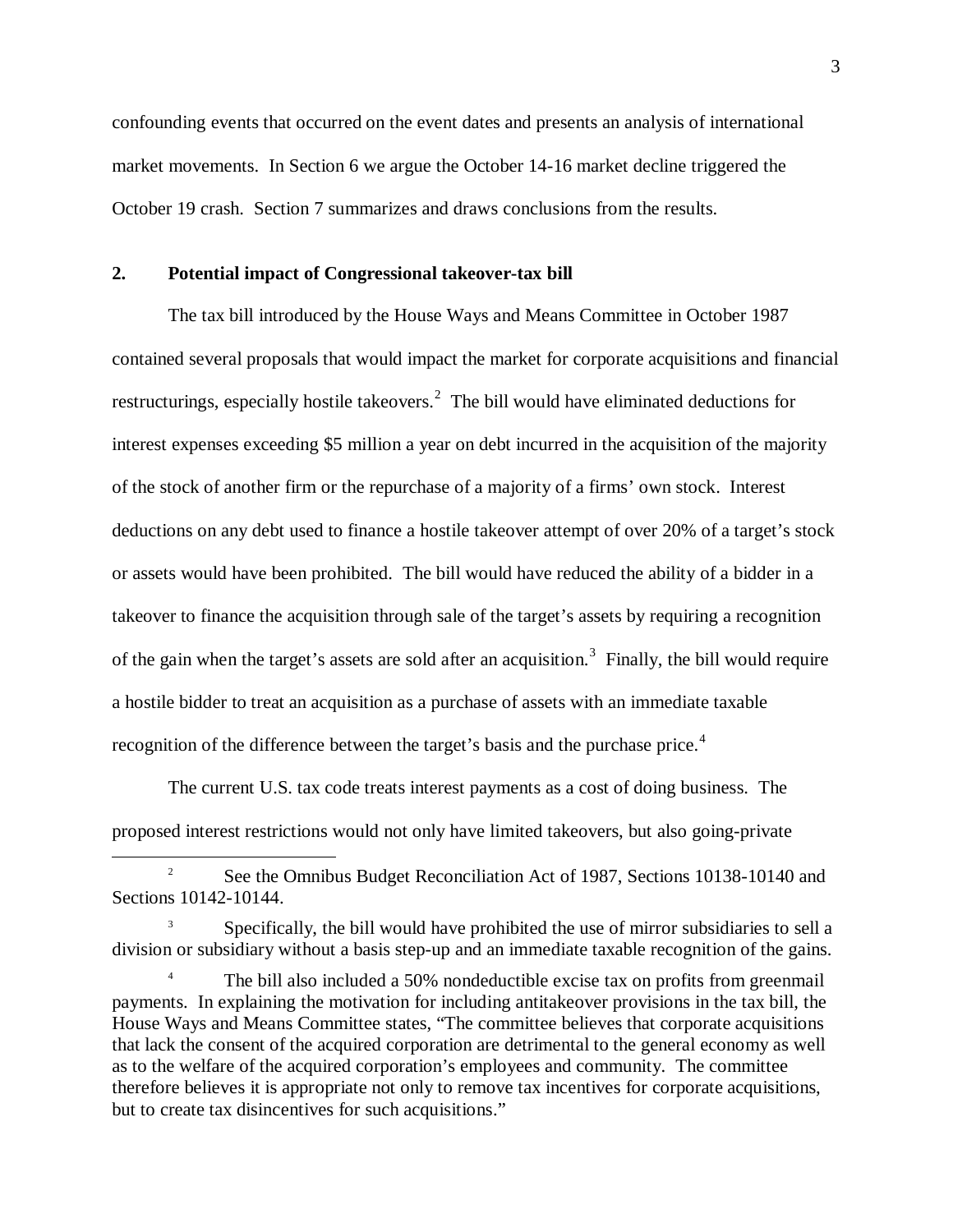confounding events that occurred on the event dates and presents an analysis of international market movements. In Section 6 we argue the October 14-16 market decline triggered the October 19 crash. Section 7 summarizes and draws conclusions from the results.

### **2. Potential impact of Congressional takeover-tax bill**

The tax bill introduced by the House Ways and Means Committee in October 1987 contained several proposals that would impact the market for corporate acquisitions and financial restructurings, especially hostile takeovers.<sup>[2](#page-3-0)</sup> The bill would have eliminated deductions for interest expenses exceeding \$5 million a year on debt incurred in the acquisition of the majority of the stock of another firm or the repurchase of a majority of a firms' own stock. Interest deductions on any debt used to finance a hostile takeover attempt of over 20% of a target's stock or assets would have been prohibited. The bill would have reduced the ability of a bidder in a takeover to finance the acquisition through sale of the target's assets by requiring a recognition of the gain when the target's assets are sold after an acquisition.<sup>[3](#page-3-1)</sup> Finally, the bill would require a hostile bidder to treat an acquisition as a purchase of assets with an immediate taxable recognition of the difference between the target's basis and the purchase price.<sup>[4](#page-3-2)</sup>

The current U.S. tax code treats interest payments as a cost of doing business. The proposed interest restrictions would not only have limited takeovers, but also going-private

<span id="page-3-0"></span><sup>2</sup> See the Omnibus Budget Reconciliation Act of 1987, Sections 10138-10140 and Sections 10142-10144.

<span id="page-3-1"></span><sup>3</sup> Specifically, the bill would have prohibited the use of mirror subsidiaries to sell a division or subsidiary without a basis step-up and an immediate taxable recognition of the gains.

<span id="page-3-2"></span>The bill also included a 50% nondeductible excise tax on profits from greenmail payments. In explaining the motivation for including antitakeover provisions in the tax bill, the House Ways and Means Committee states, "The committee believes that corporate acquisitions that lack the consent of the acquired corporation are detrimental to the general economy as well as to the welfare of the acquired corporation's employees and community. The committee therefore believes it is appropriate not only to remove tax incentives for corporate acquisitions, but to create tax disincentives for such acquisitions."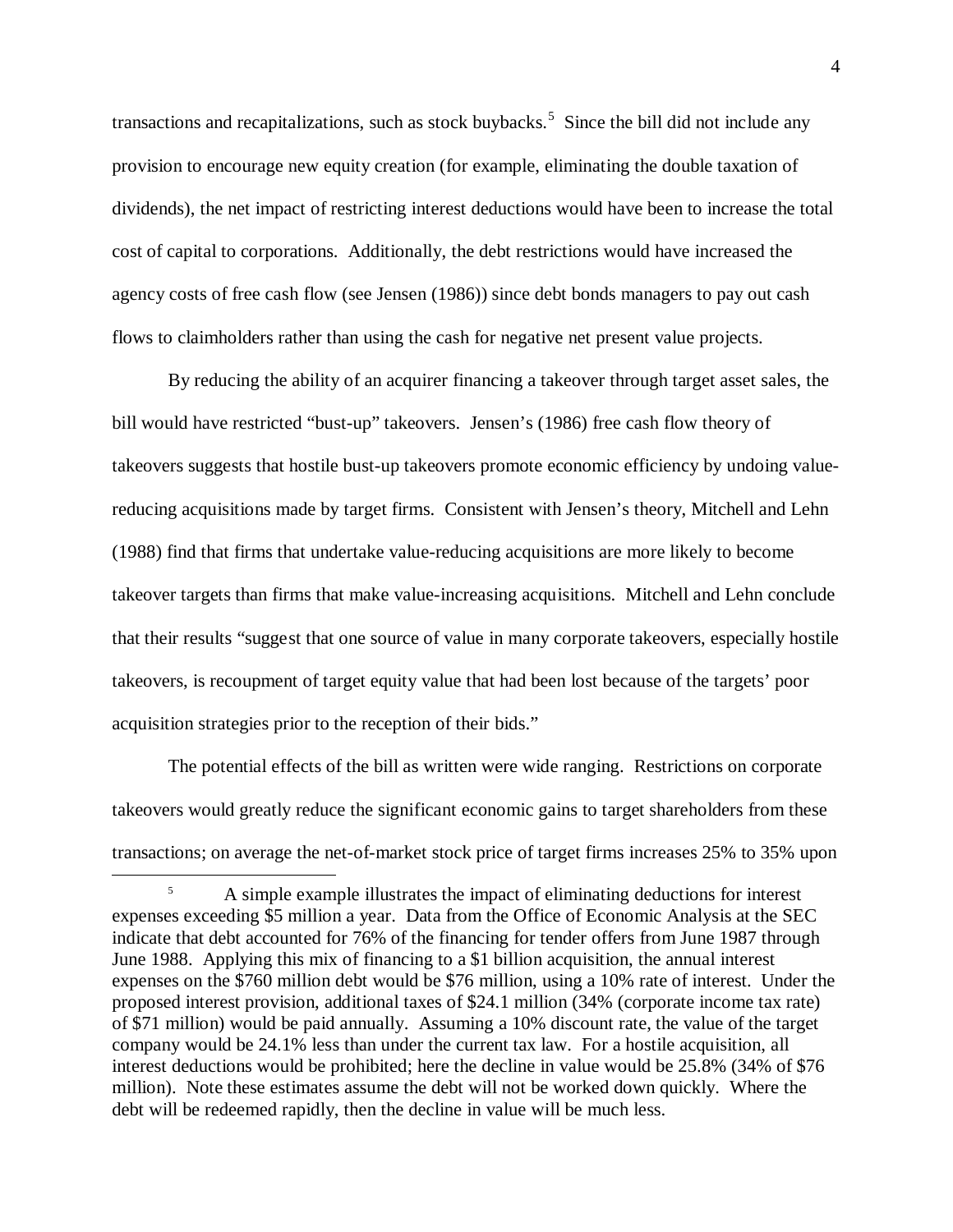transactions and recapitalizations, such as stock buybacks.<sup>[5](#page-4-0)</sup> Since the bill did not include any provision to encourage new equity creation (for example, eliminating the double taxation of dividends), the net impact of restricting interest deductions would have been to increase the total cost of capital to corporations. Additionally, the debt restrictions would have increased the agency costs of free cash flow (see Jensen (1986)) since debt bonds managers to pay out cash flows to claimholders rather than using the cash for negative net present value projects.

By reducing the ability of an acquirer financing a takeover through target asset sales, the bill would have restricted "bust-up" takeovers. Jensen's (1986) free cash flow theory of takeovers suggests that hostile bust-up takeovers promote economic efficiency by undoing valuereducing acquisitions made by target firms. Consistent with Jensen's theory, Mitchell and Lehn (1988) find that firms that undertake value-reducing acquisitions are more likely to become takeover targets than firms that make value-increasing acquisitions. Mitchell and Lehn conclude that their results "suggest that one source of value in many corporate takeovers, especially hostile takeovers, is recoupment of target equity value that had been lost because of the targets' poor acquisition strategies prior to the reception of their bids."

The potential effects of the bill as written were wide ranging. Restrictions on corporate takeovers would greatly reduce the significant economic gains to target shareholders from these transactions; on average the net-of-market stock price of target firms increases 25% to 35% upon

<span id="page-4-0"></span><sup>&</sup>lt;sup>5</sup> A simple example illustrates the impact of eliminating deductions for interest expenses exceeding \$5 million a year. Data from the Office of Economic Analysis at the SEC indicate that debt accounted for 76% of the financing for tender offers from June 1987 through June 1988. Applying this mix of financing to a \$1 billion acquisition, the annual interest expenses on the \$760 million debt would be \$76 million, using a 10% rate of interest. Under the proposed interest provision, additional taxes of \$24.1 million (34% (corporate income tax rate) of \$71 million) would be paid annually. Assuming a 10% discount rate, the value of the target company would be 24.1% less than under the current tax law. For a hostile acquisition, all interest deductions would be prohibited; here the decline in value would be 25.8% (34% of \$76 million). Note these estimates assume the debt will not be worked down quickly. Where the debt will be redeemed rapidly, then the decline in value will be much less.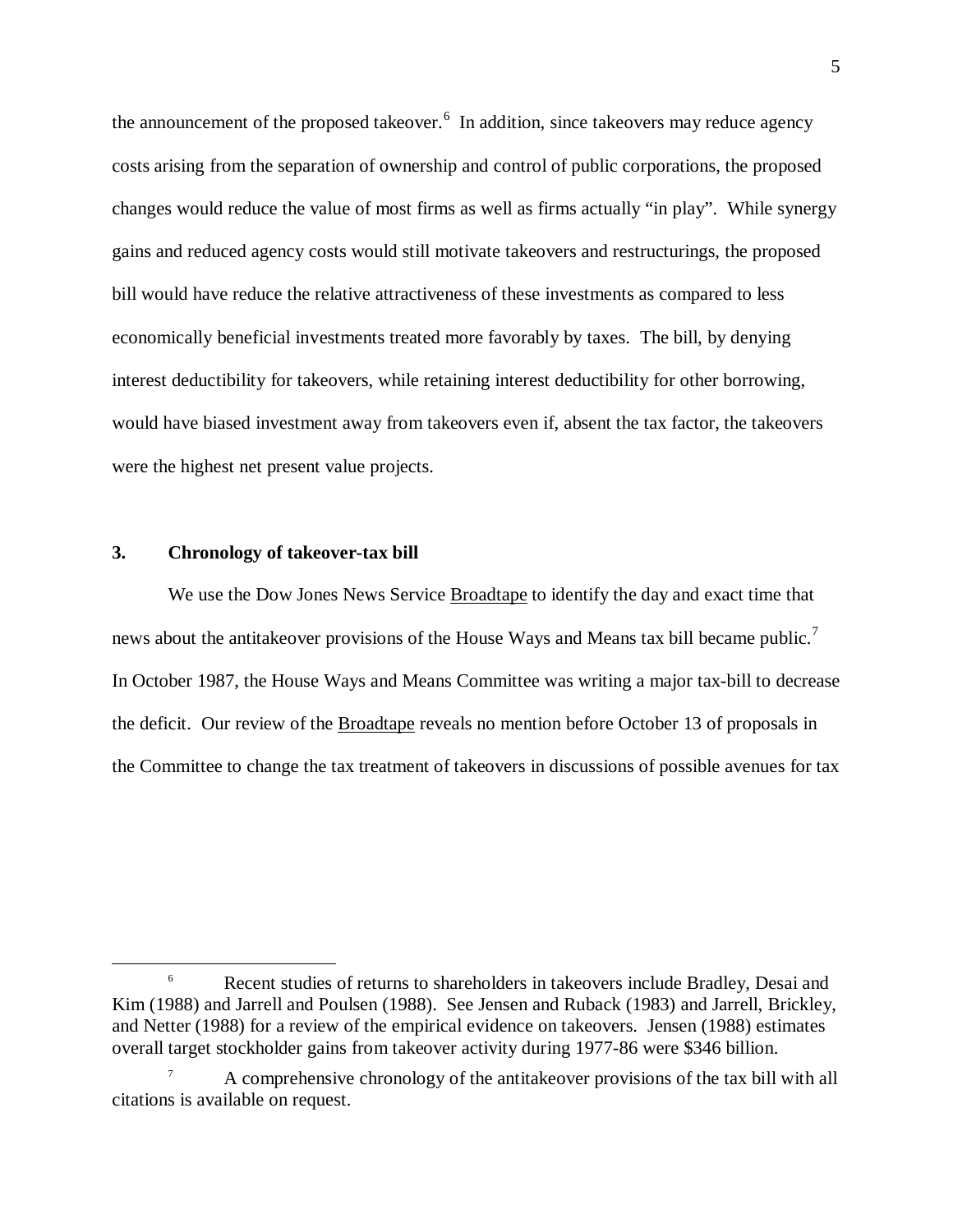the announcement of the proposed takeover.<sup>[6](#page-5-0)</sup> In addition, since takeovers may reduce agency costs arising from the separation of ownership and control of public corporations, the proposed changes would reduce the value of most firms as well as firms actually "in play". While synergy gains and reduced agency costs would still motivate takeovers and restructurings, the proposed bill would have reduce the relative attractiveness of these investments as compared to less economically beneficial investments treated more favorably by taxes. The bill, by denying interest deductibility for takeovers, while retaining interest deductibility for other borrowing, would have biased investment away from takeovers even if, absent the tax factor, the takeovers were the highest net present value projects.

#### **3. Chronology of takeover-tax bill**

We use the Dow Jones News Service Broadtape to identify the day and exact time that news about the antitakeover provisions of the House Ways and Means tax bill became public.<sup>[7](#page-5-1)</sup> In October 1987, the House Ways and Means Committee was writing a major tax-bill to decrease the deficit. Our review of the Broadtape reveals no mention before October 13 of proposals in the Committee to change the tax treatment of takeovers in discussions of possible avenues for tax

<span id="page-5-0"></span><sup>&</sup>lt;sup>6</sup> Recent studies of returns to shareholders in takeovers include Bradley, Desai and Kim (1988) and Jarrell and Poulsen (1988). See Jensen and Ruback (1983) and Jarrell, Brickley, and Netter (1988) for a review of the empirical evidence on takeovers. Jensen (1988) estimates overall target stockholder gains from takeover activity during 1977-86 were \$346 billion.

<span id="page-5-1"></span><sup>7</sup> A comprehensive chronology of the antitakeover provisions of the tax bill with all citations is available on request.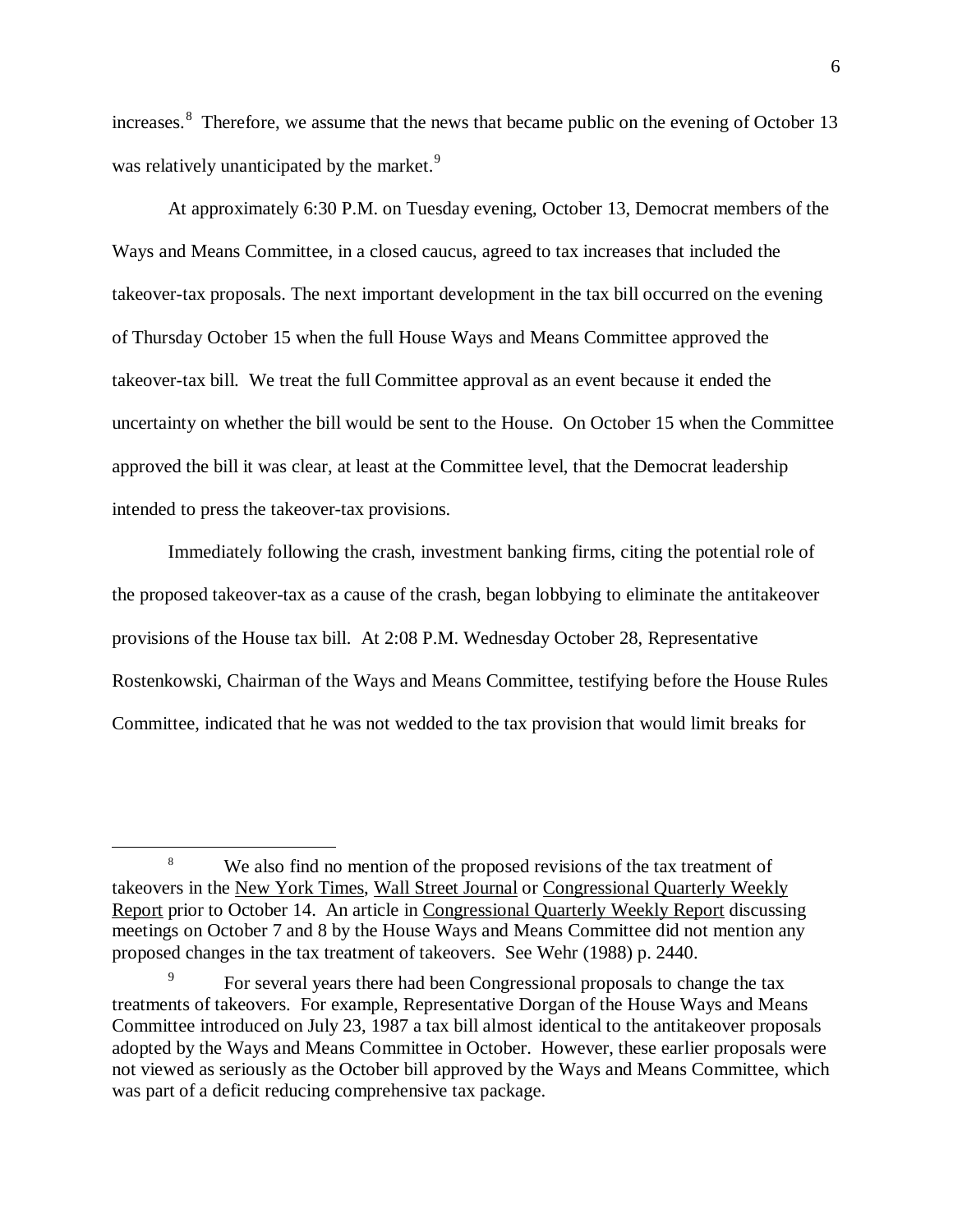increases.<sup>[8](#page-6-0)</sup> Therefore, we assume that the news that became public on the evening of October 13 was relatively unanticipated by the market.<sup>[9](#page-6-1)</sup>

At approximately 6:30 P.M. on Tuesday evening, October 13, Democrat members of the Ways and Means Committee, in a closed caucus, agreed to tax increases that included the takeover-tax proposals. The next important development in the tax bill occurred on the evening of Thursday October 15 when the full House Ways and Means Committee approved the takeover-tax bill. We treat the full Committee approval as an event because it ended the uncertainty on whether the bill would be sent to the House. On October 15 when the Committee approved the bill it was clear, at least at the Committee level, that the Democrat leadership intended to press the takeover-tax provisions.

Immediately following the crash, investment banking firms, citing the potential role of the proposed takeover-tax as a cause of the crash, began lobbying to eliminate the antitakeover provisions of the House tax bill. At 2:08 P.M. Wednesday October 28, Representative Rostenkowski, Chairman of the Ways and Means Committee, testifying before the House Rules Committee, indicated that he was not wedded to the tax provision that would limit breaks for

<span id="page-6-0"></span><sup>&</sup>lt;sup>8</sup> We also find no mention of the proposed revisions of the tax treatment of takeovers in the New York Times, Wall Street Journal or Congressional Quarterly Weekly Report prior to October 14. An article in Congressional Quarterly Weekly Report discussing meetings on October 7 and 8 by the House Ways and Means Committee did not mention any proposed changes in the tax treatment of takeovers. See Wehr (1988) p. 2440.

<span id="page-6-1"></span><sup>9</sup> For several years there had been Congressional proposals to change the tax treatments of takeovers. For example, Representative Dorgan of the House Ways and Means Committee introduced on July 23, 1987 a tax bill almost identical to the antitakeover proposals adopted by the Ways and Means Committee in October. However, these earlier proposals were not viewed as seriously as the October bill approved by the Ways and Means Committee, which was part of a deficit reducing comprehensive tax package.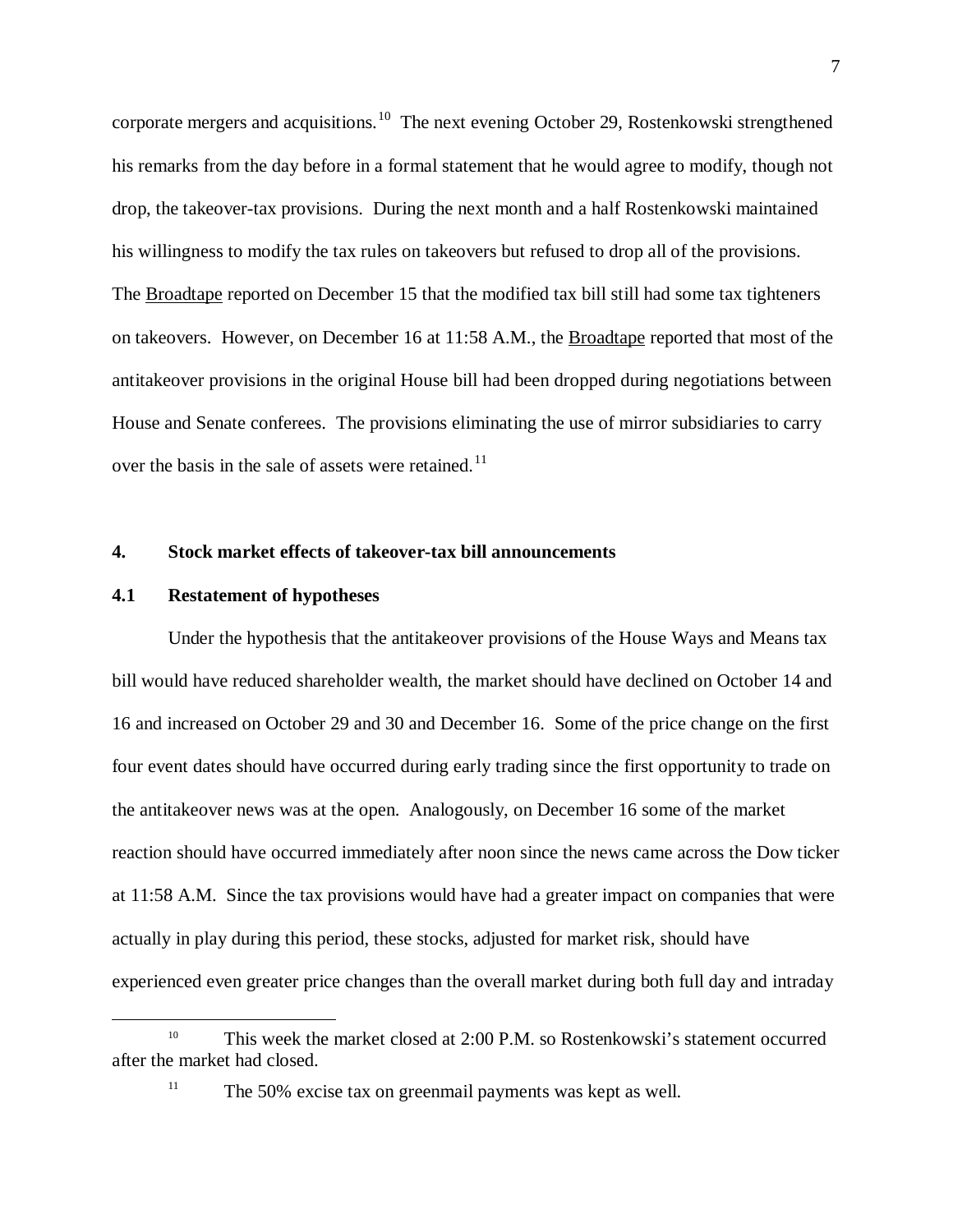corporate mergers and acquisitions.<sup>[10](#page-7-0)</sup> The next evening October 29, Rostenkowski strengthened his remarks from the day before in a formal statement that he would agree to modify, though not drop, the takeover-tax provisions. During the next month and a half Rostenkowski maintained his willingness to modify the tax rules on takeovers but refused to drop all of the provisions. The Broadtape reported on December 15 that the modified tax bill still had some tax tighteners on takeovers. However, on December 16 at 11:58 A.M., the Broadtape reported that most of the antitakeover provisions in the original House bill had been dropped during negotiations between House and Senate conferees. The provisions eliminating the use of mirror subsidiaries to carry over the basis in the sale of assets were retained.<sup>[11](#page-7-1)</sup>

### **4. Stock market effects of takeover-tax bill announcements**

### **4.1 Restatement of hypotheses**

Under the hypothesis that the antitakeover provisions of the House Ways and Means tax bill would have reduced shareholder wealth, the market should have declined on October 14 and 16 and increased on October 29 and 30 and December 16. Some of the price change on the first four event dates should have occurred during early trading since the first opportunity to trade on the antitakeover news was at the open. Analogously, on December 16 some of the market reaction should have occurred immediately after noon since the news came across the Dow ticker at 11:58 A.M. Since the tax provisions would have had a greater impact on companies that were actually in play during this period, these stocks, adjusted for market risk, should have experienced even greater price changes than the overall market during both full day and intraday

<span id="page-7-1"></span><span id="page-7-0"></span><sup>&</sup>lt;sup>10</sup> This week the market closed at 2:00 P.M. so Rostenkowski's statement occurred after the market had closed.

<sup>&</sup>lt;sup>11</sup> The 50% excise tax on greenmail payments was kept as well.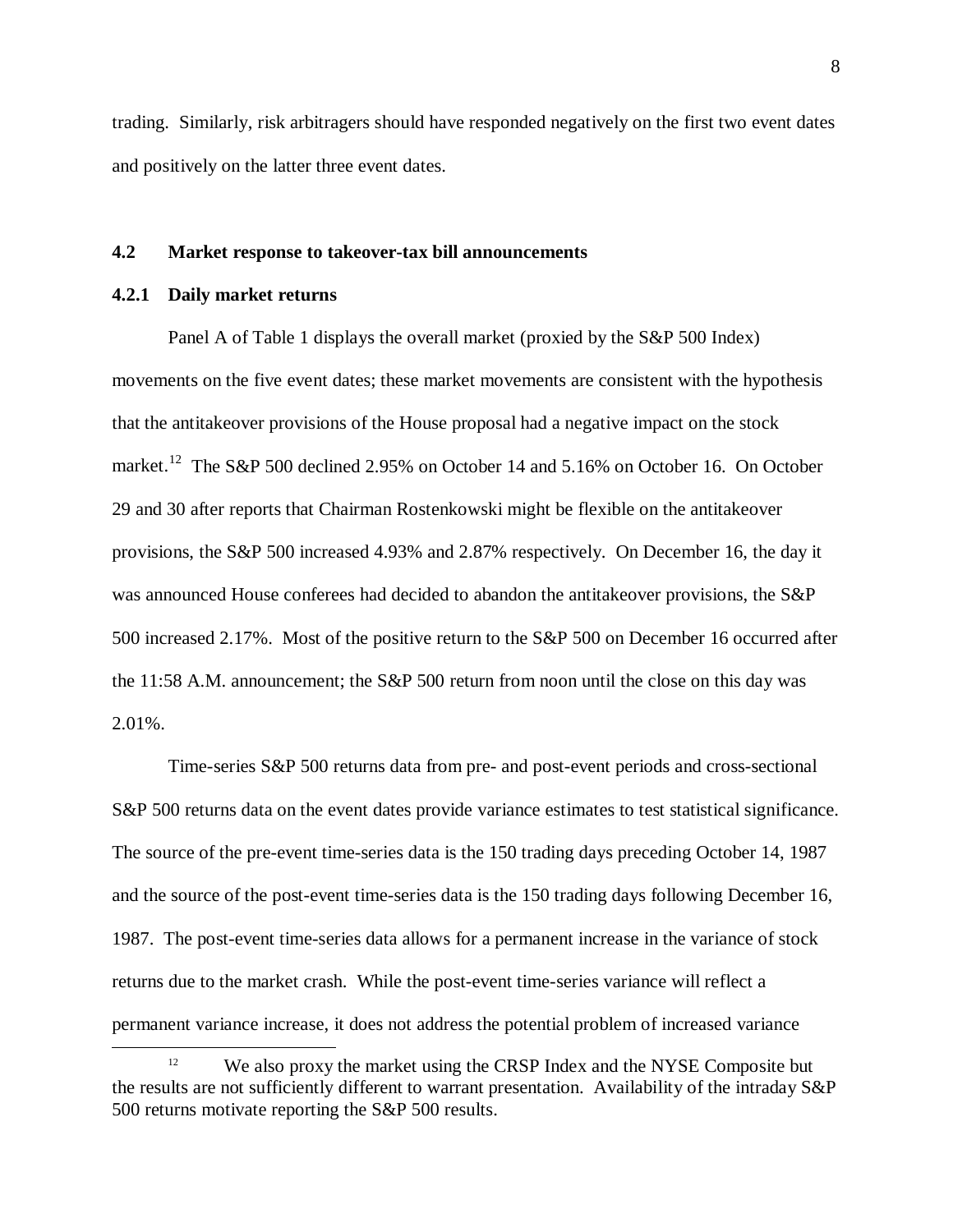trading. Similarly, risk arbitragers should have responded negatively on the first two event dates and positively on the latter three event dates.

### **4.2 Market response to takeover-tax bill announcements**

### **4.2.1 Daily market returns**

Panel A of Table 1 displays the overall market (proxied by the S&P 500 Index) movements on the five event dates; these market movements are consistent with the hypothesis that the antitakeover provisions of the House proposal had a negative impact on the stock market.<sup>[12](#page-8-0)</sup> The S&P 500 declined 2.95% on October 14 and 5.16% on October 16. On October 29 and 30 after reports that Chairman Rostenkowski might be flexible on the antitakeover provisions, the S&P 500 increased 4.93% and 2.87% respectively. On December 16, the day it was announced House conferees had decided to abandon the antitakeover provisions, the S&P 500 increased 2.17%. Most of the positive return to the S&P 500 on December 16 occurred after the 11:58 A.M. announcement; the S&P 500 return from noon until the close on this day was 2.01%.

Time-series S&P 500 returns data from pre- and post-event periods and cross-sectional S&P 500 returns data on the event dates provide variance estimates to test statistical significance. The source of the pre-event time-series data is the 150 trading days preceding October 14, 1987 and the source of the post-event time-series data is the 150 trading days following December 16, 1987. The post-event time-series data allows for a permanent increase in the variance of stock returns due to the market crash. While the post-event time-series variance will reflect a permanent variance increase, it does not address the potential problem of increased variance

<span id="page-8-0"></span><sup>&</sup>lt;sup>12</sup> We also proxy the market using the CRSP Index and the NYSE Composite but the results are not sufficiently different to warrant presentation. Availability of the intraday S&P 500 returns motivate reporting the S&P 500 results.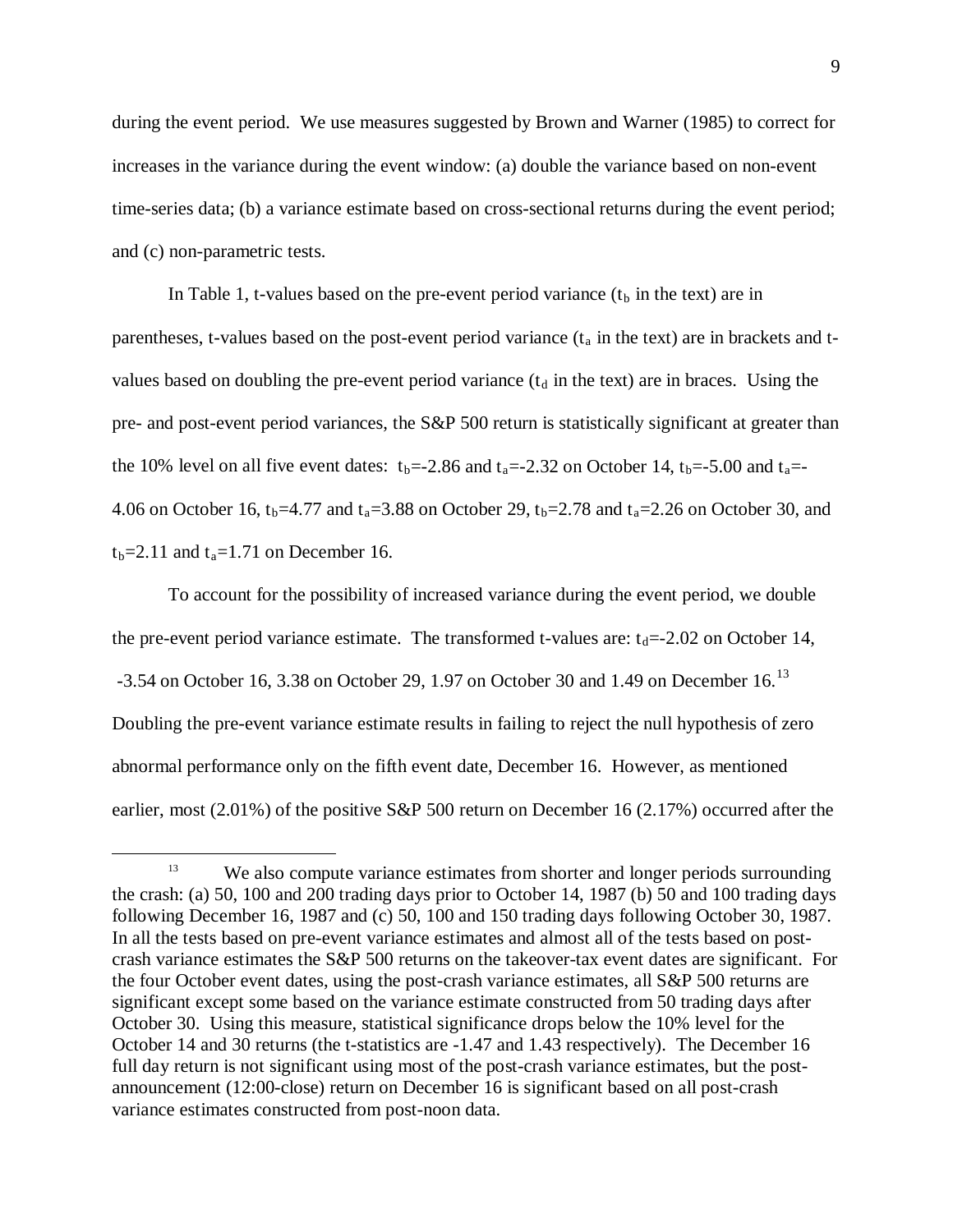during the event period. We use measures suggested by Brown and Warner (1985) to correct for increases in the variance during the event window: (a) double the variance based on non-event time-series data; (b) a variance estimate based on cross-sectional returns during the event period; and (c) non-parametric tests.

In Table 1, t-values based on the pre-event period variance  $(t<sub>b</sub>$  in the text) are in parentheses, t-values based on the post-event period variance  $(t_a$  in the text) are in brackets and tvalues based on doubling the pre-event period variance  $(t<sub>d</sub>$  in the text) are in braces. Using the pre- and post-event period variances, the S&P 500 return is statistically significant at greater than the 10% level on all five event dates:  $t_b = -2.86$  and  $t_a = -2.32$  on October 14,  $t_b = -5.00$  and  $t_a = -1.5$ 4.06 on October 16, t<sub>b</sub>=4.77 and t<sub>a</sub>=3.88 on October 29, t<sub>b</sub>=2.78 and t<sub>a</sub>=2.26 on October 30, and  $t_b = 2.11$  and  $t_a = 1.71$  on December 16.

To account for the possibility of increased variance during the event period, we double the pre-event period variance estimate. The transformed t-values are:  $t_d$  = -2.02 on October 14,  $-3.54$  on October 16, 3.38 on October 29, 1.97 on October 30 and 1.49 on December 16.<sup>[13](#page-9-0)</sup> Doubling the pre-event variance estimate results in failing to reject the null hypothesis of zero abnormal performance only on the fifth event date, December 16. However, as mentioned earlier, most (2.01%) of the positive S&P 500 return on December 16 (2.17%) occurred after the

<span id="page-9-0"></span><sup>&</sup>lt;sup>13</sup> We also compute variance estimates from shorter and longer periods surrounding the crash: (a) 50, 100 and 200 trading days prior to October 14, 1987 (b) 50 and 100 trading days following December 16, 1987 and (c) 50, 100 and 150 trading days following October 30, 1987. In all the tests based on pre-event variance estimates and almost all of the tests based on postcrash variance estimates the S&P 500 returns on the takeover-tax event dates are significant. For the four October event dates, using the post-crash variance estimates, all S&P 500 returns are significant except some based on the variance estimate constructed from 50 trading days after October 30. Using this measure, statistical significance drops below the 10% level for the October 14 and 30 returns (the t-statistics are -1.47 and 1.43 respectively). The December 16 full day return is not significant using most of the post-crash variance estimates, but the postannouncement (12:00-close) return on December 16 is significant based on all post-crash variance estimates constructed from post-noon data.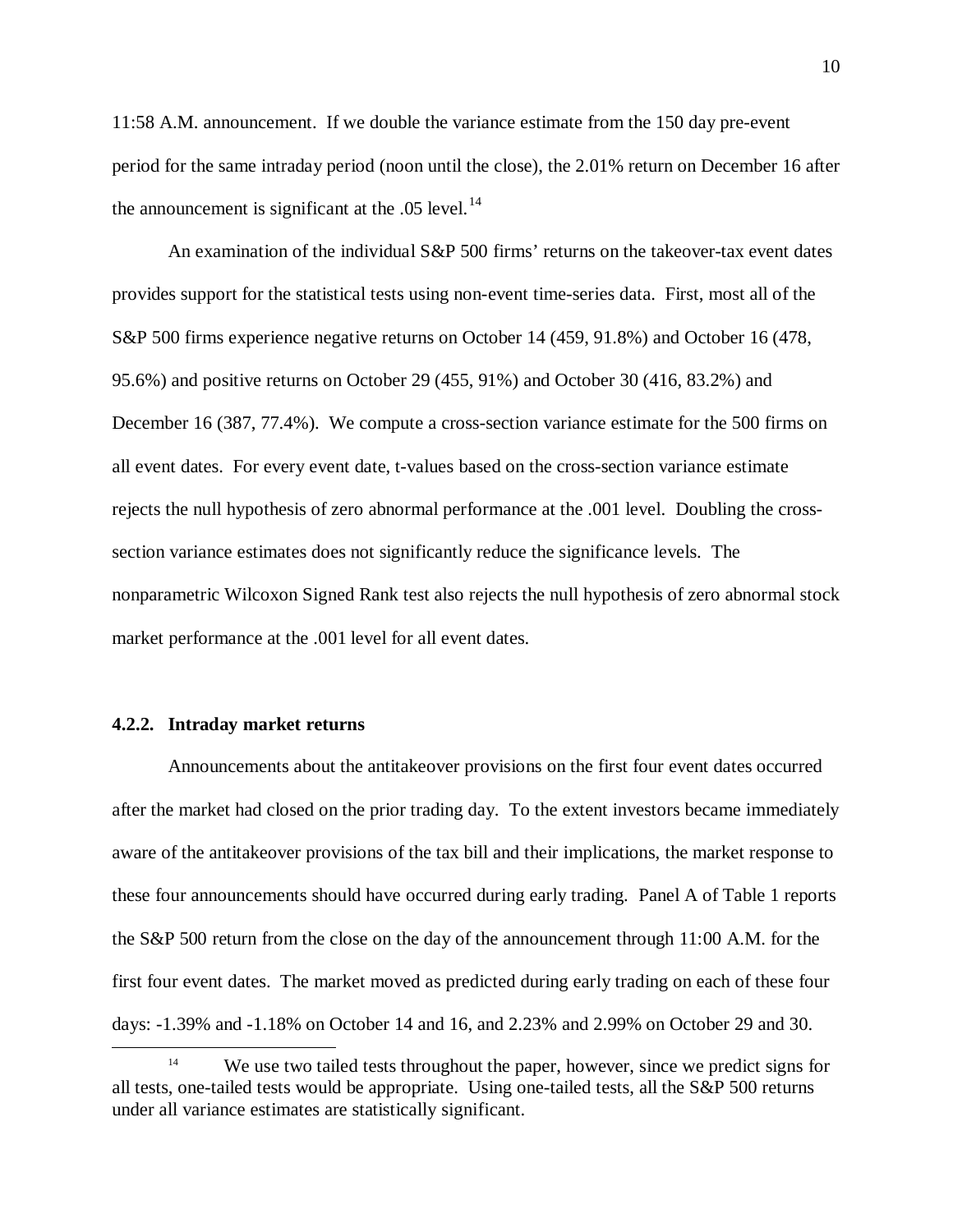11:58 A.M. announcement. If we double the variance estimate from the 150 day pre-event period for the same intraday period (noon until the close), the 2.01% return on December 16 after the announcement is significant at the .05 level. $^{14}$  $^{14}$  $^{14}$ 

An examination of the individual S&P 500 firms' returns on the takeover-tax event dates provides support for the statistical tests using non-event time-series data. First, most all of the S&P 500 firms experience negative returns on October 14 (459, 91.8%) and October 16 (478, 95.6%) and positive returns on October 29 (455, 91%) and October 30 (416, 83.2%) and December 16 (387, 77.4%). We compute a cross-section variance estimate for the 500 firms on all event dates. For every event date, t-values based on the cross-section variance estimate rejects the null hypothesis of zero abnormal performance at the .001 level. Doubling the crosssection variance estimates does not significantly reduce the significance levels. The nonparametric Wilcoxon Signed Rank test also rejects the null hypothesis of zero abnormal stock market performance at the .001 level for all event dates.

### **4.2.2. Intraday market returns**

Announcements about the antitakeover provisions on the first four event dates occurred after the market had closed on the prior trading day. To the extent investors became immediately aware of the antitakeover provisions of the tax bill and their implications, the market response to these four announcements should have occurred during early trading. Panel A of Table 1 reports the S&P 500 return from the close on the day of the announcement through 11:00 A.M. for the first four event dates. The market moved as predicted during early trading on each of these four days: -1.39% and -1.18% on October 14 and 16, and 2.23% and 2.99% on October 29 and 30.

<span id="page-10-0"></span><sup>&</sup>lt;sup>14</sup> We use two tailed tests throughout the paper, however, since we predict signs for all tests, one-tailed tests would be appropriate. Using one-tailed tests, all the S&P 500 returns under all variance estimates are statistically significant.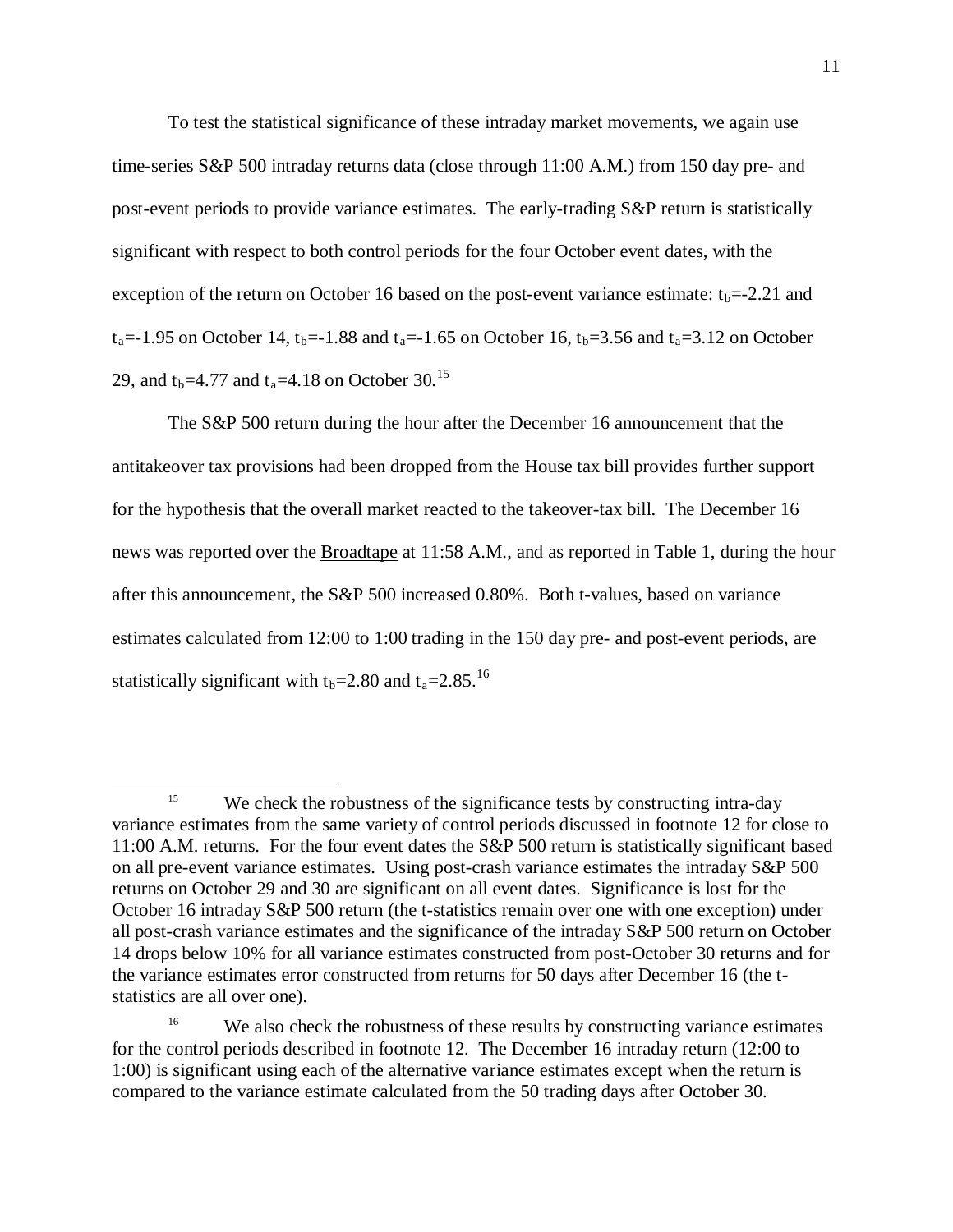To test the statistical significance of these intraday market movements, we again use time-series S&P 500 intraday returns data (close through 11:00 A.M.) from 150 day pre- and post-event periods to provide variance estimates. The early-trading S&P return is statistically significant with respect to both control periods for the four October event dates, with the exception of the return on October 16 based on the post-event variance estimate:  $t_b$ =-2.21 and  $t_a$ =-1.95 on October 14,  $t_b$ =-1.88 and  $t_a$ =-1.65 on October 16,  $t_b$ =3.56 and  $t_a$ =3.12 on October 29, and  $t_b$ =4.77 and  $t_a$ =4.18 on October 30.<sup>[15](#page-11-0)</sup>

The S&P 500 return during the hour after the December 16 announcement that the antitakeover tax provisions had been dropped from the House tax bill provides further support for the hypothesis that the overall market reacted to the takeover-tax bill. The December 16 news was reported over the **Broadtape** at 11:58 A.M., and as reported in Table 1, during the hour after this announcement, the S&P 500 increased 0.80%. Both t-values, based on variance estimates calculated from 12:00 to 1:00 trading in the 150 day pre- and post-event periods, are statistically significant with  $t_b$ =2.80 and  $t_a$ =2.85.<sup>[16](#page-11-1)</sup>

<span id="page-11-0"></span><sup>&</sup>lt;sup>15</sup> We check the robustness of the significance tests by constructing intra-day variance estimates from the same variety of control periods discussed in footnote 12 for close to 11:00 A.M. returns. For the four event dates the S&P 500 return is statistically significant based on all pre-event variance estimates. Using post-crash variance estimates the intraday S&P 500 returns on October 29 and 30 are significant on all event dates. Significance is lost for the October 16 intraday S&P 500 return (the t-statistics remain over one with one exception) under all post-crash variance estimates and the significance of the intraday S&P 500 return on October 14 drops below 10% for all variance estimates constructed from post-October 30 returns and for the variance estimates error constructed from returns for 50 days after December 16 (the tstatistics are all over one).

<span id="page-11-1"></span><sup>&</sup>lt;sup>16</sup> We also check the robustness of these results by constructing variance estimates for the control periods described in footnote 12. The December 16 intraday return (12:00 to 1:00) is significant using each of the alternative variance estimates except when the return is compared to the variance estimate calculated from the 50 trading days after October 30.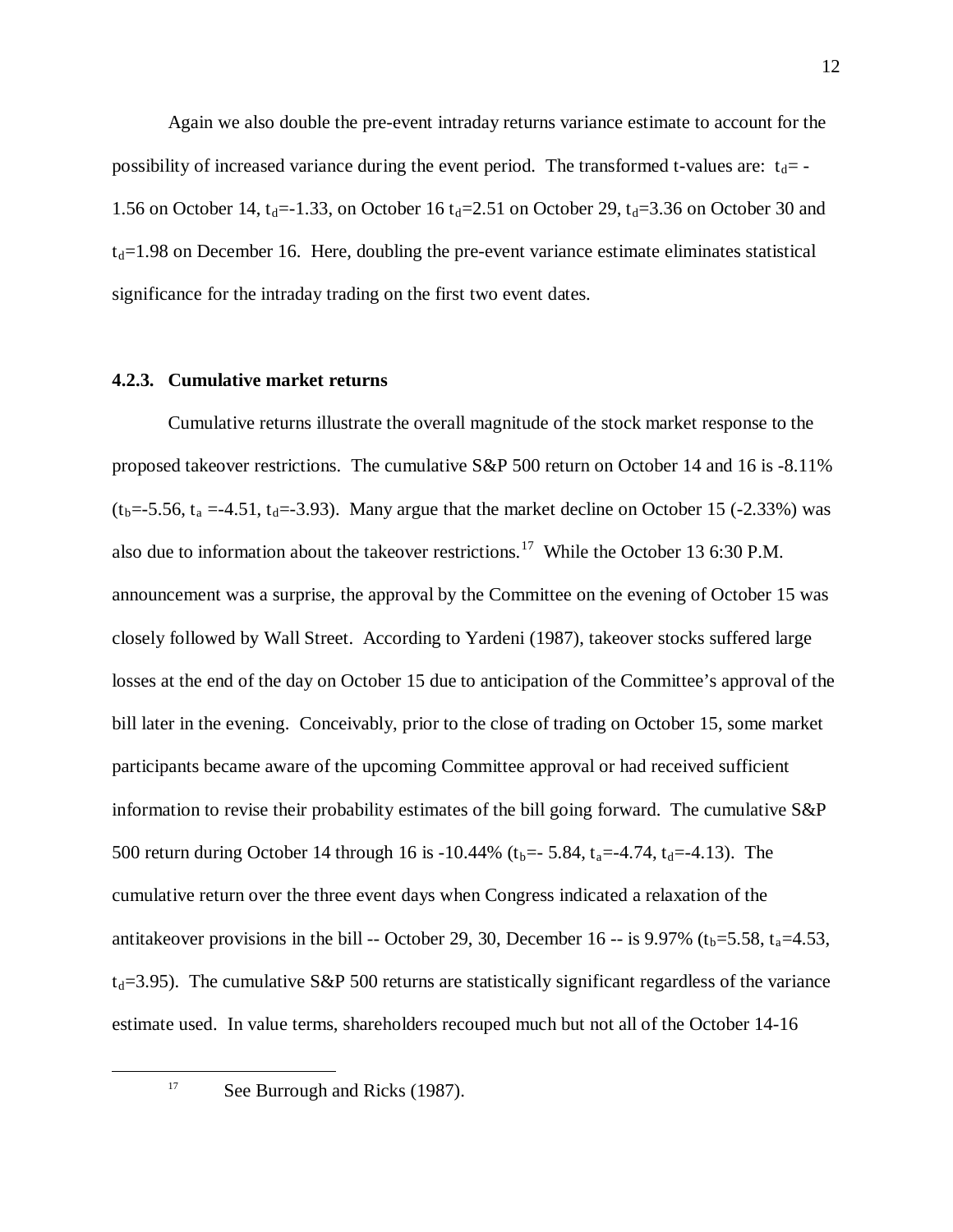Again we also double the pre-event intraday returns variance estimate to account for the possibility of increased variance during the event period. The transformed t-values are:  $t_d$ = -1.56 on October 14,  $t_d = -1.33$ , on October 16  $t_d = 2.51$  on October 29,  $t_d = 3.36$  on October 30 and  $t<sub>d</sub>=1.98$  on December 16. Here, doubling the pre-event variance estimate eliminates statistical significance for the intraday trading on the first two event dates.

### **4.2.3. Cumulative market returns**

Cumulative returns illustrate the overall magnitude of the stock market response to the proposed takeover restrictions. The cumulative S&P 500 return on October 14 and 16 is -8.11%  $(t_b = -5.56, t_a = -4.51, t_d = -3.93)$ . Many argue that the market decline on October 15 (-2.33%) was also due to information about the takeover restrictions.[17](#page-12-0) While the October 13 6:30 P.M. announcement was a surprise, the approval by the Committee on the evening of October 15 was closely followed by Wall Street. According to Yardeni (1987), takeover stocks suffered large losses at the end of the day on October 15 due to anticipation of the Committee's approval of the bill later in the evening. Conceivably, prior to the close of trading on October 15, some market participants became aware of the upcoming Committee approval or had received sufficient information to revise their probability estimates of the bill going forward. The cumulative S&P 500 return during October 14 through 16 is -10.44% ( $t_b$ =-5.84,  $t_a$ =-4.74,  $t_d$ =-4.13). The cumulative return over the three event days when Congress indicated a relaxation of the antitakeover provisions in the bill -- October 29, 30, December 16 -- is 9.97% ( $t_b$ =5.58,  $t_a$ =4.53,  $t_d$ =3.95). The cumulative S&P 500 returns are statistically significant regardless of the variance estimate used. In value terms, shareholders recouped much but not all of the October 14-16

<span id="page-12-0"></span><sup>&</sup>lt;sup>17</sup> See Burrough and Ricks (1987).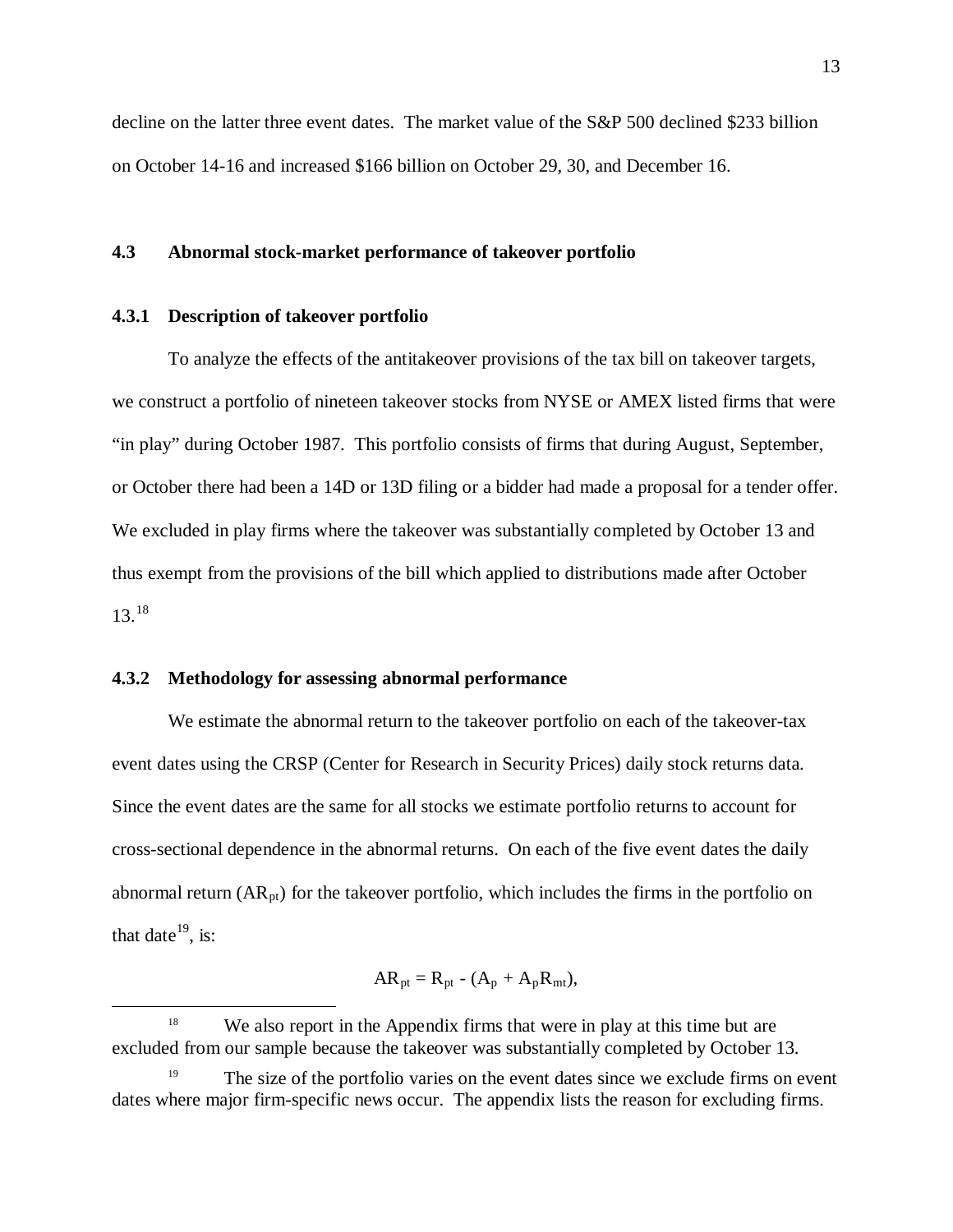decline on the latter three event dates. The market value of the S&P 500 declined \$233 billion on October 14-16 and increased \$166 billion on October 29, 30, and December 16.

## **4.3 Abnormal stock-market performance of takeover portfolio**

### **4.3.1 Description of takeover portfolio**

To analyze the effects of the antitakeover provisions of the tax bill on takeover targets, we construct a portfolio of nineteen takeover stocks from NYSE or AMEX listed firms that were "in play" during October 1987. This portfolio consists of firms that during August, September, or October there had been a 14D or 13D filing or a bidder had made a proposal for a tender offer. We excluded in play firms where the takeover was substantially completed by October 13 and thus exempt from the provisions of the bill which applied to distributions made after October 13.[18](#page-13-0)

### **4.3.2 Methodology for assessing abnormal performance**

We estimate the abnormal return to the takeover portfolio on each of the takeover-tax event dates using the CRSP (Center for Research in Security Prices) daily stock returns data. Since the event dates are the same for all stocks we estimate portfolio returns to account for cross-sectional dependence in the abnormal returns. On each of the five event dates the daily abnormal return  $(AR_{pt})$  for the takeover portfolio, which includes the firms in the portfolio on that date<sup>[19](#page-13-1)</sup>, is:

$$
AR_{pt} = R_{pt} - (A_p + A_p R_{mt}),
$$

<span id="page-13-0"></span><sup>&</sup>lt;sup>18</sup> We also report in the Appendix firms that were in play at this time but are excluded from our sample because the takeover was substantially completed by October 13.

<span id="page-13-1"></span>The size of the portfolio varies on the event dates since we exclude firms on event dates where major firm-specific news occur. The appendix lists the reason for excluding firms.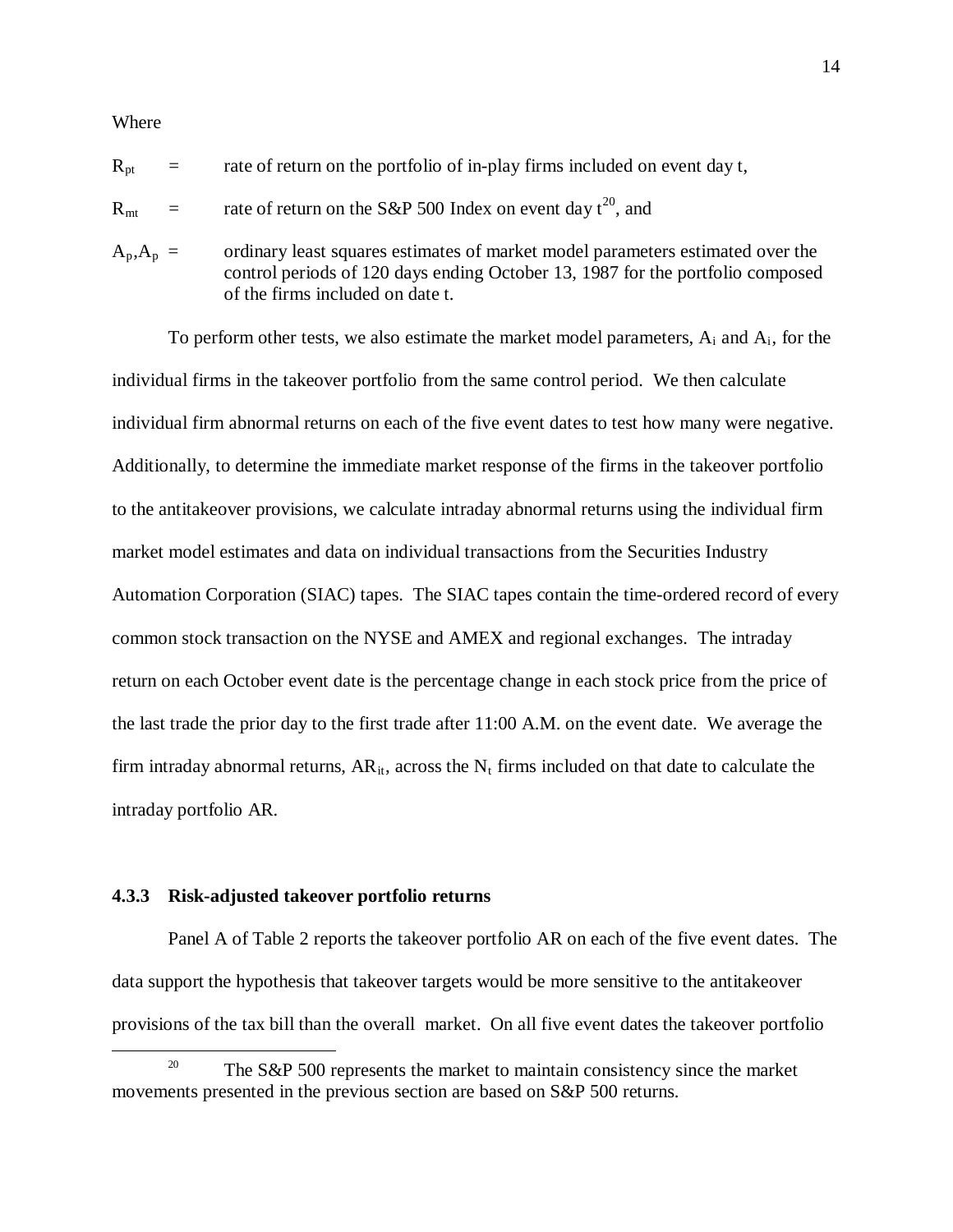#### Where

| $R_{pt}$       | $\alpha = \alpha$ | rate of return on the portfolio of in-play firms included on event day t,                                                                                                                            |
|----------------|-------------------|------------------------------------------------------------------------------------------------------------------------------------------------------------------------------------------------------|
| $R_{\rm mt}$ = |                   | rate of return on the S&P 500 Index on event day $t^{20}$ , and                                                                                                                                      |
| $A_p, A_p =$   |                   | ordinary least squares estimates of market model parameters estimated over the<br>control periods of 120 days ending October 13, 1987 for the portfolio composed<br>of the firms included on date t. |

To perform other tests, we also estimate the market model parameters,  $A_i$  and  $A_i$ , for the individual firms in the takeover portfolio from the same control period. We then calculate individual firm abnormal returns on each of the five event dates to test how many were negative. Additionally, to determine the immediate market response of the firms in the takeover portfolio to the antitakeover provisions, we calculate intraday abnormal returns using the individual firm market model estimates and data on individual transactions from the Securities Industry Automation Corporation (SIAC) tapes. The SIAC tapes contain the time-ordered record of every common stock transaction on the NYSE and AMEX and regional exchanges. The intraday return on each October event date is the percentage change in each stock price from the price of the last trade the prior day to the first trade after 11:00 A.M. on the event date. We average the firm intraday abnormal returns,  $AR_{it}$ , across the  $N_t$  firms included on that date to calculate the intraday portfolio AR.

#### **4.3.3 Risk-adjusted takeover portfolio returns**

Panel A of Table 2 reports the takeover portfolio AR on each of the five event dates. The data support the hypothesis that takeover targets would be more sensitive to the antitakeover provisions of the tax bill than the overall market. On all five event dates the takeover portfolio

<span id="page-14-0"></span><sup>&</sup>lt;sup>20</sup> The S&P 500 represents the market to maintain consistency since the market movements presented in the previous section are based on S&P 500 returns.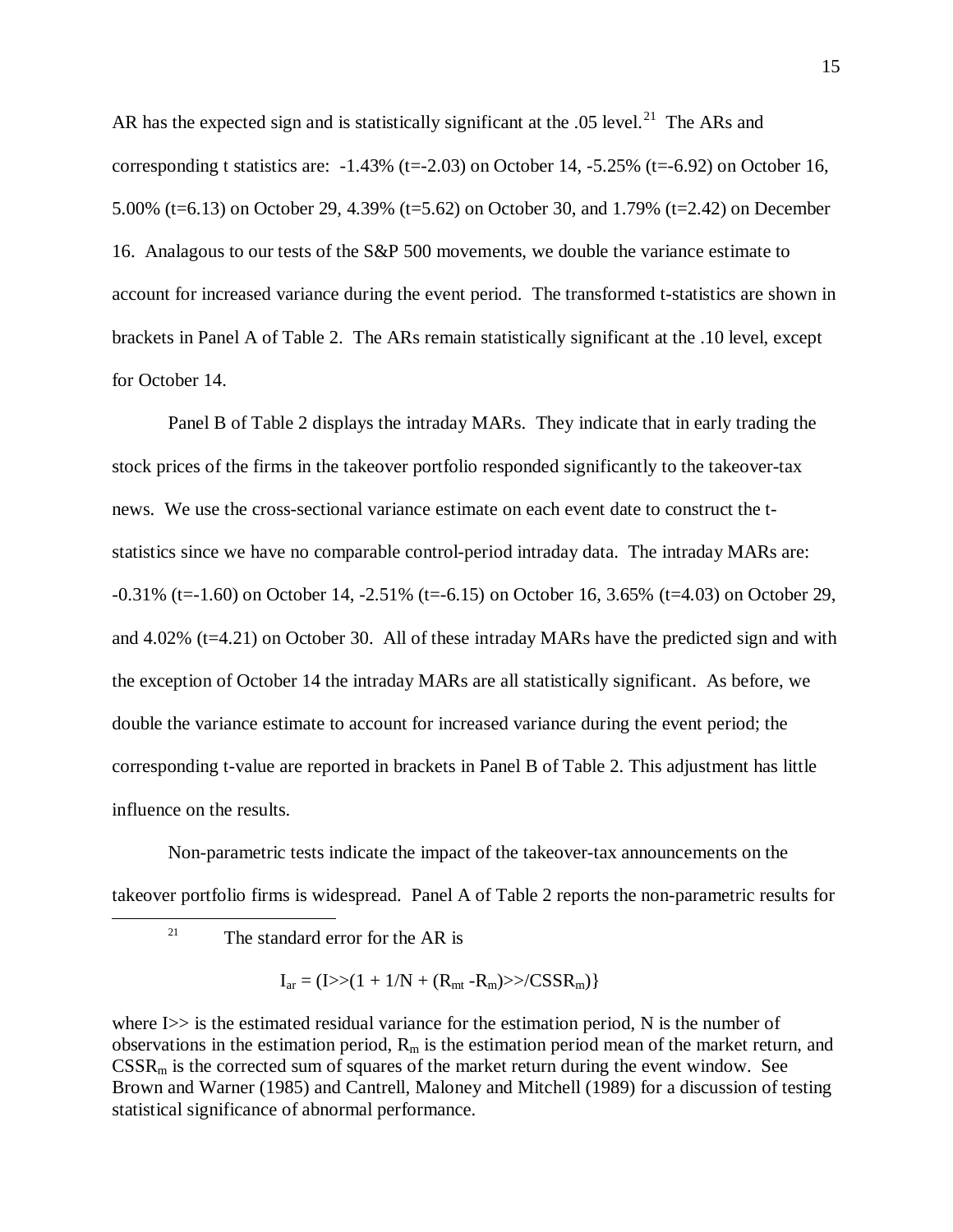AR has the expected sign and is statistically significant at the .05 level. $^{21}$  $^{21}$  $^{21}$  The ARs and corresponding t statistics are:  $-1.43\%$  (t= $-2.03$ ) on October 14,  $-5.25\%$  (t= $-6.92$ ) on October 16, 5.00% (t=6.13) on October 29, 4.39% (t=5.62) on October 30, and 1.79% (t=2.42) on December 16. Analagous to our tests of the S&P 500 movements, we double the variance estimate to account for increased variance during the event period. The transformed t-statistics are shown in brackets in Panel A of Table 2. The ARs remain statistically significant at the .10 level, except for October 14.

Panel B of Table 2 displays the intraday MARs. They indicate that in early trading the stock prices of the firms in the takeover portfolio responded significantly to the takeover-tax news. We use the cross-sectional variance estimate on each event date to construct the tstatistics since we have no comparable control-period intraday data. The intraday MARs are: -0.31% (t=-1.60) on October 14, -2.51% (t=-6.15) on October 16, 3.65% (t=4.03) on October 29, and 4.02% (t=4.21) on October 30. All of these intraday MARs have the predicted sign and with the exception of October 14 the intraday MARs are all statistically significant. As before, we double the variance estimate to account for increased variance during the event period; the corresponding t-value are reported in brackets in Panel B of Table 2. This adjustment has little influence on the results.

<span id="page-15-0"></span>Non-parametric tests indicate the impact of the takeover-tax announcements on the takeover portfolio firms is widespread. Panel A of Table 2 reports the non-parametric results for

$$
I_{ar} = (I \rightarrow (1 + 1/N + (R_{mt} - R_m) \rightarrow /CSSR_m))
$$

where  $I \gg$  is the estimated residual variance for the estimation period, N is the number of observations in the estimation period,  $R_m$  is the estimation period mean of the market return, and  $CSSR<sub>m</sub>$  is the corrected sum of squares of the market return during the event window. See Brown and Warner (1985) and Cantrell, Maloney and Mitchell (1989) for a discussion of testing statistical significance of abnormal performance.

<sup>&</sup>lt;sup>21</sup> The standard error for the AR is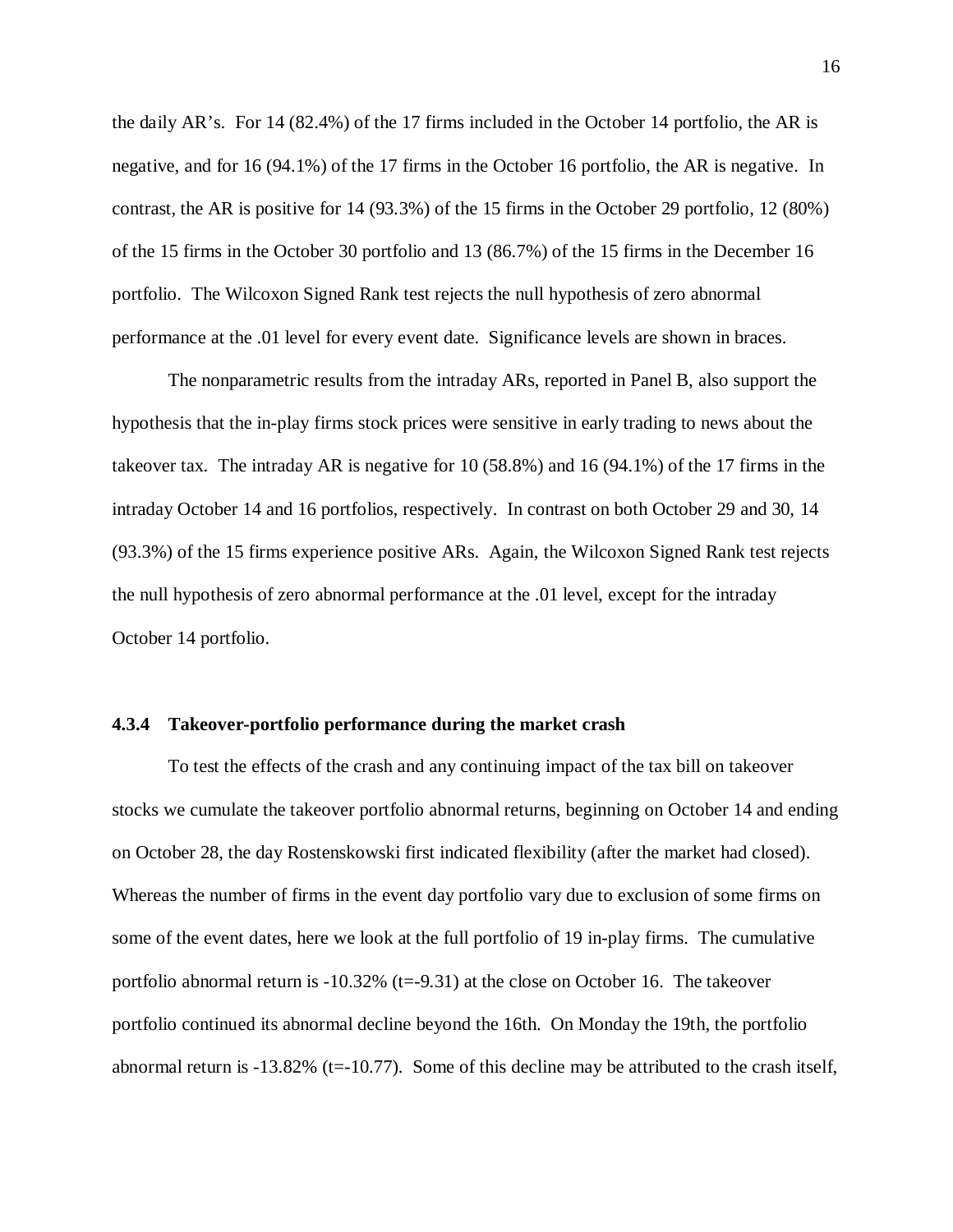the daily AR's. For 14 (82.4%) of the 17 firms included in the October 14 portfolio, the AR is negative, and for 16 (94.1%) of the 17 firms in the October 16 portfolio, the AR is negative. In contrast, the AR is positive for 14 (93.3%) of the 15 firms in the October 29 portfolio, 12 (80%) of the 15 firms in the October 30 portfolio and 13 (86.7%) of the 15 firms in the December 16 portfolio. The Wilcoxon Signed Rank test rejects the null hypothesis of zero abnormal performance at the .01 level for every event date. Significance levels are shown in braces.

The nonparametric results from the intraday ARs, reported in Panel B, also support the hypothesis that the in-play firms stock prices were sensitive in early trading to news about the takeover tax. The intraday AR is negative for 10 (58.8%) and 16 (94.1%) of the 17 firms in the intraday October 14 and 16 portfolios, respectively. In contrast on both October 29 and 30, 14 (93.3%) of the 15 firms experience positive ARs. Again, the Wilcoxon Signed Rank test rejects the null hypothesis of zero abnormal performance at the .01 level, except for the intraday October 14 portfolio.

### **4.3.4 Takeover-portfolio performance during the market crash**

To test the effects of the crash and any continuing impact of the tax bill on takeover stocks we cumulate the takeover portfolio abnormal returns, beginning on October 14 and ending on October 28, the day Rostenskowski first indicated flexibility (after the market had closed). Whereas the number of firms in the event day portfolio vary due to exclusion of some firms on some of the event dates, here we look at the full portfolio of 19 in-play firms. The cumulative portfolio abnormal return is  $-10.32\%$  (t= $-9.31$ ) at the close on October 16. The takeover portfolio continued its abnormal decline beyond the 16th. On Monday the 19th, the portfolio abnormal return is  $-13.82\%$  (t= $-10.77$ ). Some of this decline may be attributed to the crash itself,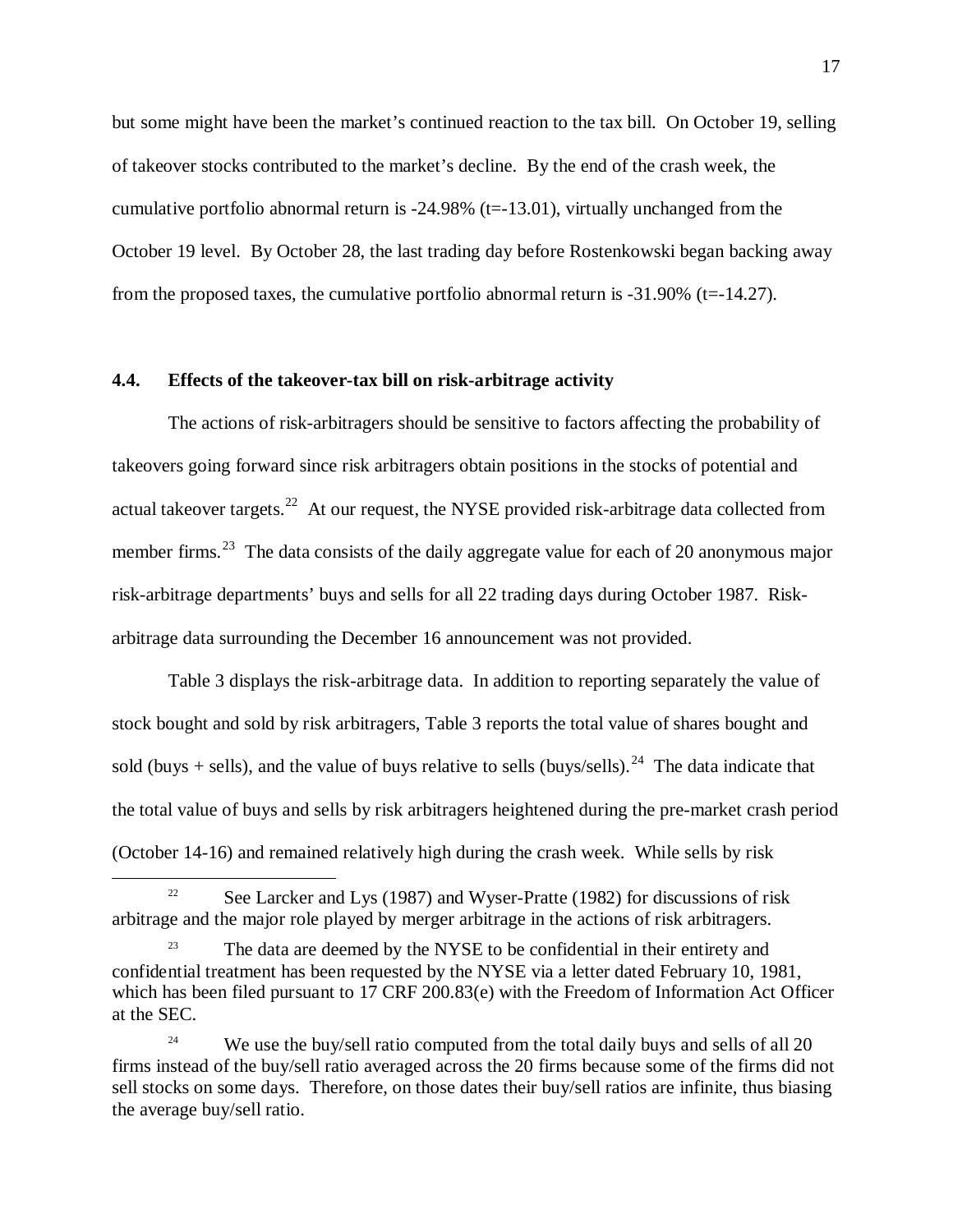but some might have been the market's continued reaction to the tax bill. On October 19, selling of takeover stocks contributed to the market's decline. By the end of the crash week, the cumulative portfolio abnormal return is  $-24.98\%$  (t= $-13.01$ ), virtually unchanged from the October 19 level. By October 28, the last trading day before Rostenkowski began backing away from the proposed taxes, the cumulative portfolio abnormal return is  $-31.90\%$  (t= $-14.27$ ).

### **4.4. Effects of the takeover-tax bill on risk-arbitrage activity**

The actions of risk-arbitragers should be sensitive to factors affecting the probability of takeovers going forward since risk arbitragers obtain positions in the stocks of potential and actual takeover targets.<sup>[22](#page-17-0)</sup> At our request, the NYSE provided risk-arbitrage data collected from member firms.<sup>[23](#page-17-1)</sup> The data consists of the daily aggregate value for each of 20 anonymous major risk-arbitrage departments' buys and sells for all 22 trading days during October 1987. Riskarbitrage data surrounding the December 16 announcement was not provided.

Table 3 displays the risk-arbitrage data. In addition to reporting separately the value of stock bought and sold by risk arbitragers, Table 3 reports the total value of shares bought and sold (buys + sells), and the value of buys relative to sells (buys/sells).<sup>[24](#page-17-2)</sup> The data indicate that the total value of buys and sells by risk arbitragers heightened during the pre-market crash period (October 14-16) and remained relatively high during the crash week. While sells by risk

<span id="page-17-0"></span><sup>&</sup>lt;sup>22</sup> See Larcker and Lys (1987) and Wyser-Pratte (1982) for discussions of risk arbitrage and the major role played by merger arbitrage in the actions of risk arbitragers.

<span id="page-17-1"></span><sup>&</sup>lt;sup>23</sup> The data are deemed by the NYSE to be confidential in their entirety and confidential treatment has been requested by the NYSE via a letter dated February 10, 1981, which has been filed pursuant to 17 CRF 200.83(e) with the Freedom of Information Act Officer at the SEC.

<span id="page-17-2"></span><sup>&</sup>lt;sup>24</sup> We use the buy/sell ratio computed from the total daily buys and sells of all 20 firms instead of the buy/sell ratio averaged across the 20 firms because some of the firms did not sell stocks on some days. Therefore, on those dates their buy/sell ratios are infinite, thus biasing the average buy/sell ratio.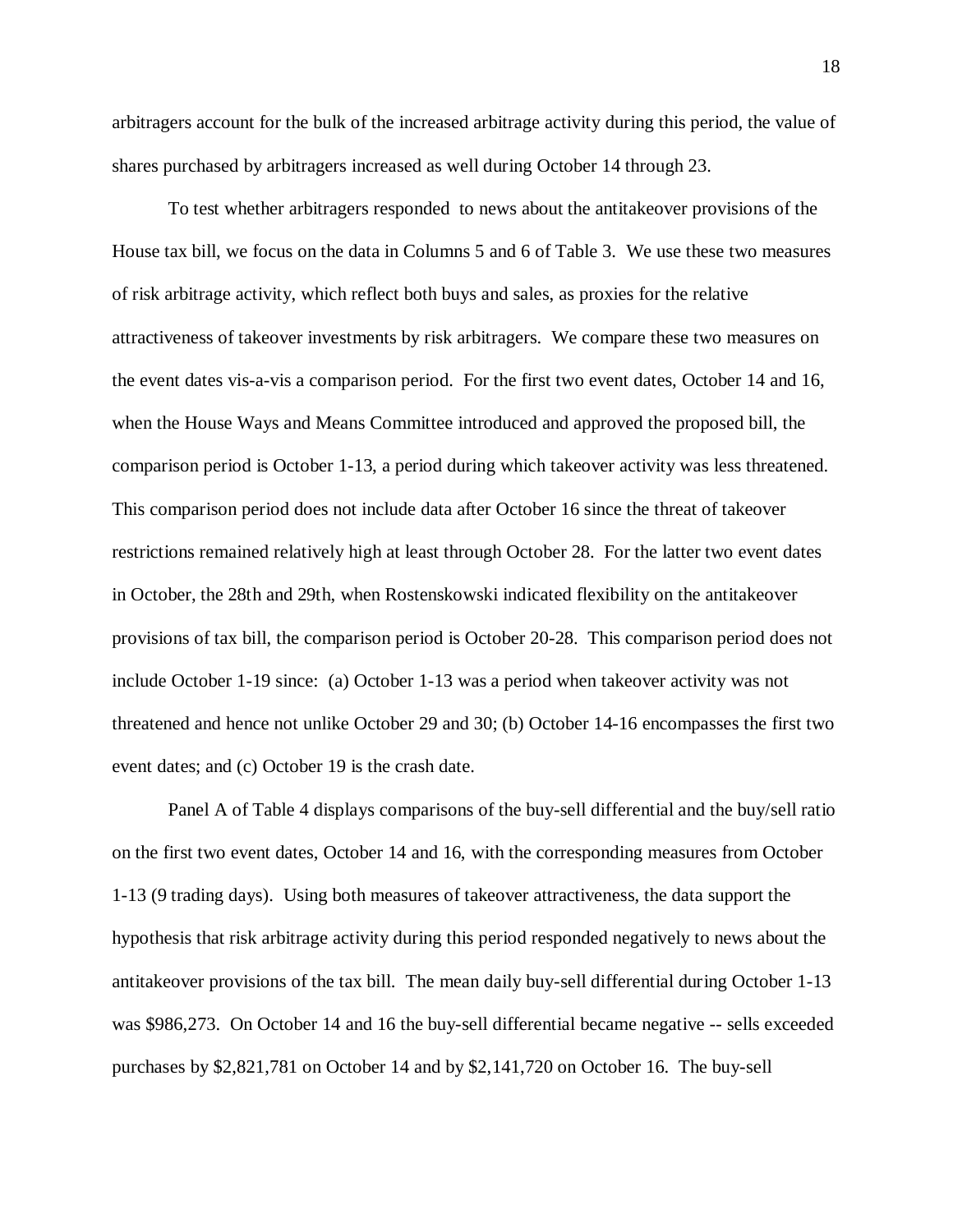arbitragers account for the bulk of the increased arbitrage activity during this period, the value of shares purchased by arbitragers increased as well during October 14 through 23.

To test whether arbitragers responded to news about the antitakeover provisions of the House tax bill, we focus on the data in Columns 5 and 6 of Table 3. We use these two measures of risk arbitrage activity, which reflect both buys and sales, as proxies for the relative attractiveness of takeover investments by risk arbitragers. We compare these two measures on the event dates vis-a-vis a comparison period. For the first two event dates, October 14 and 16, when the House Ways and Means Committee introduced and approved the proposed bill, the comparison period is October 1-13, a period during which takeover activity was less threatened. This comparison period does not include data after October 16 since the threat of takeover restrictions remained relatively high at least through October 28. For the latter two event dates in October, the 28th and 29th, when Rostenskowski indicated flexibility on the antitakeover provisions of tax bill, the comparison period is October 20-28. This comparison period does not include October 1-19 since: (a) October 1-13 was a period when takeover activity was not threatened and hence not unlike October 29 and 30; (b) October 14-16 encompasses the first two event dates; and (c) October 19 is the crash date.

Panel A of Table 4 displays comparisons of the buy-sell differential and the buy/sell ratio on the first two event dates, October 14 and 16, with the corresponding measures from October 1-13 (9 trading days). Using both measures of takeover attractiveness, the data support the hypothesis that risk arbitrage activity during this period responded negatively to news about the antitakeover provisions of the tax bill. The mean daily buy-sell differential during October 1-13 was \$986,273. On October 14 and 16 the buy-sell differential became negative -- sells exceeded purchases by \$2,821,781 on October 14 and by \$2,141,720 on October 16. The buy-sell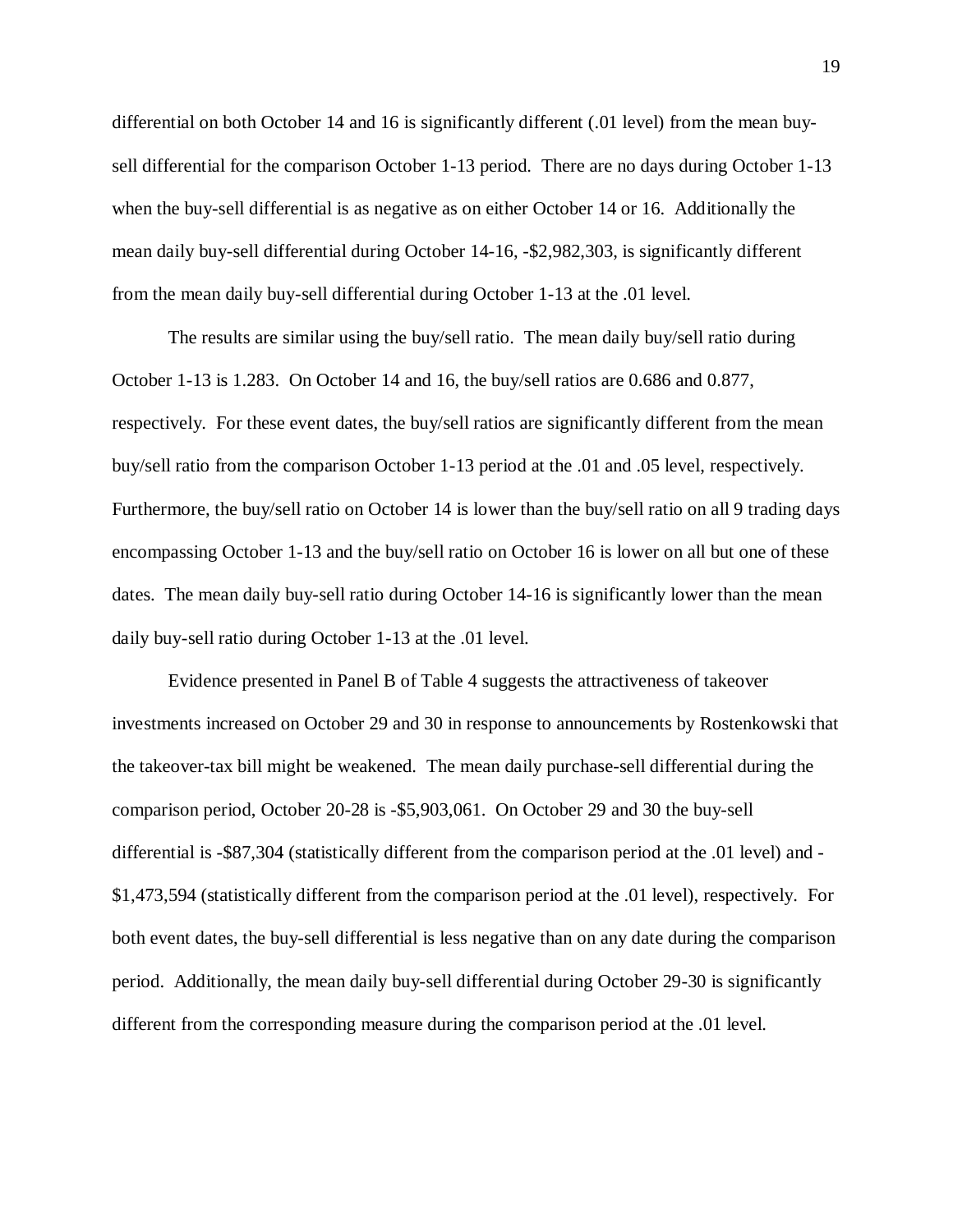differential on both October 14 and 16 is significantly different (.01 level) from the mean buysell differential for the comparison October 1-13 period. There are no days during October 1-13 when the buy-sell differential is as negative as on either October 14 or 16. Additionally the mean daily buy-sell differential during October 14-16, -\$2,982,303, is significantly different from the mean daily buy-sell differential during October 1-13 at the .01 level.

The results are similar using the buy/sell ratio. The mean daily buy/sell ratio during October 1-13 is 1.283. On October 14 and 16, the buy/sell ratios are 0.686 and 0.877, respectively. For these event dates, the buy/sell ratios are significantly different from the mean buy/sell ratio from the comparison October 1-13 period at the .01 and .05 level, respectively. Furthermore, the buy/sell ratio on October 14 is lower than the buy/sell ratio on all 9 trading days encompassing October 1-13 and the buy/sell ratio on October 16 is lower on all but one of these dates. The mean daily buy-sell ratio during October 14-16 is significantly lower than the mean daily buy-sell ratio during October 1-13 at the .01 level.

Evidence presented in Panel B of Table 4 suggests the attractiveness of takeover investments increased on October 29 and 30 in response to announcements by Rostenkowski that the takeover-tax bill might be weakened. The mean daily purchase-sell differential during the comparison period, October 20-28 is -\$5,903,061. On October 29 and 30 the buy-sell differential is -\$87,304 (statistically different from the comparison period at the .01 level) and - \$1,473,594 (statistically different from the comparison period at the .01 level), respectively. For both event dates, the buy-sell differential is less negative than on any date during the comparison period. Additionally, the mean daily buy-sell differential during October 29-30 is significantly different from the corresponding measure during the comparison period at the .01 level.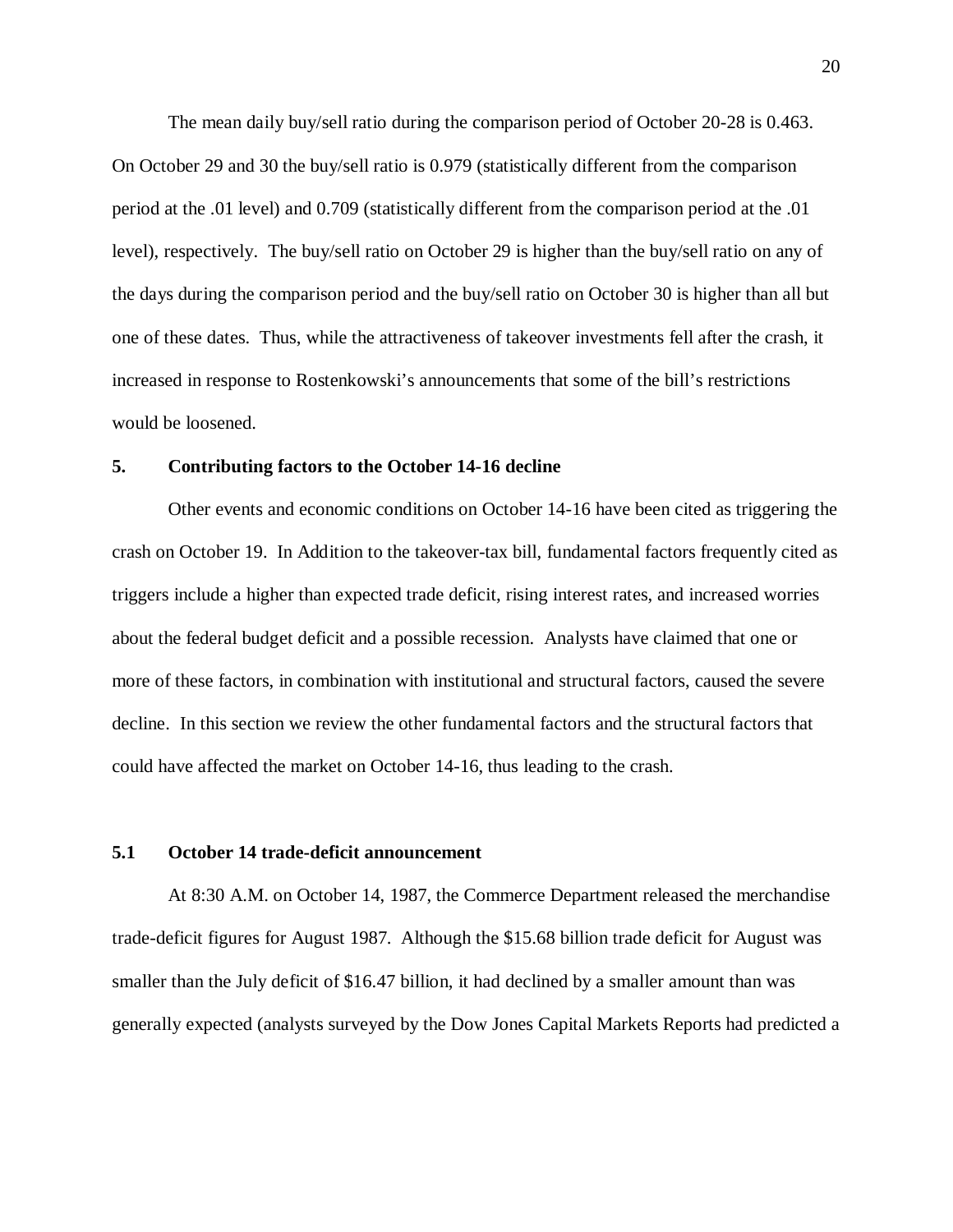The mean daily buy/sell ratio during the comparison period of October 20-28 is 0.463. On October 29 and 30 the buy/sell ratio is 0.979 (statistically different from the comparison period at the .01 level) and 0.709 (statistically different from the comparison period at the .01 level), respectively. The buy/sell ratio on October 29 is higher than the buy/sell ratio on any of the days during the comparison period and the buy/sell ratio on October 30 is higher than all but one of these dates. Thus, while the attractiveness of takeover investments fell after the crash, it increased in response to Rostenkowski's announcements that some of the bill's restrictions would be loosened.

### **5. Contributing factors to the October 14-16 decline**

Other events and economic conditions on October 14-16 have been cited as triggering the crash on October 19. In Addition to the takeover-tax bill, fundamental factors frequently cited as triggers include a higher than expected trade deficit, rising interest rates, and increased worries about the federal budget deficit and a possible recession. Analysts have claimed that one or more of these factors, in combination with institutional and structural factors, caused the severe decline. In this section we review the other fundamental factors and the structural factors that could have affected the market on October 14-16, thus leading to the crash.

## **5.1 October 14 trade-deficit announcement**

At 8:30 A.M. on October 14, 1987, the Commerce Department released the merchandise trade-deficit figures for August 1987. Although the \$15.68 billion trade deficit for August was smaller than the July deficit of \$16.47 billion, it had declined by a smaller amount than was generally expected (analysts surveyed by the Dow Jones Capital Markets Reports had predicted a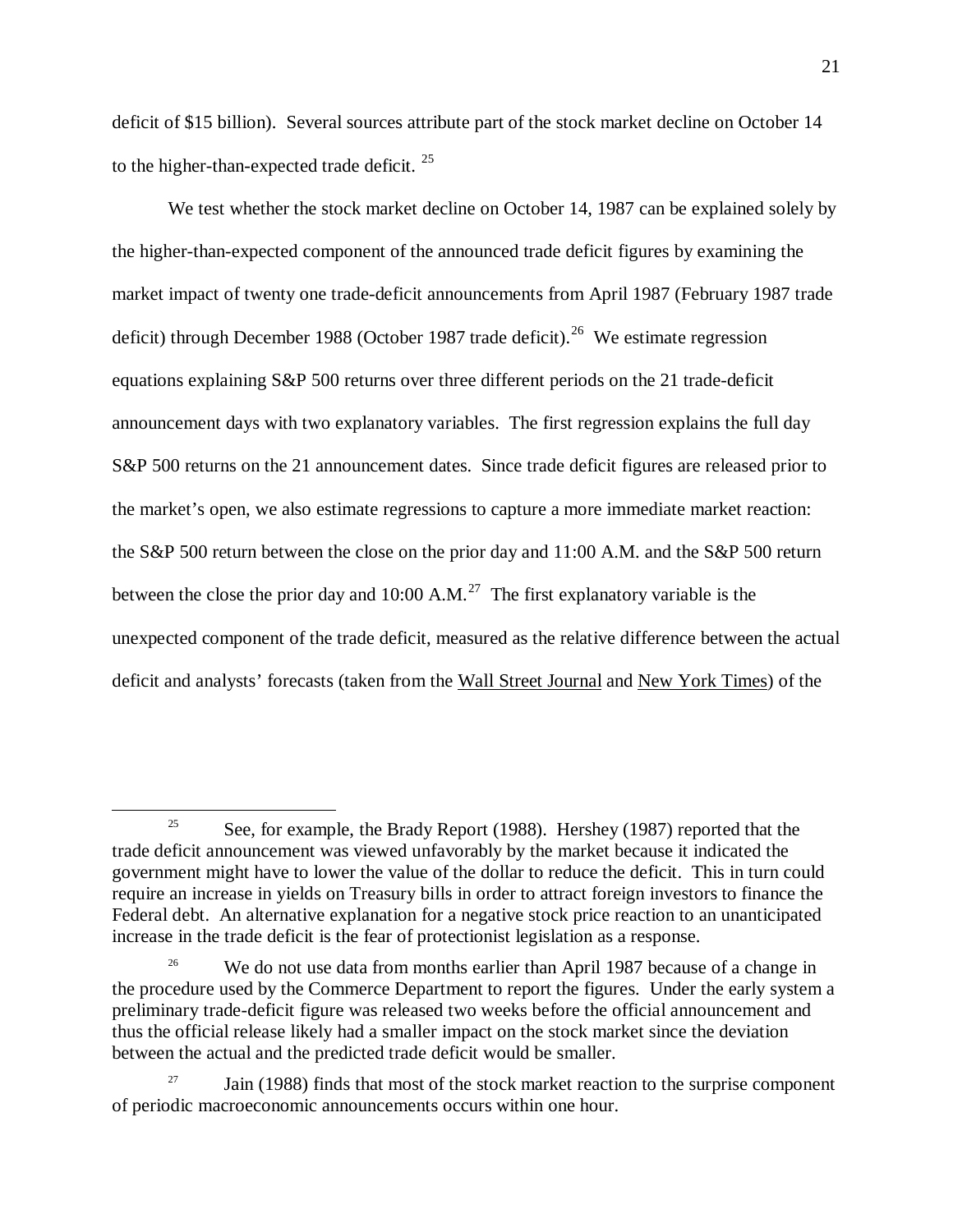deficit of \$15 billion). Several sources attribute part of the stock market decline on October 14 to the higher-than-expected trade deficit.  $25$ 

We test whether the stock market decline on October 14, 1987 can be explained solely by the higher-than-expected component of the announced trade deficit figures by examining the market impact of twenty one trade-deficit announcements from April 1987 (February 1987 trade deficit) through December 1988 (October 1987 trade deficit).<sup>[26](#page-21-1)</sup> We estimate regression equations explaining S&P 500 returns over three different periods on the 21 trade-deficit announcement days with two explanatory variables. The first regression explains the full day S&P 500 returns on the 21 announcement dates. Since trade deficit figures are released prior to the market's open, we also estimate regressions to capture a more immediate market reaction: the S&P 500 return between the close on the prior day and 11:00 A.M. and the S&P 500 return between the close the prior day and 10:00 A.M.<sup>[27](#page-21-2)</sup> The first explanatory variable is the unexpected component of the trade deficit, measured as the relative difference between the actual deficit and analysts' forecasts (taken from the Wall Street Journal and New York Times) of the

<span id="page-21-0"></span><sup>&</sup>lt;sup>25</sup> See, for example, the Brady Report (1988). Hershey (1987) reported that the trade deficit announcement was viewed unfavorably by the market because it indicated the government might have to lower the value of the dollar to reduce the deficit. This in turn could require an increase in yields on Treasury bills in order to attract foreign investors to finance the Federal debt. An alternative explanation for a negative stock price reaction to an unanticipated increase in the trade deficit is the fear of protectionist legislation as a response.

<span id="page-21-1"></span><sup>&</sup>lt;sup>26</sup> We do not use data from months earlier than April 1987 because of a change in the procedure used by the Commerce Department to report the figures. Under the early system a preliminary trade-deficit figure was released two weeks before the official announcement and thus the official release likely had a smaller impact on the stock market since the deviation between the actual and the predicted trade deficit would be smaller.

<span id="page-21-2"></span>Jain (1988) finds that most of the stock market reaction to the surprise component of periodic macroeconomic announcements occurs within one hour.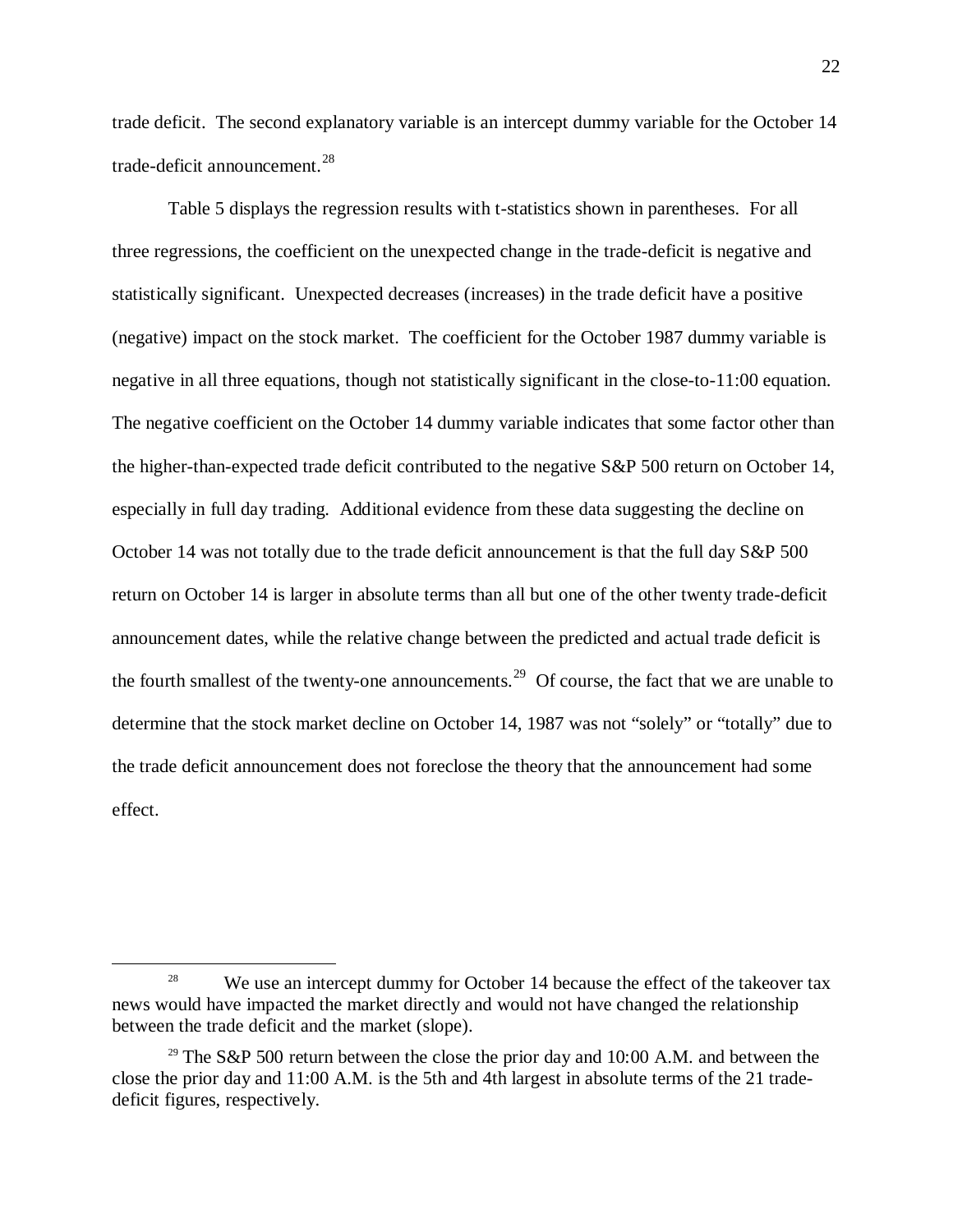trade deficit. The second explanatory variable is an intercept dummy variable for the October 14 trade-deficit announcement.<sup>[28](#page-22-0)</sup>

Table 5 displays the regression results with t-statistics shown in parentheses. For all three regressions, the coefficient on the unexpected change in the trade-deficit is negative and statistically significant. Unexpected decreases (increases) in the trade deficit have a positive (negative) impact on the stock market. The coefficient for the October 1987 dummy variable is negative in all three equations, though not statistically significant in the close-to-11:00 equation. The negative coefficient on the October 14 dummy variable indicates that some factor other than the higher-than-expected trade deficit contributed to the negative S&P 500 return on October 14, especially in full day trading. Additional evidence from these data suggesting the decline on October 14 was not totally due to the trade deficit announcement is that the full day S&P 500 return on October 14 is larger in absolute terms than all but one of the other twenty trade-deficit announcement dates, while the relative change between the predicted and actual trade deficit is the fourth smallest of the twenty-one announcements.<sup>[29](#page-22-1)</sup> Of course, the fact that we are unable to determine that the stock market decline on October 14, 1987 was not "solely" or "totally" due to the trade deficit announcement does not foreclose the theory that the announcement had some effect.

<span id="page-22-0"></span><sup>&</sup>lt;sup>28</sup> We use an intercept dummy for October 14 because the effect of the takeover tax news would have impacted the market directly and would not have changed the relationship between the trade deficit and the market (slope).

<span id="page-22-1"></span><sup>&</sup>lt;sup>29</sup> The S&P 500 return between the close the prior day and 10:00 A.M. and between the close the prior day and 11:00 A.M. is the 5th and 4th largest in absolute terms of the 21 tradedeficit figures, respectively.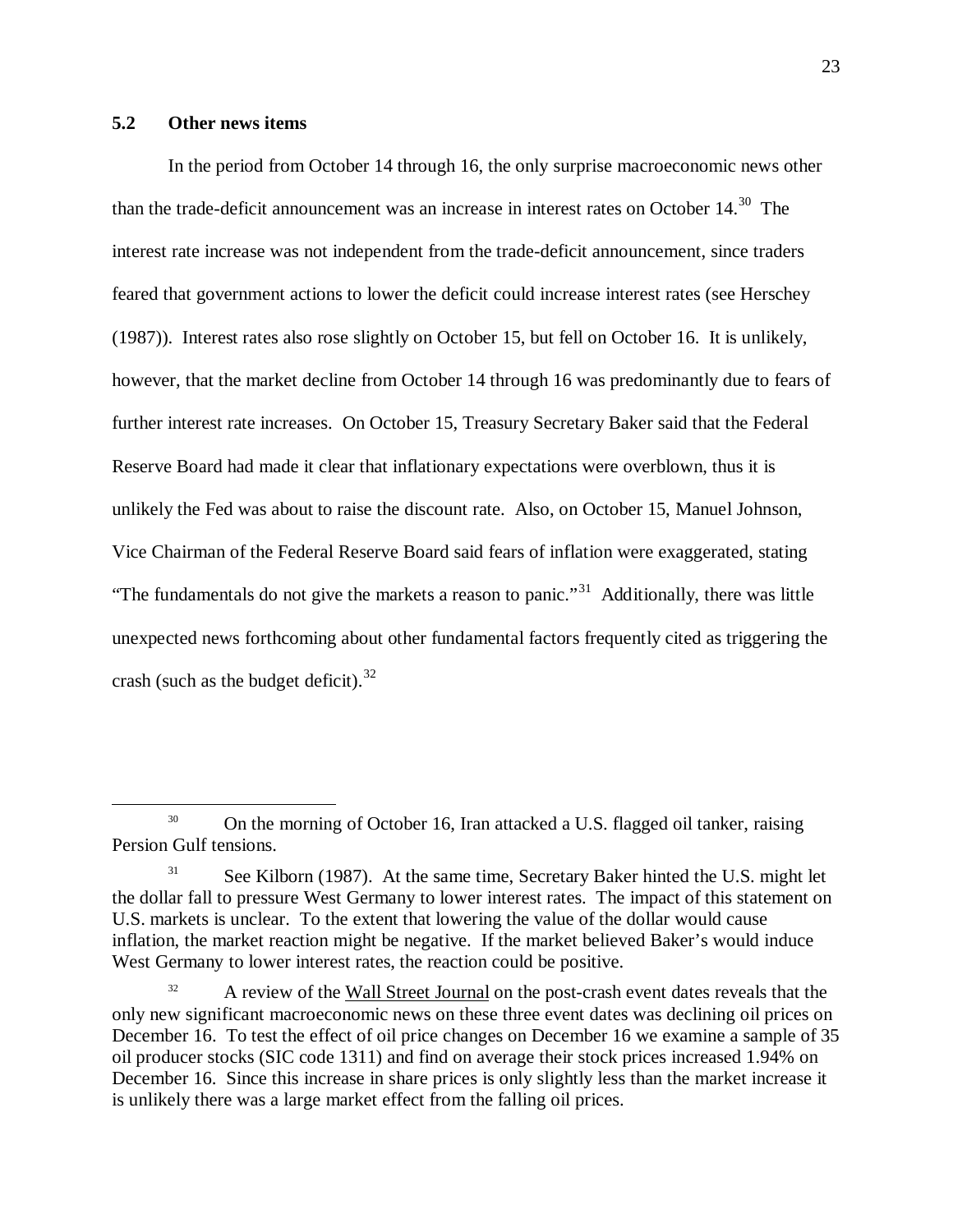## **5.2 Other news items**

In the period from October 14 through 16, the only surprise macroeconomic news other than the trade-deficit announcement was an increase in interest rates on October  $14<sup>30</sup>$  $14<sup>30</sup>$  $14<sup>30</sup>$ . The interest rate increase was not independent from the trade-deficit announcement, since traders feared that government actions to lower the deficit could increase interest rates (see Herschey (1987)). Interest rates also rose slightly on October 15, but fell on October 16. It is unlikely, however, that the market decline from October 14 through 16 was predominantly due to fears of further interest rate increases. On October 15, Treasury Secretary Baker said that the Federal Reserve Board had made it clear that inflationary expectations were overblown, thus it is unlikely the Fed was about to raise the discount rate. Also, on October 15, Manuel Johnson, Vice Chairman of the Federal Reserve Board said fears of inflation were exaggerated, stating "The fundamentals do not give the markets a reason to panic."<sup>[31](#page-23-1)</sup> Additionally, there was little unexpected news forthcoming about other fundamental factors frequently cited as triggering the crash (such as the budget deficit).  $32$ 

<span id="page-23-0"></span><sup>&</sup>lt;sup>30</sup> On the morning of October 16, Iran attacked a U.S. flagged oil tanker, raising Persion Gulf tensions.

<span id="page-23-1"></span><sup>&</sup>lt;sup>31</sup> See Kilborn (1987). At the same time, Secretary Baker hinted the U.S. might let the dollar fall to pressure West Germany to lower interest rates. The impact of this statement on U.S. markets is unclear. To the extent that lowering the value of the dollar would cause inflation, the market reaction might be negative. If the market believed Baker's would induce West Germany to lower interest rates, the reaction could be positive.

<span id="page-23-2"></span><sup>&</sup>lt;sup>32</sup> A review of the Wall Street Journal on the post-crash event dates reveals that the only new significant macroeconomic news on these three event dates was declining oil prices on December 16. To test the effect of oil price changes on December 16 we examine a sample of 35 oil producer stocks (SIC code 1311) and find on average their stock prices increased 1.94% on December 16. Since this increase in share prices is only slightly less than the market increase it is unlikely there was a large market effect from the falling oil prices.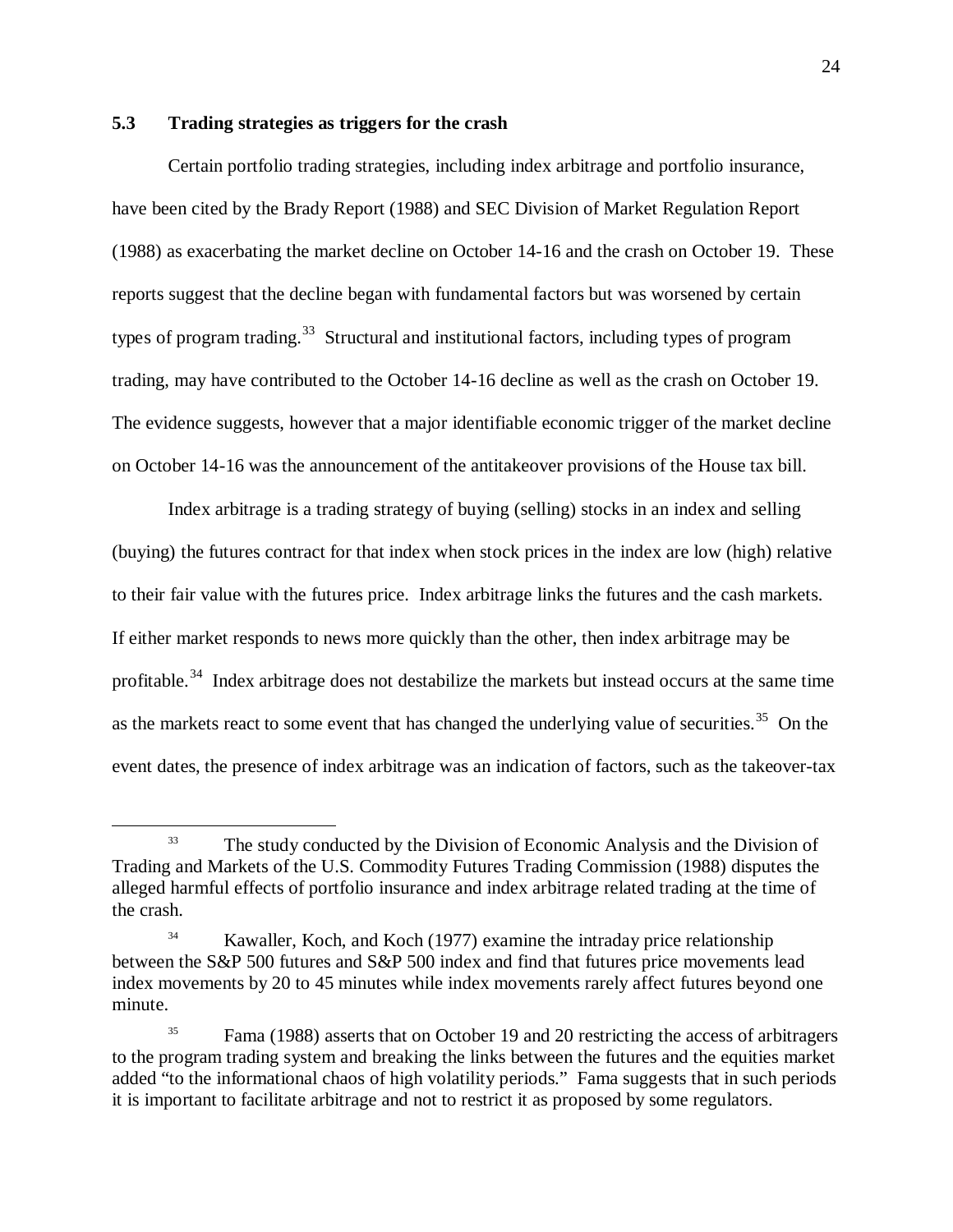## **5.3 Trading strategies as triggers for the crash**

Certain portfolio trading strategies, including index arbitrage and portfolio insurance, have been cited by the Brady Report (1988) and SEC Division of Market Regulation Report (1988) as exacerbating the market decline on October 14-16 and the crash on October 19. These reports suggest that the decline began with fundamental factors but was worsened by certain types of program trading.<sup>[33](#page-24-0)</sup> Structural and institutional factors, including types of program trading, may have contributed to the October 14-16 decline as well as the crash on October 19. The evidence suggests, however that a major identifiable economic trigger of the market decline on October 14-16 was the announcement of the antitakeover provisions of the House tax bill.

Index arbitrage is a trading strategy of buying (selling) stocks in an index and selling (buying) the futures contract for that index when stock prices in the index are low (high) relative to their fair value with the futures price. Index arbitrage links the futures and the cash markets. If either market responds to news more quickly than the other, then index arbitrage may be profitable.<sup>[34](#page-24-1)</sup> Index arbitrage does not destabilize the markets but instead occurs at the same time as the markets react to some event that has changed the underlying value of securities.<sup>[35](#page-24-2)</sup> On the event dates, the presence of index arbitrage was an indication of factors, such as the takeover-tax

<span id="page-24-0"></span><sup>&</sup>lt;sup>33</sup> The study conducted by the Division of Economic Analysis and the Division of Trading and Markets of the U.S. Commodity Futures Trading Commission (1988) disputes the alleged harmful effects of portfolio insurance and index arbitrage related trading at the time of the crash.

<span id="page-24-1"></span><sup>&</sup>lt;sup>34</sup> Kawaller, Koch, and Koch (1977) examine the intraday price relationship between the S&P 500 futures and S&P 500 index and find that futures price movements lead index movements by 20 to 45 minutes while index movements rarely affect futures beyond one minute.

<span id="page-24-2"></span><sup>&</sup>lt;sup>35</sup> Fama (1988) asserts that on October 19 and 20 restricting the access of arbitragers to the program trading system and breaking the links between the futures and the equities market added "to the informational chaos of high volatility periods." Fama suggests that in such periods it is important to facilitate arbitrage and not to restrict it as proposed by some regulators.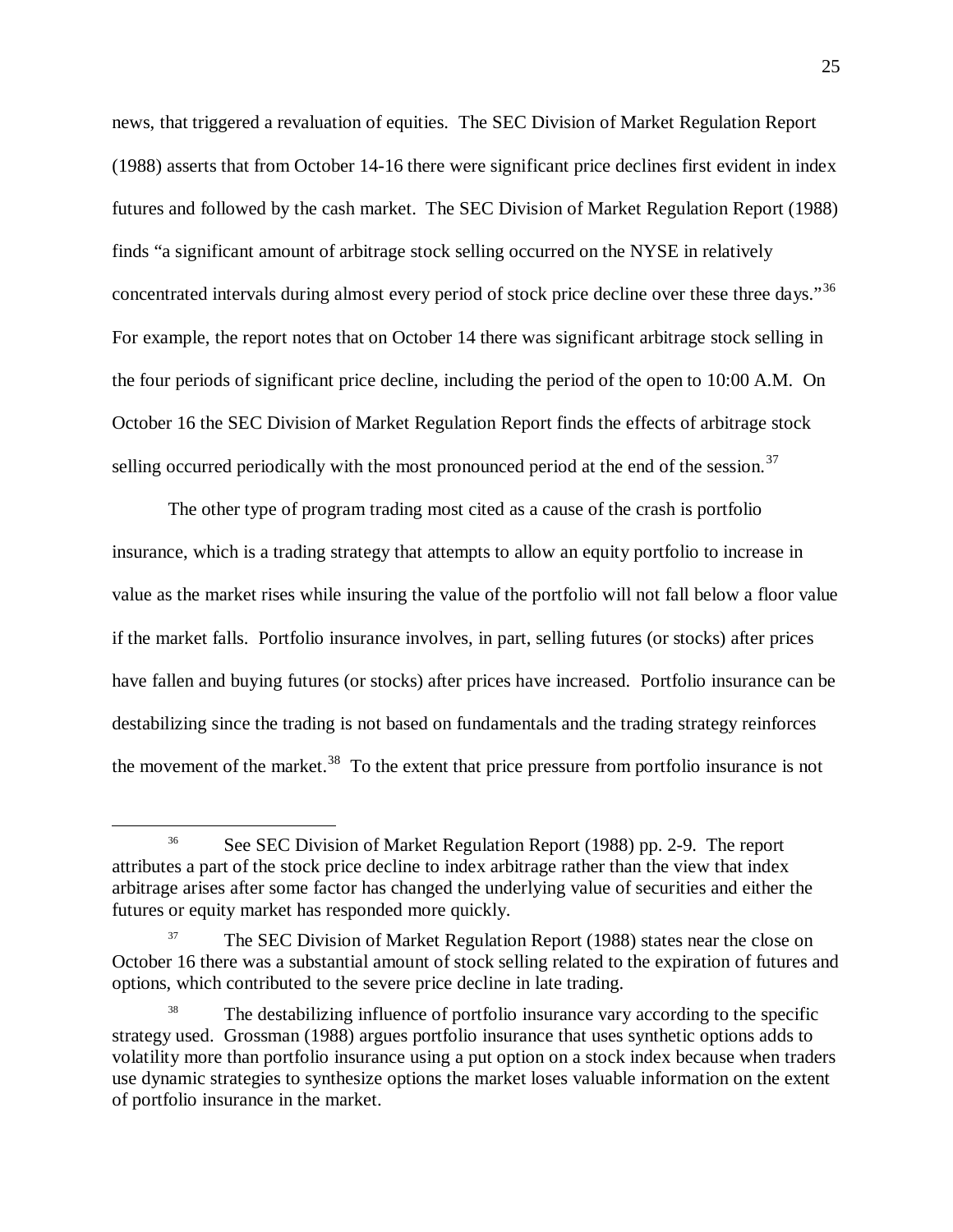news, that triggered a revaluation of equities. The SEC Division of Market Regulation Report (1988) asserts that from October 14-16 there were significant price declines first evident in index futures and followed by the cash market. The SEC Division of Market Regulation Report (1988) finds "a significant amount of arbitrage stock selling occurred on the NYSE in relatively concentrated intervals during almost every period of stock price decline over these three days."<sup>[36](#page-25-0)</sup> For example, the report notes that on October 14 there was significant arbitrage stock selling in the four periods of significant price decline, including the period of the open to 10:00 A.M. On October 16 the SEC Division of Market Regulation Report finds the effects of arbitrage stock selling occurred periodically with the most pronounced period at the end of the session. $37$ 

The other type of program trading most cited as a cause of the crash is portfolio insurance, which is a trading strategy that attempts to allow an equity portfolio to increase in value as the market rises while insuring the value of the portfolio will not fall below a floor value if the market falls. Portfolio insurance involves, in part, selling futures (or stocks) after prices have fallen and buying futures (or stocks) after prices have increased. Portfolio insurance can be destabilizing since the trading is not based on fundamentals and the trading strategy reinforces the movement of the market.<sup>[38](#page-25-2)</sup> To the extent that price pressure from portfolio insurance is not

<span id="page-25-0"></span><sup>&</sup>lt;sup>36</sup> See SEC Division of Market Regulation Report (1988) pp. 2-9. The report attributes a part of the stock price decline to index arbitrage rather than the view that index arbitrage arises after some factor has changed the underlying value of securities and either the futures or equity market has responded more quickly.

<span id="page-25-1"></span>The SEC Division of Market Regulation Report (1988) states near the close on October 16 there was a substantial amount of stock selling related to the expiration of futures and options, which contributed to the severe price decline in late trading.

<span id="page-25-2"></span>The destabilizing influence of portfolio insurance vary according to the specific strategy used. Grossman (1988) argues portfolio insurance that uses synthetic options adds to volatility more than portfolio insurance using a put option on a stock index because when traders use dynamic strategies to synthesize options the market loses valuable information on the extent of portfolio insurance in the market.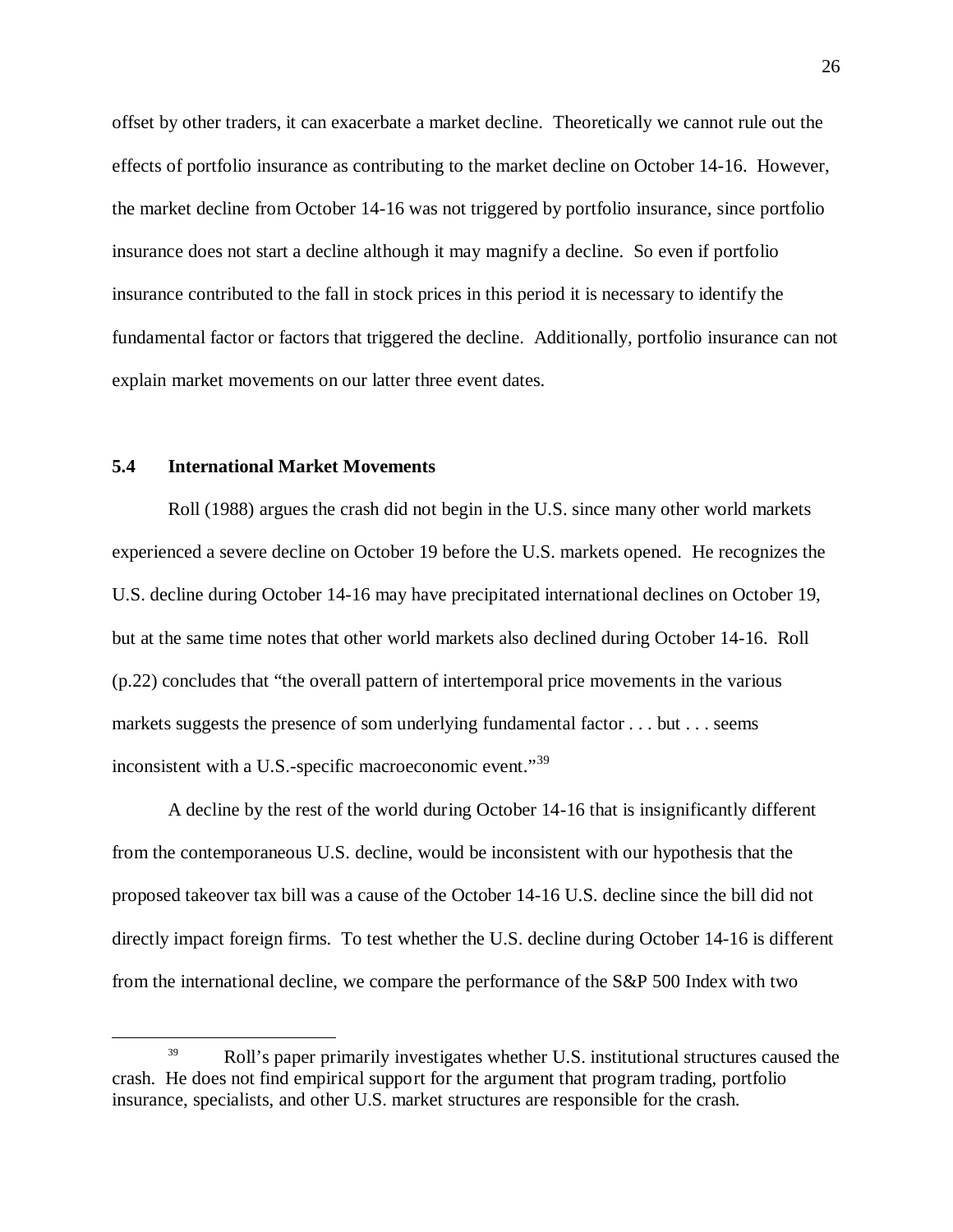offset by other traders, it can exacerbate a market decline. Theoretically we cannot rule out the effects of portfolio insurance as contributing to the market decline on October 14-16. However, the market decline from October 14-16 was not triggered by portfolio insurance, since portfolio insurance does not start a decline although it may magnify a decline. So even if portfolio insurance contributed to the fall in stock prices in this period it is necessary to identify the fundamental factor or factors that triggered the decline. Additionally, portfolio insurance can not explain market movements on our latter three event dates.

## **5.4 International Market Movements**

Roll (1988) argues the crash did not begin in the U.S. since many other world markets experienced a severe decline on October 19 before the U.S. markets opened. He recognizes the U.S. decline during October 14-16 may have precipitated international declines on October 19, but at the same time notes that other world markets also declined during October 14-16. Roll (p.22) concludes that "the overall pattern of intertemporal price movements in the various markets suggests the presence of som underlying fundamental factor . . . but . . . seems inconsistent with a U.S.-specific macroeconomic event."<sup>[39](#page-26-0)</sup>

A decline by the rest of the world during October 14-16 that is insignificantly different from the contemporaneous U.S. decline, would be inconsistent with our hypothesis that the proposed takeover tax bill was a cause of the October 14-16 U.S. decline since the bill did not directly impact foreign firms. To test whether the U.S. decline during October 14-16 is different from the international decline, we compare the performance of the S&P 500 Index with two

<span id="page-26-0"></span><sup>&</sup>lt;sup>39</sup> Roll's paper primarily investigates whether U.S. institutional structures caused the crash. He does not find empirical support for the argument that program trading, portfolio insurance, specialists, and other U.S. market structures are responsible for the crash.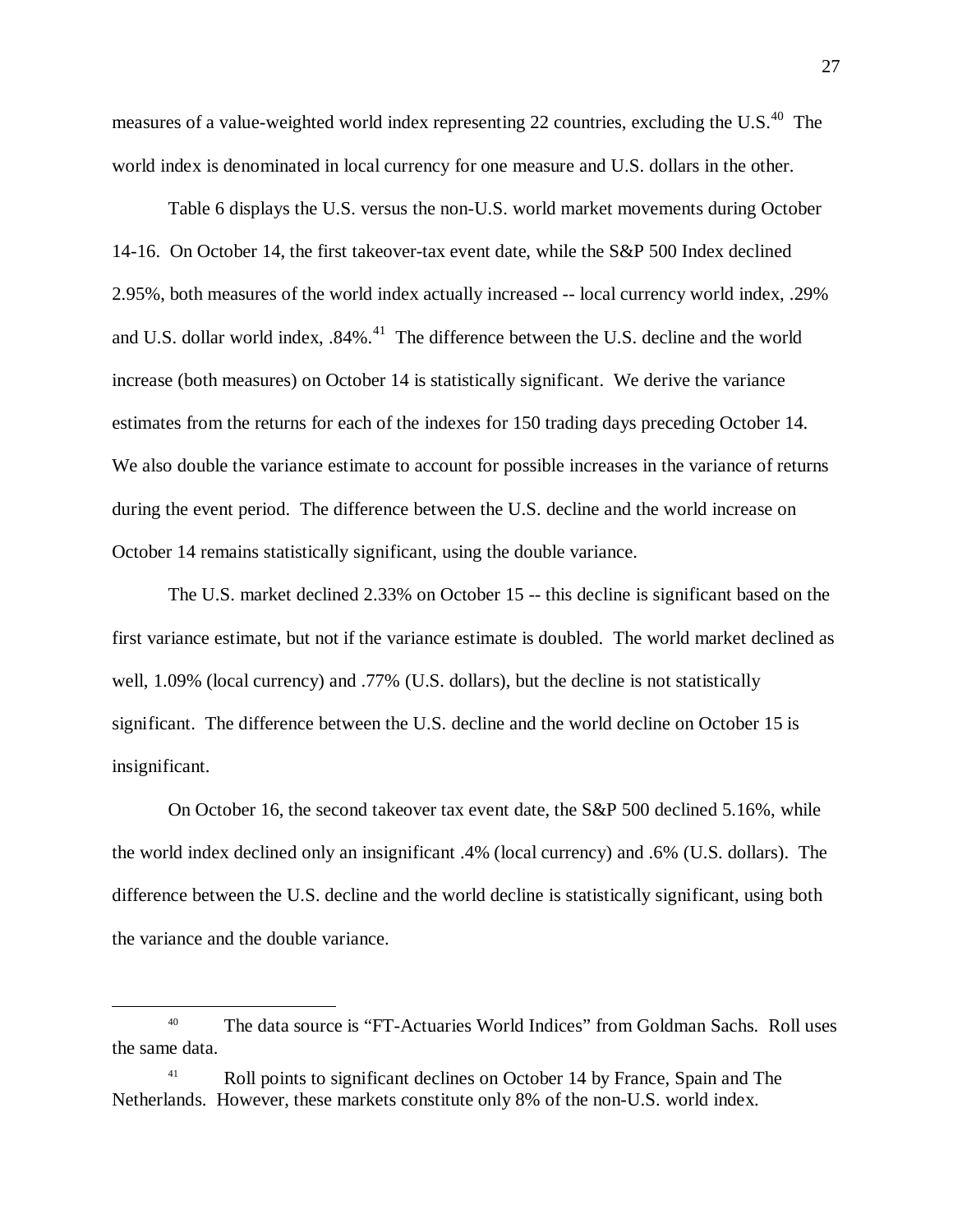measures of a value-weighted world index representing 22 countries, excluding the U.S. $^{40}$  $^{40}$  $^{40}$  The world index is denominated in local currency for one measure and U.S. dollars in the other.

Table 6 displays the U.S. versus the non-U.S. world market movements during October 14-16. On October 14, the first takeover-tax event date, while the S&P 500 Index declined 2.95%, both measures of the world index actually increased -- local currency world index, .29% and U.S. dollar world index, .84%.<sup>[41](#page-27-1)</sup> The difference between the U.S. decline and the world increase (both measures) on October 14 is statistically significant. We derive the variance estimates from the returns for each of the indexes for 150 trading days preceding October 14. We also double the variance estimate to account for possible increases in the variance of returns during the event period. The difference between the U.S. decline and the world increase on October 14 remains statistically significant, using the double variance.

The U.S. market declined 2.33% on October 15 -- this decline is significant based on the first variance estimate, but not if the variance estimate is doubled. The world market declined as well, 1.09% (local currency) and .77% (U.S. dollars), but the decline is not statistically significant. The difference between the U.S. decline and the world decline on October 15 is insignificant.

On October 16, the second takeover tax event date, the S&P 500 declined 5.16%, while the world index declined only an insignificant .4% (local currency) and .6% (U.S. dollars). The difference between the U.S. decline and the world decline is statistically significant, using both the variance and the double variance.

<span id="page-27-0"></span><sup>&</sup>lt;sup>40</sup> The data source is "FT-Actuaries World Indices" from Goldman Sachs. Roll uses the same data.

<span id="page-27-1"></span><sup>&</sup>lt;sup>41</sup> Roll points to significant declines on October 14 by France, Spain and The Netherlands. However, these markets constitute only 8% of the non-U.S. world index.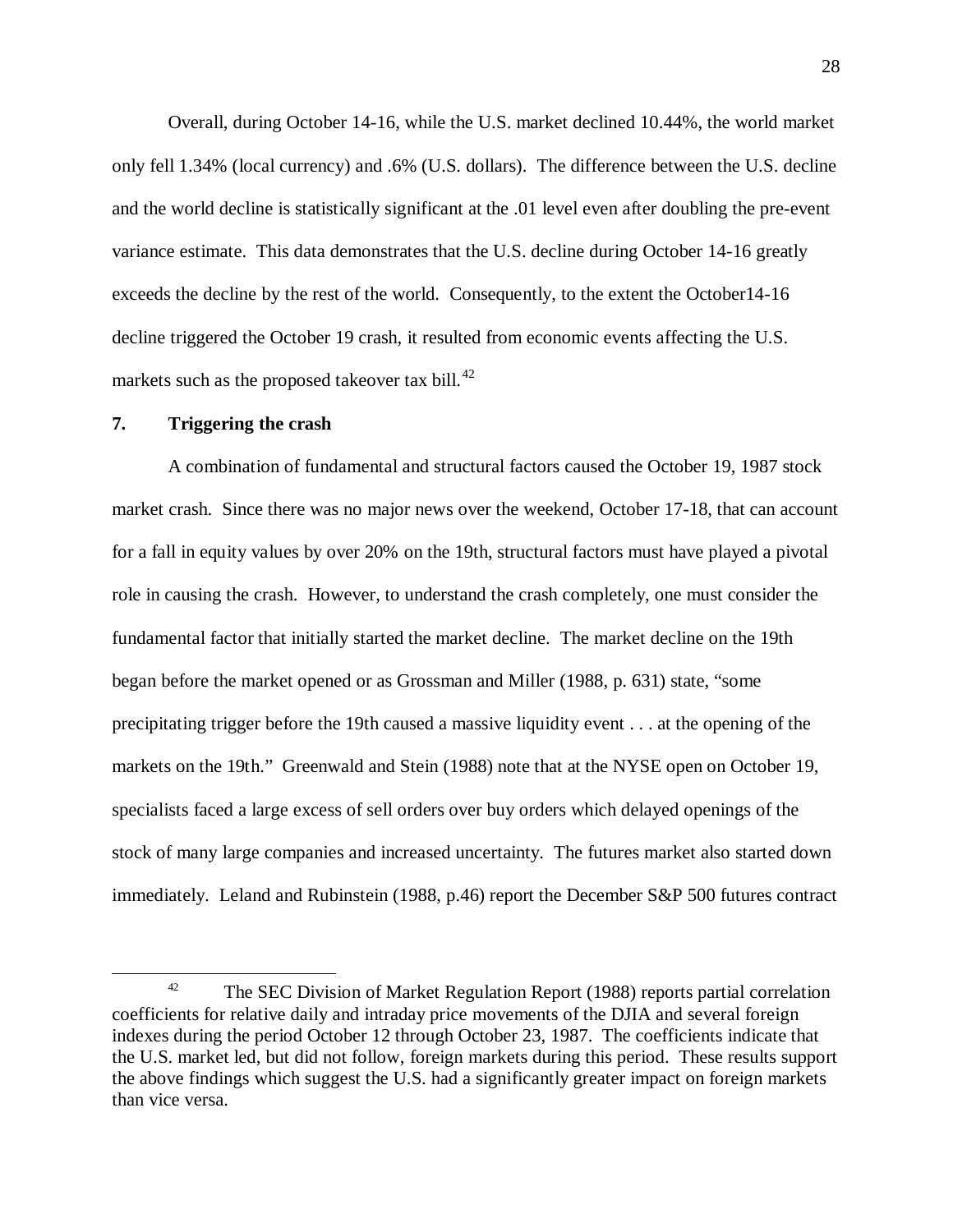Overall, during October 14-16, while the U.S. market declined 10.44%, the world market only fell 1.34% (local currency) and .6% (U.S. dollars). The difference between the U.S. decline and the world decline is statistically significant at the .01 level even after doubling the pre-event variance estimate. This data demonstrates that the U.S. decline during October 14-16 greatly exceeds the decline by the rest of the world. Consequently, to the extent the October14-16 decline triggered the October 19 crash, it resulted from economic events affecting the U.S. markets such as the proposed takeover tax bill. $^{42}$  $^{42}$  $^{42}$ 

### **7. Triggering the crash**

A combination of fundamental and structural factors caused the October 19, 1987 stock market crash. Since there was no major news over the weekend, October 17-18, that can account for a fall in equity values by over 20% on the 19th, structural factors must have played a pivotal role in causing the crash. However, to understand the crash completely, one must consider the fundamental factor that initially started the market decline. The market decline on the 19th began before the market opened or as Grossman and Miller (1988, p. 631) state, "some precipitating trigger before the 19th caused a massive liquidity event . . . at the opening of the markets on the 19th." Greenwald and Stein (1988) note that at the NYSE open on October 19, specialists faced a large excess of sell orders over buy orders which delayed openings of the stock of many large companies and increased uncertainty. The futures market also started down immediately. Leland and Rubinstein (1988, p.46) report the December S&P 500 futures contract

<span id="page-28-0"></span><sup>&</sup>lt;sup>42</sup> The SEC Division of Market Regulation Report (1988) reports partial correlation coefficients for relative daily and intraday price movements of the DJIA and several foreign indexes during the period October 12 through October 23, 1987. The coefficients indicate that the U.S. market led, but did not follow, foreign markets during this period. These results support the above findings which suggest the U.S. had a significantly greater impact on foreign markets than vice versa.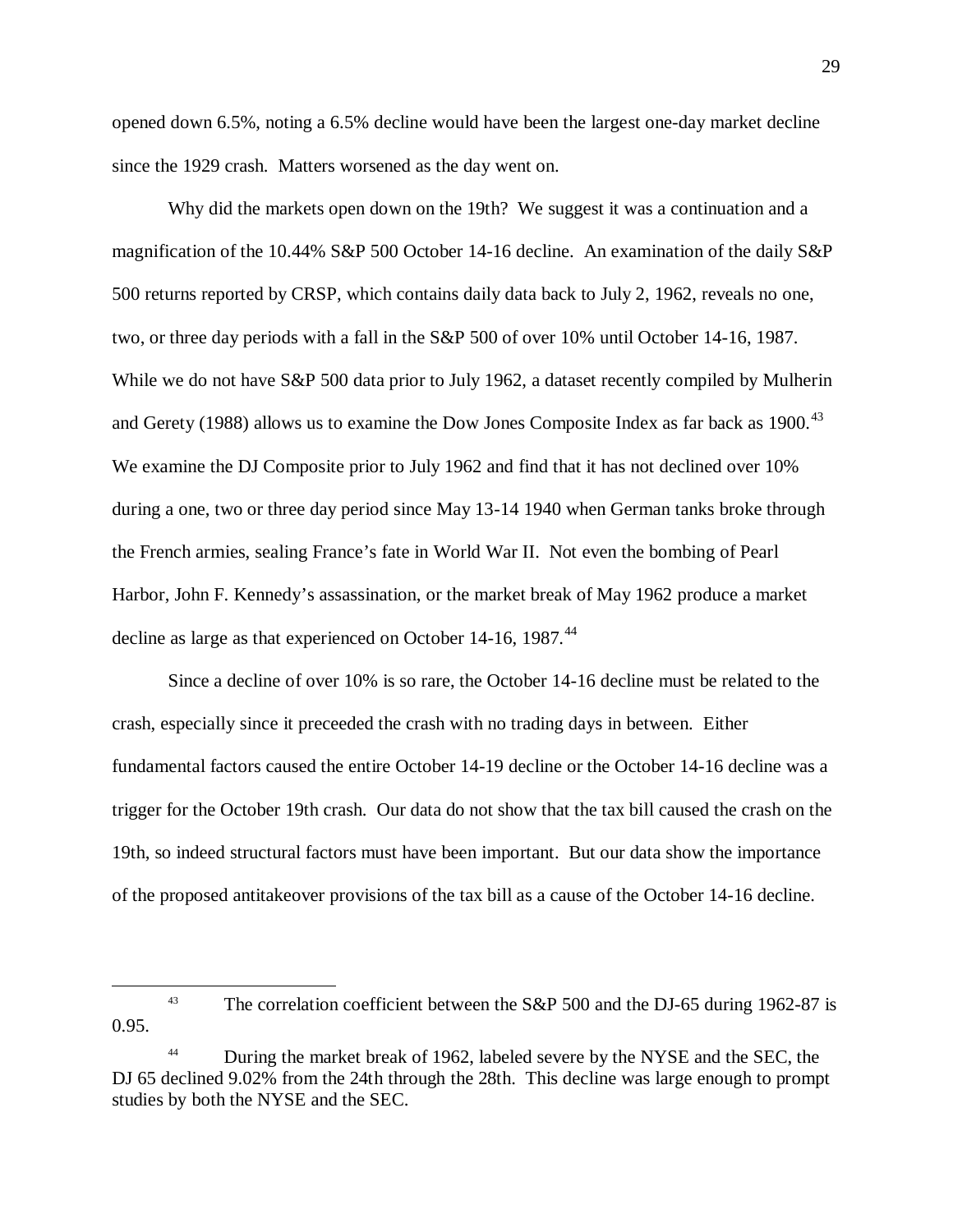opened down 6.5%, noting a 6.5% decline would have been the largest one-day market decline since the 1929 crash. Matters worsened as the day went on.

Why did the markets open down on the 19th? We suggest it was a continuation and a magnification of the 10.44% S&P 500 October 14-16 decline. An examination of the daily S&P 500 returns reported by CRSP, which contains daily data back to July 2, 1962, reveals no one, two, or three day periods with a fall in the S&P 500 of over 10% until October 14-16, 1987. While we do not have S&P 500 data prior to July 1962, a dataset recently compiled by Mulherin and Gerety (1988) allows us to examine the Dow Jones Composite Index as far back as  $1900$ .<sup>[43](#page-29-0)</sup> We examine the DJ Composite prior to July 1962 and find that it has not declined over 10% during a one, two or three day period since May 13-14 1940 when German tanks broke through the French armies, sealing France's fate in World War II. Not even the bombing of Pearl Harbor, John F. Kennedy's assassination, or the market break of May 1962 produce a market decline as large as that experienced on October 14-16, 1987.<sup>[44](#page-29-1)</sup>

Since a decline of over 10% is so rare, the October 14-16 decline must be related to the crash, especially since it preceeded the crash with no trading days in between. Either fundamental factors caused the entire October 14-19 decline or the October 14-16 decline was a trigger for the October 19th crash. Our data do not show that the tax bill caused the crash on the 19th, so indeed structural factors must have been important. But our data show the importance of the proposed antitakeover provisions of the tax bill as a cause of the October 14-16 decline.

<span id="page-29-0"></span><sup>&</sup>lt;sup>43</sup> The correlation coefficient between the S&P 500 and the DJ-65 during 1962-87 is 0.95.

<span id="page-29-1"></span>During the market break of 1962, labeled severe by the NYSE and the SEC, the DJ 65 declined 9.02% from the 24th through the 28th. This decline was large enough to prompt studies by both the NYSE and the SEC.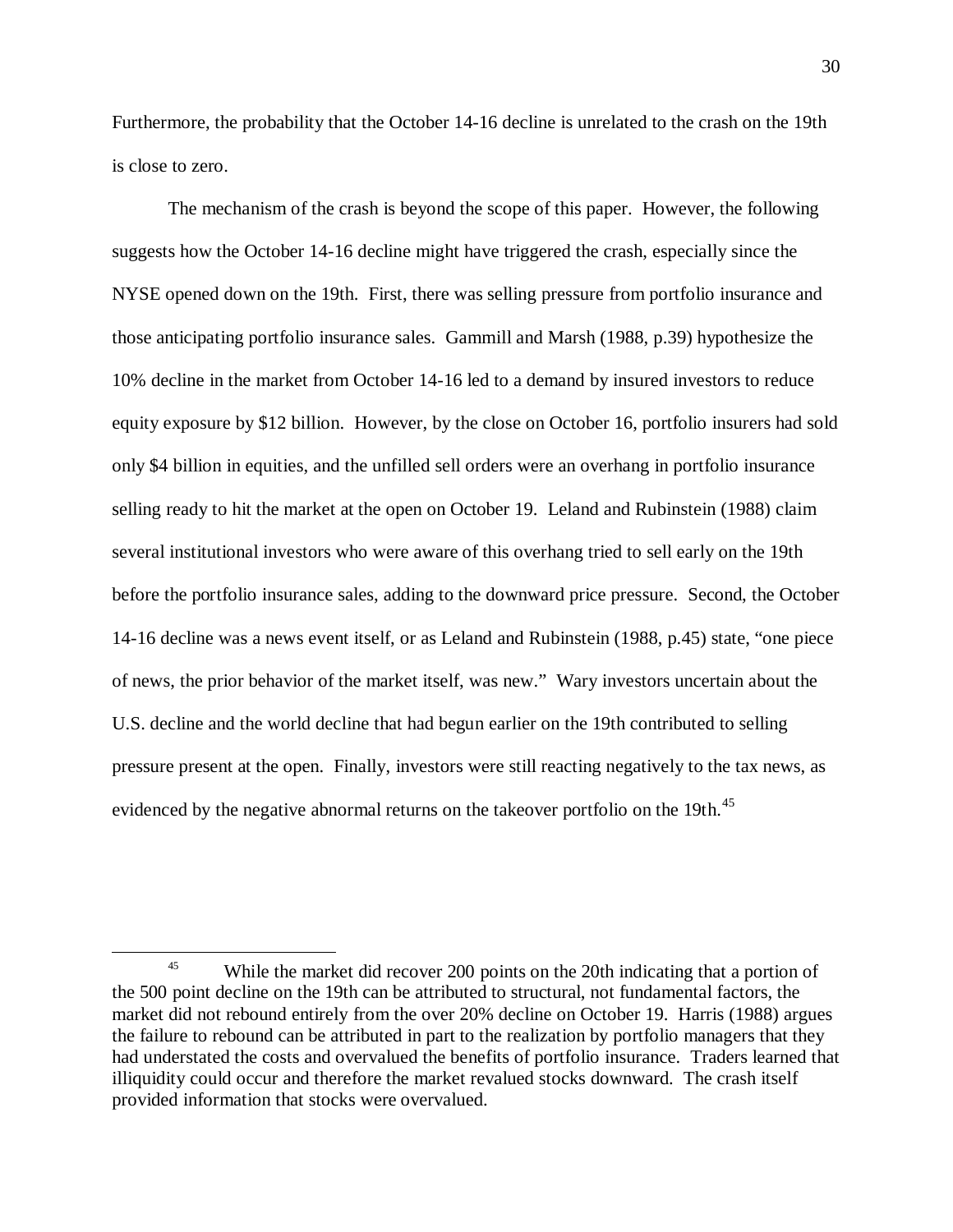Furthermore, the probability that the October 14-16 decline is unrelated to the crash on the 19th is close to zero.

The mechanism of the crash is beyond the scope of this paper. However, the following suggests how the October 14-16 decline might have triggered the crash, especially since the NYSE opened down on the 19th. First, there was selling pressure from portfolio insurance and those anticipating portfolio insurance sales. Gammill and Marsh (1988, p.39) hypothesize the 10% decline in the market from October 14-16 led to a demand by insured investors to reduce equity exposure by \$12 billion. However, by the close on October 16, portfolio insurers had sold only \$4 billion in equities, and the unfilled sell orders were an overhang in portfolio insurance selling ready to hit the market at the open on October 19. Leland and Rubinstein (1988) claim several institutional investors who were aware of this overhang tried to sell early on the 19th before the portfolio insurance sales, adding to the downward price pressure. Second, the October 14-16 decline was a news event itself, or as Leland and Rubinstein (1988, p.45) state, "one piece of news, the prior behavior of the market itself, was new." Wary investors uncertain about the U.S. decline and the world decline that had begun earlier on the 19th contributed to selling pressure present at the open. Finally, investors were still reacting negatively to the tax news, as evidenced by the negative abnormal returns on the takeover portfolio on the 19th.<sup>[45](#page-30-0)</sup>

<span id="page-30-0"></span><sup>&</sup>lt;sup>45</sup> While the market did recover 200 points on the 20th indicating that a portion of the 500 point decline on the 19th can be attributed to structural, not fundamental factors, the market did not rebound entirely from the over 20% decline on October 19. Harris (1988) argues the failure to rebound can be attributed in part to the realization by portfolio managers that they had understated the costs and overvalued the benefits of portfolio insurance. Traders learned that illiquidity could occur and therefore the market revalued stocks downward. The crash itself provided information that stocks were overvalued.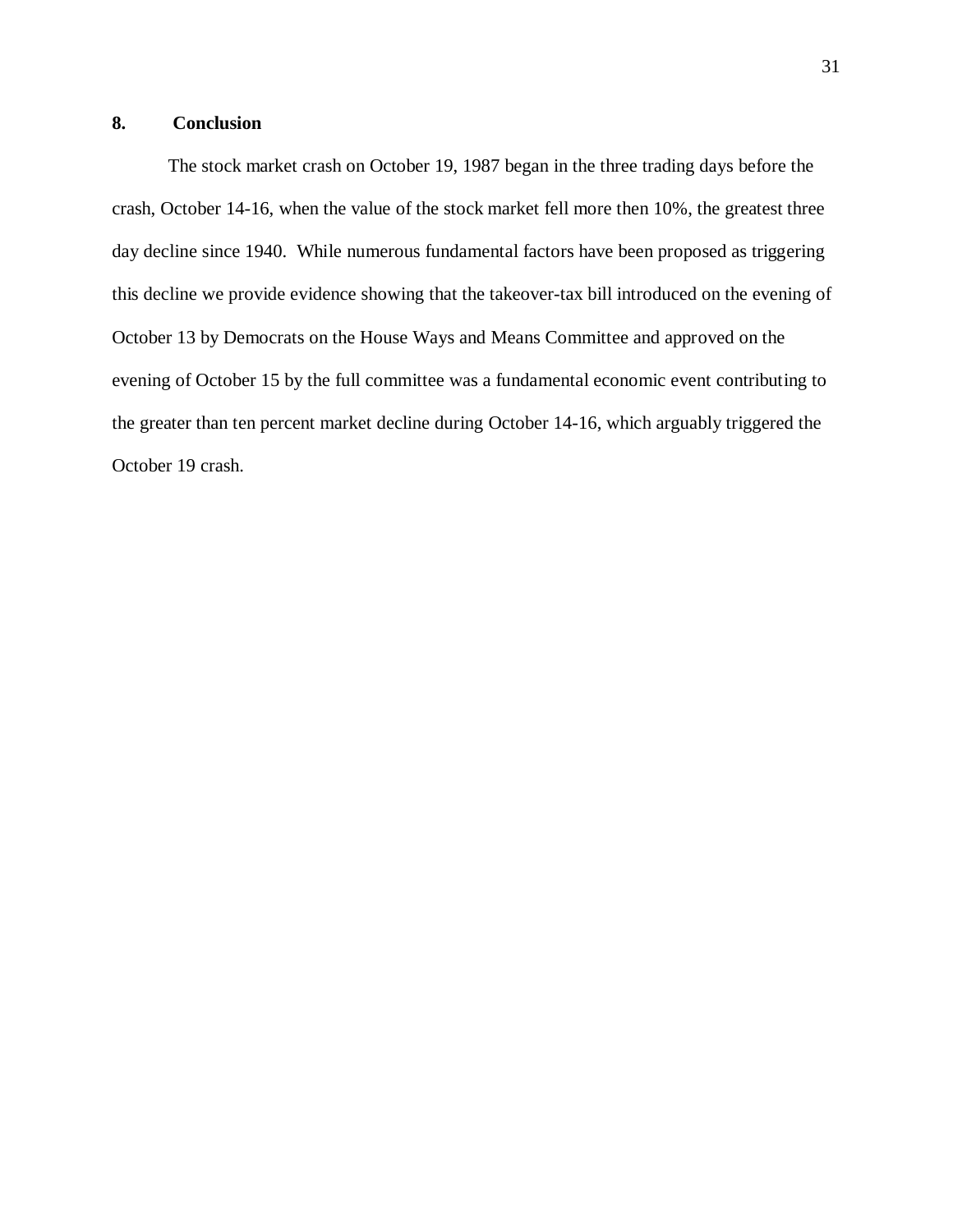## **8. Conclusion**

The stock market crash on October 19, 1987 began in the three trading days before the crash, October 14-16, when the value of the stock market fell more then 10%, the greatest three day decline since 1940. While numerous fundamental factors have been proposed as triggering this decline we provide evidence showing that the takeover-tax bill introduced on the evening of October 13 by Democrats on the House Ways and Means Committee and approved on the evening of October 15 by the full committee was a fundamental economic event contributing to the greater than ten percent market decline during October 14-16, which arguably triggered the October 19 crash.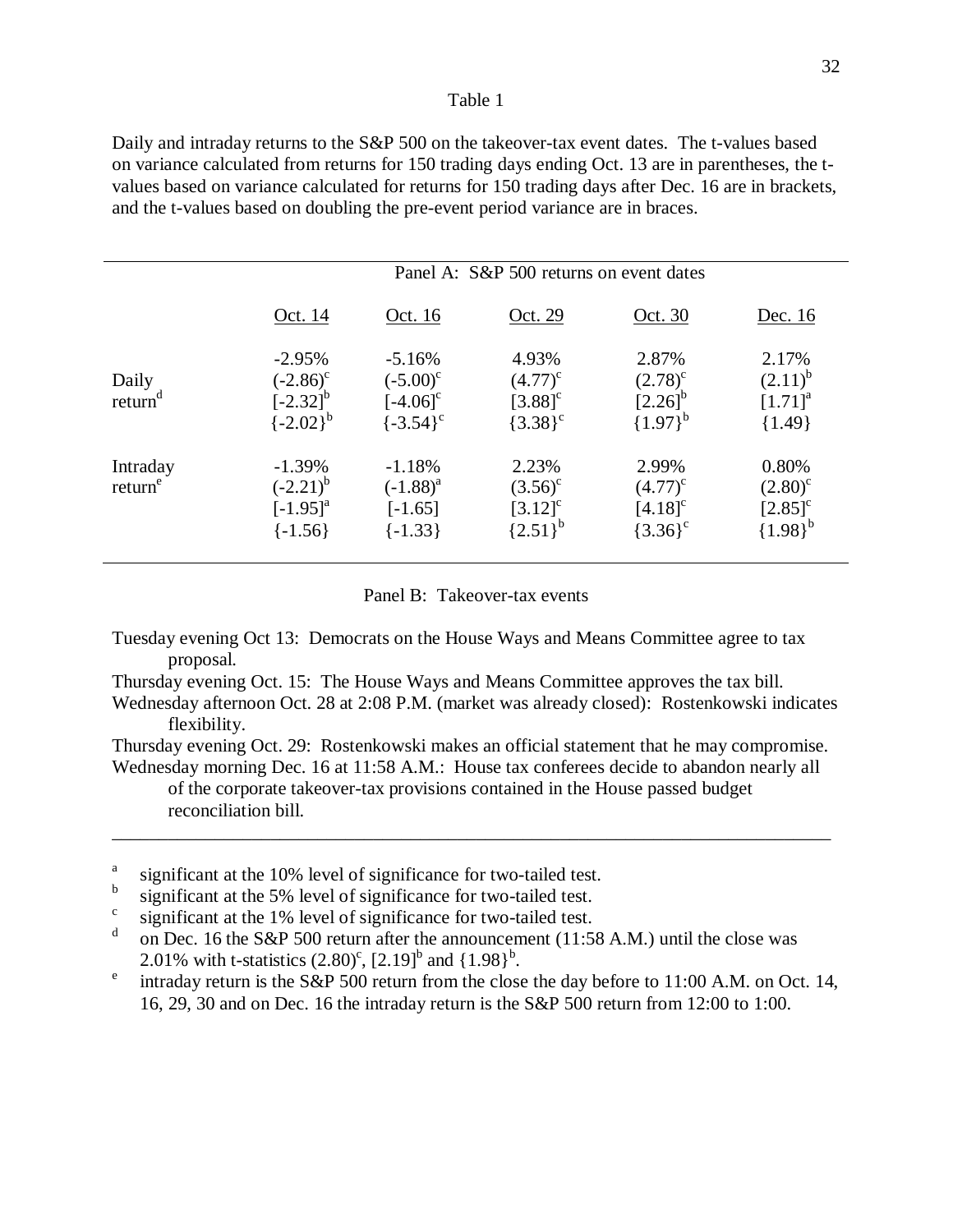Daily and intraday returns to the S&P 500 on the takeover-tax event dates. The t-values based on variance calculated from returns for 150 trading days ending Oct. 13 are in parentheses, the tvalues based on variance calculated for returns for 150 trading days after Dec. 16 are in brackets, and the t-values based on doubling the pre-event period variance are in braces.

|                                 | Panel A: S&P 500 returns on event dates                            |                                                                    |                                                     |                                                              |                                                                    |
|---------------------------------|--------------------------------------------------------------------|--------------------------------------------------------------------|-----------------------------------------------------|--------------------------------------------------------------|--------------------------------------------------------------------|
|                                 | Oct. 14                                                            | <u>Oct. 16</u>                                                     | Oct. 29                                             | Oct. 30                                                      | Dec. 16                                                            |
| Daily<br>return <sup>d</sup>    | $-2.95%$<br>$(-2.86)^c$<br>$[-2.32]^{b}$<br>$\{-2.02\}^{b}$        | $-5.16%$<br>$(-5.00)^c$<br>$[-4.06]$ <sup>c</sup><br>$\{-3.54\}^c$ | 4.93%<br>$(4.77)^{c}$<br>$[3.88]^{c}$<br>${3.38}^c$ | 2.87%<br>$(2.78)^c$<br>$[2.26]^{b}$<br>${1.97}^{b}$          | 2.17%<br>$(2.11)^{b}$<br>$[1.71]^{a}$<br>${1.49}$                  |
| Intraday<br>return <sup>e</sup> | $-1.39%$<br>$(-2.21)^{b}$<br>$[-1.95]$ <sup>a</sup><br>$\{-1.56\}$ | $-1.18%$<br>$(-1.88)^{a}$<br>$[-1.65]$<br>$[-1.33]$                | 2.23%<br>$(3.56)^c$<br>$[3.12]^{c}$<br>${2.51}^{b}$ | 2.99%<br>$(4.77)^{c}$<br>$[4.18]$ <sup>c</sup><br>${3.36}^c$ | 0.80%<br>$(2.80)^{\circ}$<br>$[2.85]$ <sup>c</sup><br>${1.98}^{b}$ |

#### Panel B: Takeover-tax events

- Tuesday evening Oct 13: Democrats on the House Ways and Means Committee agree to tax proposal.
- Thursday evening Oct. 15: The House Ways and Means Committee approves the tax bill.
- Wednesday afternoon Oct. 28 at 2:08 P.M. (market was already closed): Rostenkowski indicates flexibility.

Thursday evening Oct. 29: Rostenkowski makes an official statement that he may compromise.

Wednesday morning Dec. 16 at 11:58 A.M.: House tax conferees decide to abandon nearly all of the corporate takeover-tax provisions contained in the House passed budget reconciliation bill.

\_\_\_\_\_\_\_\_\_\_\_\_\_\_\_\_\_\_\_\_\_\_\_\_\_\_\_\_\_\_\_\_\_\_\_\_\_\_\_\_\_\_\_\_\_\_\_\_\_\_\_\_\_\_\_\_\_\_\_\_\_\_\_\_\_\_\_\_\_\_\_\_\_\_\_\_\_

- <sup>a</sup> significant at the 10% level of significance for two-tailed test.
- b significant at the 5% level of significance for two-tailed test.<br>c significant at the 1% level of significance for two-tailed test.
- 
- on Dec. 16 the S&P 500 return after the announcement  $(11:58 \text{ A.M.})$  until the close was 2.01% with t-statistics  $(2.80)^c$ ,  $[2.19]^b$  and  $\{1.98\}^b$
- <sup>e</sup> intraday return is the S&P 500 return from the close the day before to 11:00 A.M. on Oct. 14, 16, 29, 30 and on Dec. 16 the intraday return is the S&P 500 return from 12:00 to 1:00.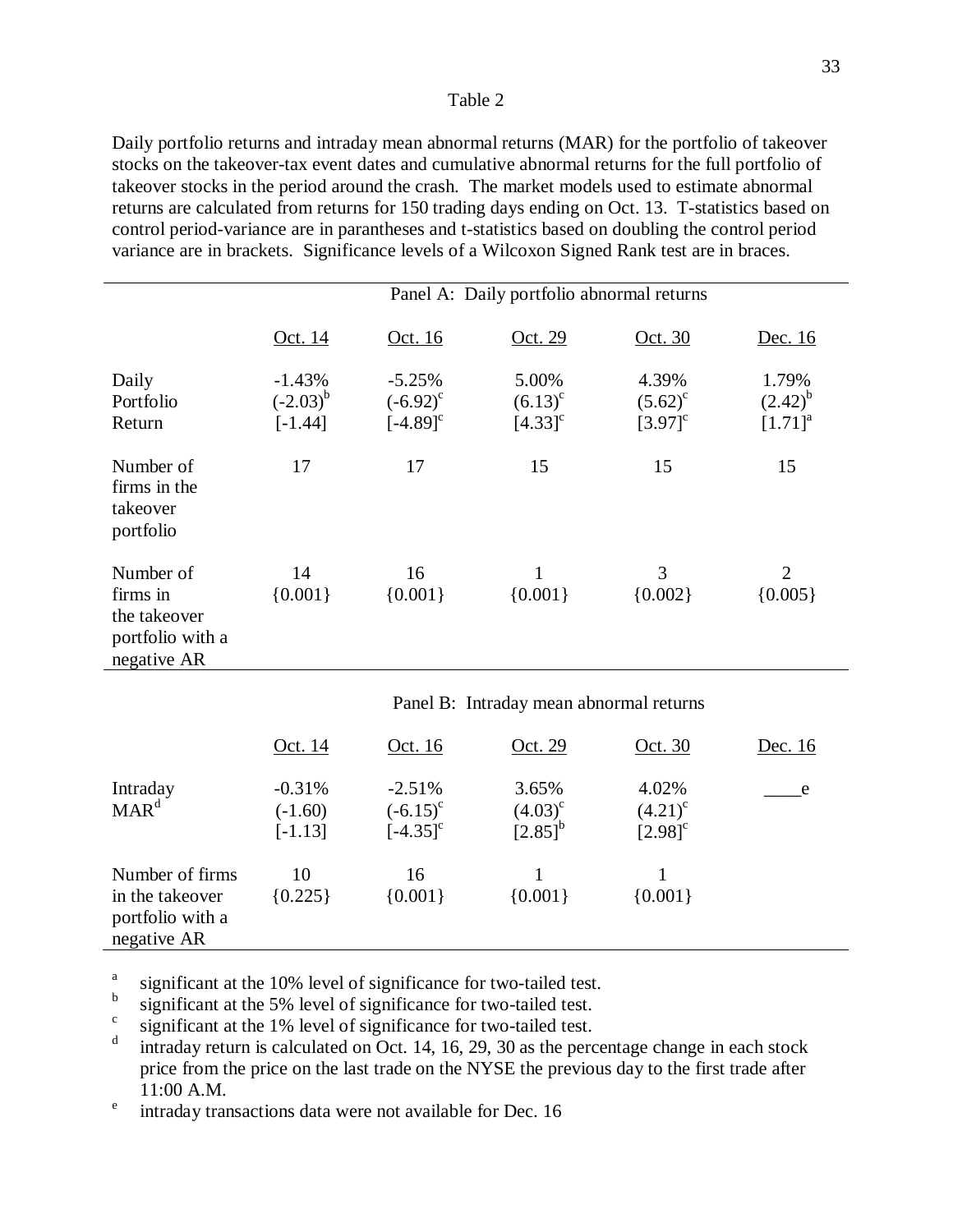Daily portfolio returns and intraday mean abnormal returns (MAR) for the portfolio of takeover stocks on the takeover-tax event dates and cumulative abnormal returns for the full portfolio of takeover stocks in the period around the crash. The market models used to estimate abnormal returns are calculated from returns for 150 trading days ending on Oct. 13. T-statistics based on control period-variance are in parantheses and t-statistics based on doubling the control period variance are in brackets. Significance levels of a Wilcoxon Signed Rank test are in braces.

|                                                                          |                                        |                                                     | Panel A: Daily portfolio abnormal returns      |                                                |                                       |
|--------------------------------------------------------------------------|----------------------------------------|-----------------------------------------------------|------------------------------------------------|------------------------------------------------|---------------------------------------|
|                                                                          | <u>Oct. 14</u>                         | <u>Oct. 16</u>                                      | <u>Oct. 29</u>                                 | Oct. 30                                        | <u>Dec. 16</u>                        |
| Daily<br>Portfolio<br>Return                                             | $-1.43%$<br>$(-2.03)^{b}$<br>$[-1.44]$ | $-5.25%$<br>$(-6.92)^{c}$<br>$[-4.89]$ <sup>c</sup> | 5.00%<br>$(6.13)^{c}$<br>$[4.33]$ <sup>c</sup> | 4.39%<br>$(5.62)^{c}$<br>$[3.97]$ <sup>c</sup> | 1.79%<br>$(2.42)^{b}$<br>$[1.71]^{a}$ |
| Number of<br>firms in the<br>takeover<br>portfolio                       | 17                                     | 17                                                  | 15                                             | 15                                             | 15                                    |
| Number of<br>firms in<br>the takeover<br>portfolio with a<br>negative AR | 14<br>${0.001}$                        | 16<br>${0.001}$                                     | $\mathbf{1}$<br>${0.001}$                      | 3<br>${0.002}$                                 | $\overline{2}$<br>${0.005}$           |
|                                                                          |                                        |                                                     | Panel B: Intraday mean abnormal returns        |                                                |                                       |
|                                                                          | Oct. 14                                | <u>Oct. 16</u>                                      | Oct. 29                                        | Oct. 30                                        | Dec. 16                               |

|                                                                       | Oct. 14                            | Oct. 16                                             | Oct. 29                               | Oct. 30                                      | Dec. 16 |
|-----------------------------------------------------------------------|------------------------------------|-----------------------------------------------------|---------------------------------------|----------------------------------------------|---------|
| Intraday<br>$\text{MAR}^d$                                            | $-0.31%$<br>$(-1.60)$<br>$[-1.13]$ | $-2.51%$<br>$(-6.15)^{c}$<br>$[-4.35]$ <sup>c</sup> | 3.65%<br>$(4.03)^{c}$<br>$[2.85]^{b}$ | 4.02%<br>$(4.21)^c$<br>$[2.98]$ <sup>c</sup> | e e     |
| Number of firms<br>in the takeover<br>portfolio with a<br>negative AR | 10<br>${0.225}$                    | 16<br>${0.001}$                                     | ${0.001}$                             | ${0.001}$                                    |         |

<sup>a</sup> significant at the 10% level of significance for two-tailed test.

b significant at the 5% level of significance for two-tailed test. significant at the 1% level of significance for two-tailed test.

intraday return is calculated on Oct. 14, 16, 29, 30 as the percentage change in each stock price from the price on the last trade on the NYSE the previous day to the first trade after <sup>e</sup> intraday transactions data were not available for Dec. 16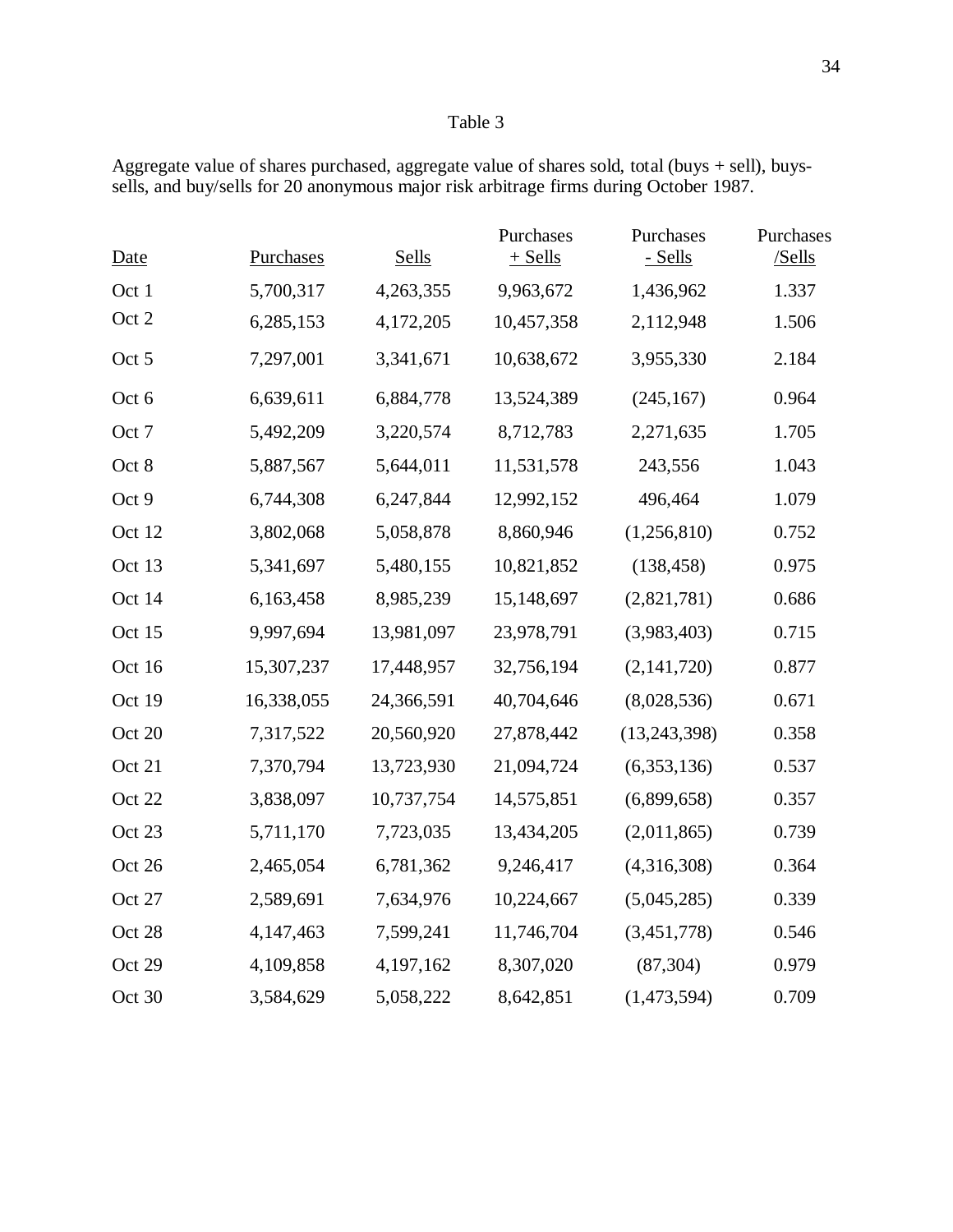| <b>Date</b> | <b>Purchases</b> | <b>Sells</b> | Purchases<br>$+$ Sells | Purchases<br>- Sells | Purchases<br>/Sells |
|-------------|------------------|--------------|------------------------|----------------------|---------------------|
| Oct 1       | 5,700,317        | 4,263,355    | 9,963,672              | 1,436,962            | 1.337               |
| Oct 2       | 6,285,153        | 4,172,205    | 10,457,358             | 2,112,948            | 1.506               |
| Oct 5       | 7,297,001        | 3,341,671    | 10,638,672             | 3,955,330            | 2.184               |
| Oct 6       | 6,639,611        | 6,884,778    | 13,524,389             | (245, 167)           | 0.964               |
| Oct 7       | 5,492,209        | 3,220,574    | 8,712,783              | 2,271,635            | 1.705               |
| Oct 8       | 5,887,567        | 5,644,011    | 11,531,578             | 243,556              | 1.043               |
| Oct 9       | 6,744,308        | 6,247,844    | 12,992,152             | 496,464              | 1.079               |
| Oct 12      | 3,802,068        | 5,058,878    | 8,860,946              | (1,256,810)          | 0.752               |
| Oct 13      | 5,341,697        | 5,480,155    | 10,821,852             | (138, 458)           | 0.975               |
| Oct 14      | 6,163,458        | 8,985,239    | 15,148,697             | (2,821,781)          | 0.686               |
| Oct 15      | 9,997,694        | 13,981,097   | 23,978,791             | (3,983,403)          | 0.715               |
| Oct 16      | 15,307,237       | 17,448,957   | 32,756,194             | (2, 141, 720)        | 0.877               |
| Oct 19      | 16,338,055       | 24,366,591   | 40,704,646             | (8,028,536)          | 0.671               |
| Oct 20      | 7,317,522        | 20,560,920   | 27,878,442             | (13, 243, 398)       | 0.358               |
| Oct 21      | 7,370,794        | 13,723,930   | 21,094,724             | (6,353,136)          | 0.537               |
| Oct 22      | 3,838,097        | 10,737,754   | 14,575,851             | (6,899,658)          | 0.357               |
| Oct 23      | 5,711,170        | 7,723,035    | 13,434,205             | (2,011,865)          | 0.739               |
| Oct 26      | 2,465,054        | 6,781,362    | 9,246,417              | (4,316,308)          | 0.364               |
| Oct 27      | 2,589,691        | 7,634,976    | 10,224,667             | (5,045,285)          | 0.339               |
| Oct 28      | 4,147,463        | 7,599,241    | 11,746,704             | (3,451,778)          | 0.546               |
| Oct 29      | 4,109,858        | 4,197,162    | 8,307,020              | (87, 304)            | 0.979               |
| Oct 30      | 3,584,629        | 5,058,222    | 8,642,851              | (1,473,594)          | 0.709               |

Aggregate value of shares purchased, aggregate value of shares sold, total (buys + sell), buyssells, and buy/sells for 20 anonymous major risk arbitrage firms during October 1987.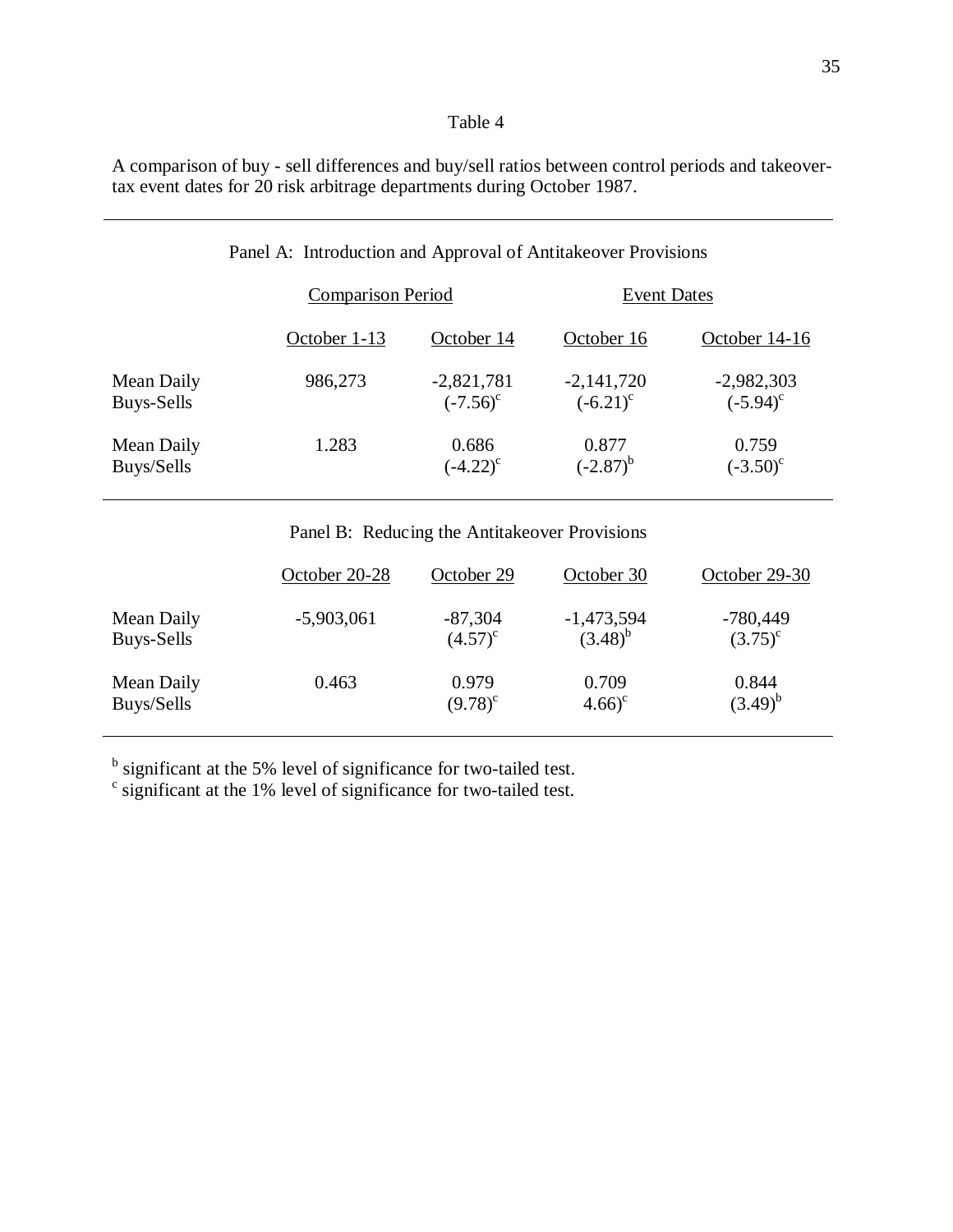A comparison of buy - sell differences and buy/sell ratios between control periods and takeovertax event dates for 20 risk arbitrage departments during October 1987.

|            | <b>Comparison Period</b> |               | <b>Event Dates</b> |               |
|------------|--------------------------|---------------|--------------------|---------------|
|            | October 1-13             | October 14    | October 16         | October 14-16 |
| Mean Daily | 986,273                  | $-2,821,781$  | $-2,141,720$       | $-2,982,303$  |
| Buys-Sells |                          | $(-7.56)^c$   | $(-6.21)^c$        | $(-5.94)^c$   |
| Mean Daily | 1.283                    | 0.686         | 0.877              | 0.759         |
| Buys/Sells |                          | $(-4.22)^{c}$ | $(-2.87)^{b}$      | $(-3.50)^c$   |

# Panel A: Introduction and Approval of Antitakeover Provisions

## Panel B: Reducing the Antitakeover Provisions

|            | October 20-28 | October 29   | October 30   | October 29-30 |
|------------|---------------|--------------|--------------|---------------|
| Mean Daily | $-5,903,061$  | $-87,304$    | $-1,473,594$ | $-780,449$    |
| Buys-Sells |               | $(4.57)^{c}$ | $(3.48)^{b}$ | $(3.75)^{c}$  |
| Mean Daily | 0.463         | 0.979        | 0.709        | 0.844         |
| Buys/Sells |               | $(9.78)^c$   | $(4.66)^c$   | $(3.49)^{b}$  |

 $\frac{b}{c}$  significant at the 5% level of significance for two-tailed test.  $\frac{c}{c}$  significant at the 1% level of significance for two-tailed test.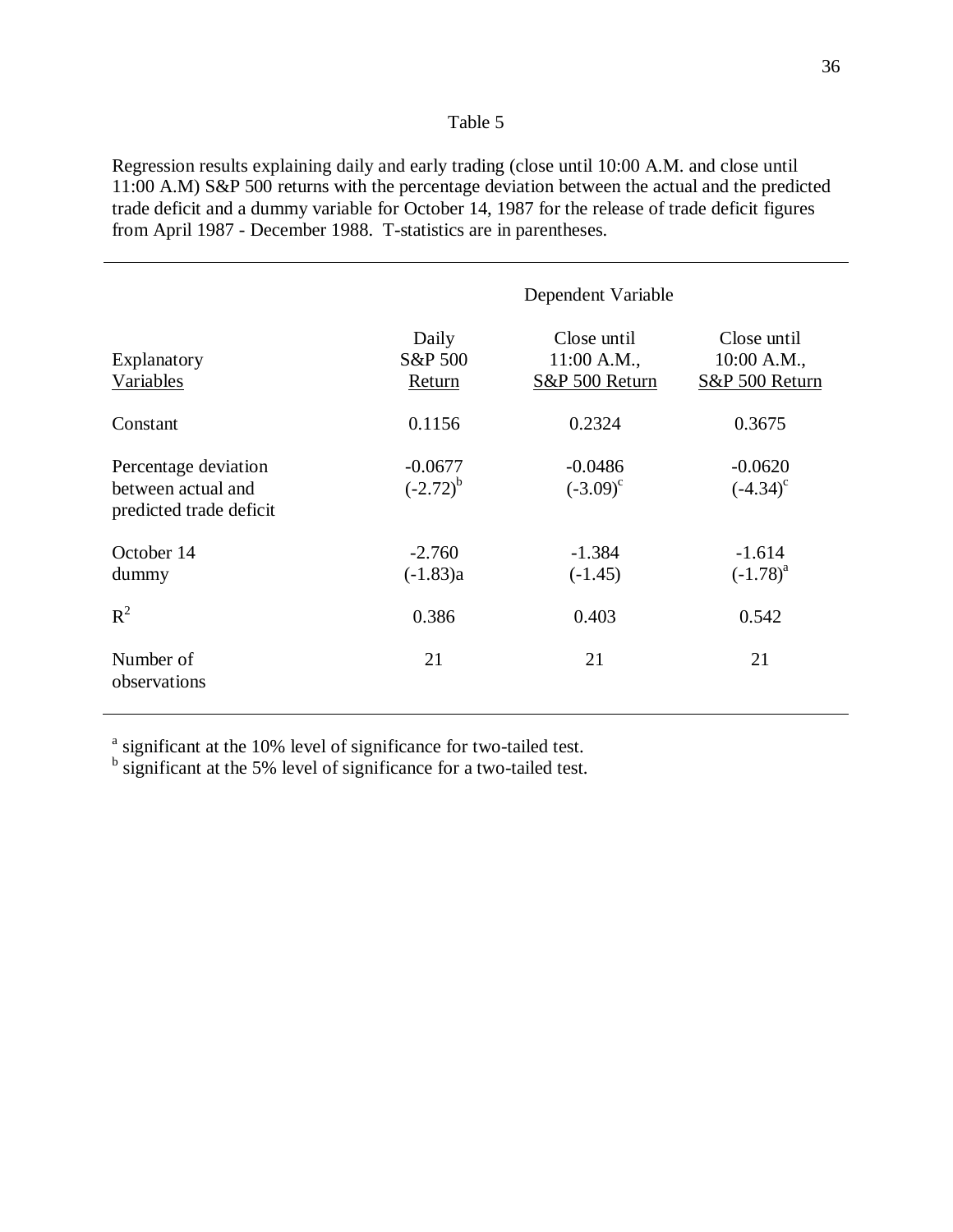Regression results explaining daily and early trading (close until 10:00 A.M. and close until 11:00 A.M) S&P 500 returns with the percentage deviation between the actual and the predicted trade deficit and a dummy variable for October 14, 1987 for the release of trade deficit figures from April 1987 - December 1988. T-statistics are in parentheses.

|                                                                       | Dependent Variable         |                                                |                                                |
|-----------------------------------------------------------------------|----------------------------|------------------------------------------------|------------------------------------------------|
| Explanatory<br>Variables                                              | Daily<br>S&P 500<br>Return | Close until<br>$11:00$ A.M.,<br>S&P 500 Return | Close until<br>$10:00$ A.M.,<br>S&P 500 Return |
| Constant                                                              | 0.1156                     | 0.2324                                         | 0.3675                                         |
| Percentage deviation<br>between actual and<br>predicted trade deficit | $-0.0677$<br>$(-2.72)^{b}$ | $-0.0486$<br>$(-3.09)^c$                       | $-0.0620$<br>$(-4.34)^c$                       |
| October 14<br>dummy                                                   | $-2.760$<br>$(-1.83)a$     | $-1.384$<br>$(-1.45)$                          | $-1.614$<br>$(-1.78)^{a}$                      |
| $R^2$                                                                 | 0.386                      | 0.403                                          | 0.542                                          |
| Number of<br>observations                                             | 21                         | 21                                             | 21                                             |

<sup>a</sup> significant at the 10% level of significance for two-tailed test.

 $<sup>b</sup>$  significant at the 5% level of significance for a two-tailed test.</sup>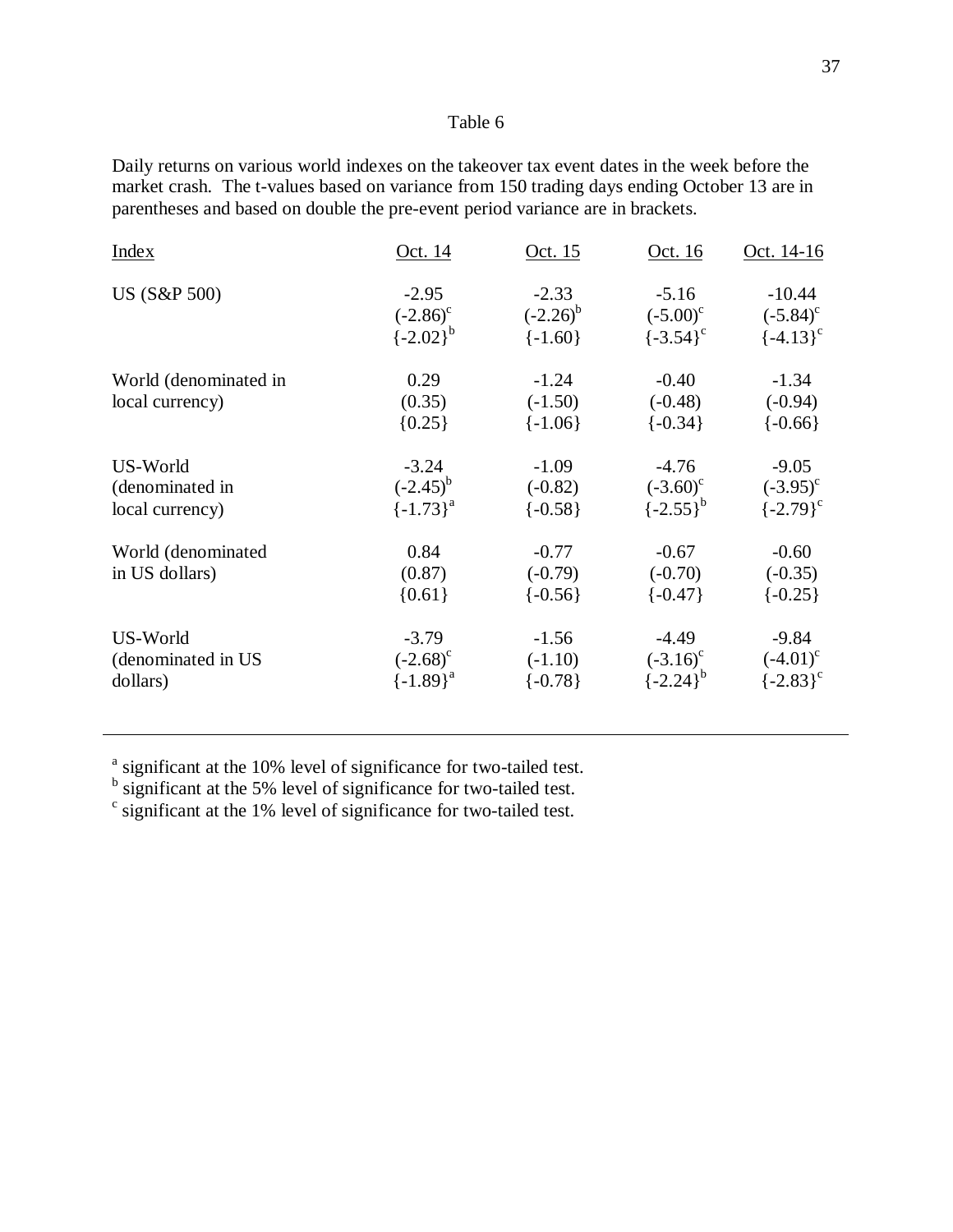Daily returns on various world indexes on the takeover tax event dates in the week before the market crash. The t-values based on variance from 150 trading days ending October 13 are in parentheses and based on double the pre-event period variance are in brackets.

| <b>Index</b>          | Oct. 14                        | Oct. 15       | Oct. 16           | Oct. 14-16    |
|-----------------------|--------------------------------|---------------|-------------------|---------------|
| US (S&P 500)          | $-2.95$                        | $-2.33$       | $-5.16$           | $-10.44$      |
|                       | $(-2.86)^c$<br>$\{-2.02\}^{b}$ | $(-2.26)^{b}$ | $(-5.00)^{\circ}$ | $(-5.84)^c$   |
|                       |                                | $\{-1.60\}$   | $\{-3.54\}^c$     | $\{-4.13\}^c$ |
| World (denominated in | 0.29                           | $-1.24$       | $-0.40$           | $-1.34$       |
| local currency)       | (0.35)                         | $(-1.50)$     | $(-0.48)$         | $(-0.94)$     |
|                       | ${0.25}$                       | $\{-1.06\}$   | $\{-0.34\}$       | $\{-0.66\}$   |
| US-World              | $-3.24$                        | $-1.09$       | $-4.76$           | $-9.05$       |
| (denominated in       | $(-2.45)^{b}$                  | $(-0.82)$     | $(-3.60)^c$       | $(-3.95)^{c}$ |
| local currency)       | $\{-1.73\}^a$                  | $\{-0.58\}$   | $\{-2.55\}^{b}$   | $\{-2.79\}^c$ |
| World (denominated    | 0.84                           | $-0.77$       | $-0.67$           | $-0.60$       |
| in US dollars)        | (0.87)                         | $(-0.79)$     | $(-0.70)$         | $(-0.35)$     |
|                       | ${0.61}$                       | $\{-0.56\}$   | $\{-0.47\}$       | $\{-0.25\}$   |
| US-World              | $-3.79$                        | $-1.56$       | $-4.49$           | $-9.84$       |
| (denominated in US    | $(-2.68)^c$                    | $(-1.10)$     | $(-3.16)^c$       | $(-4.01)^c$   |
| dollars)              | $\{-1.89\}^a$                  | $\{-0.78\}$   | $\{-2.24\}^{b}$   | $\{-2.83\}^c$ |

<sup>a</sup> significant at the 10% level of significance for two-tailed test.  $\frac{b}{c}$  significant at the 1% level of significance for two-tailed test.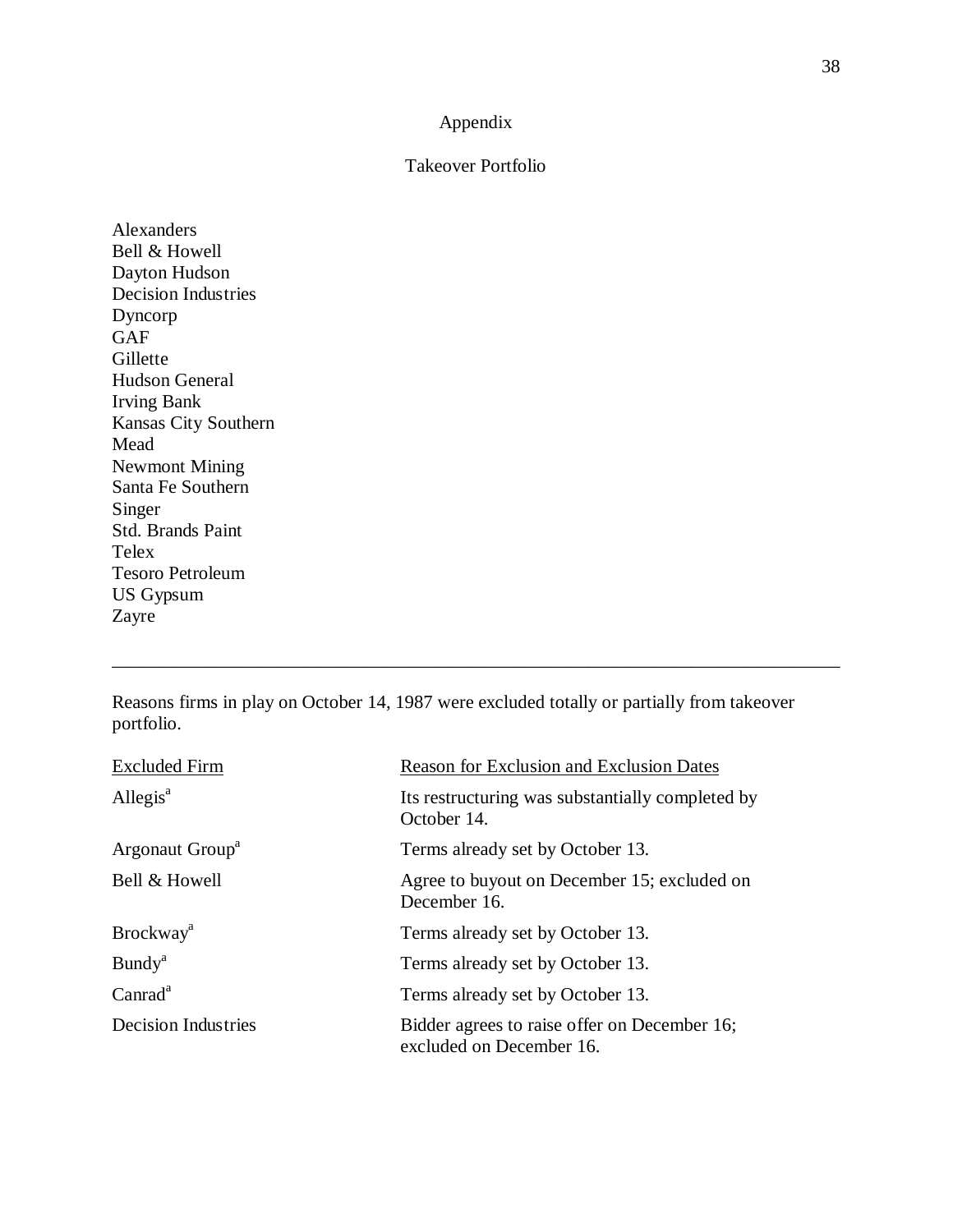## Appendix

## Takeover Portfolio

Alexanders Bell & Howell Dayton Hudson Decision Industries Dyncorp GAF Gillette Hudson General Irving Bank Kansas City Southern Mead Newmont Mining Santa Fe Southern Singer Std. Brands Paint Telex Tesoro Petroleum US Gypsum Zayre

Reasons firms in play on October 14, 1987 were excluded totally or partially from takeover portfolio.

\_\_\_\_\_\_\_\_\_\_\_\_\_\_\_\_\_\_\_\_\_\_\_\_\_\_\_\_\_\_\_\_\_\_\_\_\_\_\_\_\_\_\_\_\_\_\_\_\_\_\_\_\_\_\_\_\_\_\_\_\_\_\_\_\_\_\_\_\_\_\_\_\_\_\_\_\_\_

| <b>Excluded Firm</b>         | <b>Reason for Exclusion and Exclusion Dates</b>                          |
|------------------------------|--------------------------------------------------------------------------|
| Allegis $a$                  | Its restructuring was substantially completed by<br>October 14.          |
| Argonaut Group <sup>a</sup>  | Terms already set by October 13.                                         |
| Bell & Howell                | Agree to buyout on December 15; excluded on<br>December 16.              |
| <b>Brockway</b> <sup>a</sup> | Terms already set by October 13.                                         |
| <b>Bundy</b> <sup>a</sup>    | Terms already set by October 13.                                         |
| Canrad <sup>a</sup>          | Terms already set by October 13.                                         |
| Decision Industries          | Bidder agrees to raise offer on December 16;<br>excluded on December 16. |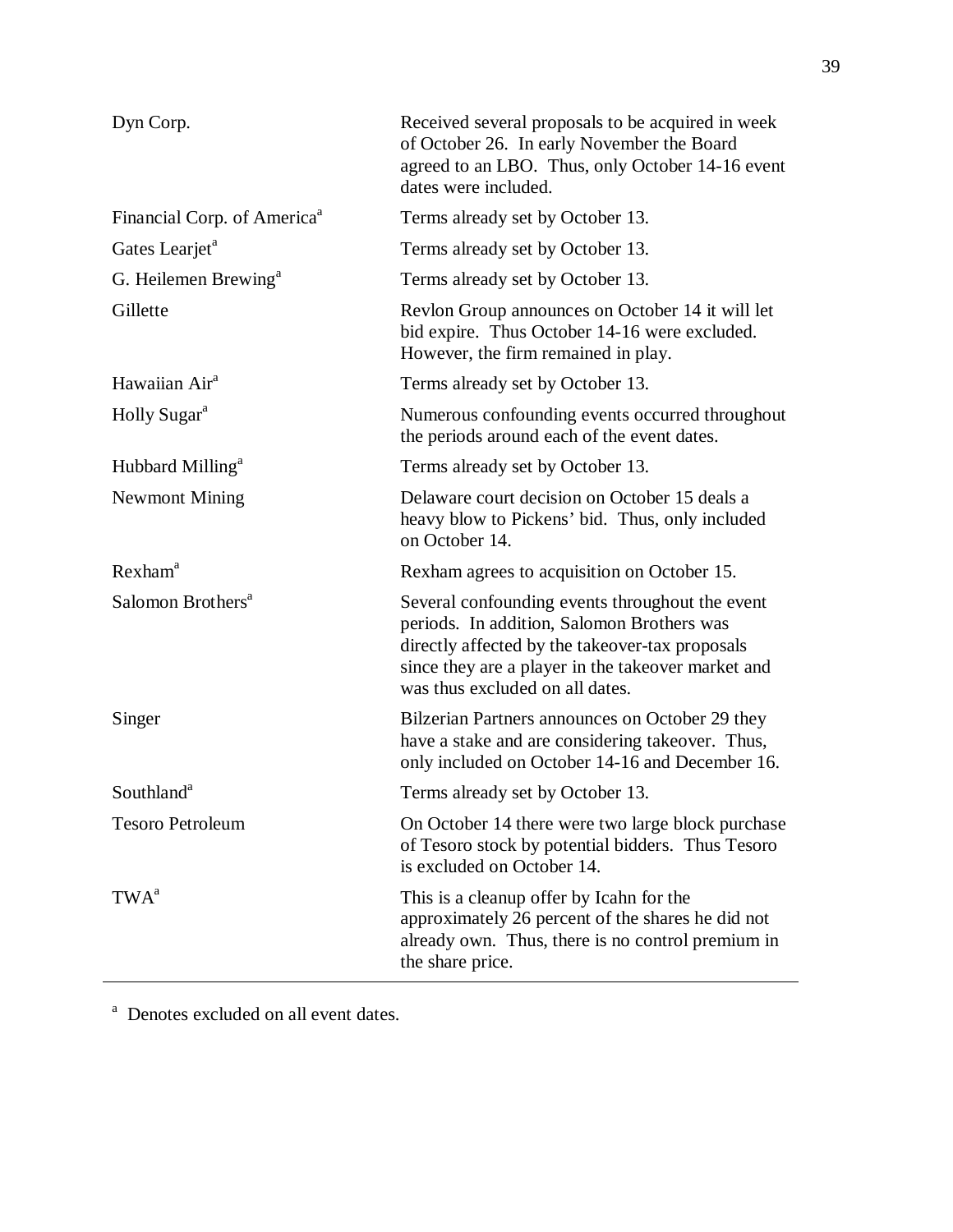| Dyn Corp.                               | Received several proposals to be acquired in week<br>of October 26. In early November the Board<br>agreed to an LBO. Thus, only October 14-16 event<br>dates were included.                                                               |
|-----------------------------------------|-------------------------------------------------------------------------------------------------------------------------------------------------------------------------------------------------------------------------------------------|
| Financial Corp. of America <sup>a</sup> | Terms already set by October 13.                                                                                                                                                                                                          |
| Gates Learjet <sup>a</sup>              | Terms already set by October 13.                                                                                                                                                                                                          |
| G. Heilemen Brewing <sup>a</sup>        | Terms already set by October 13.                                                                                                                                                                                                          |
| Gillette                                | Revlon Group announces on October 14 it will let<br>bid expire. Thus October 14-16 were excluded.<br>However, the firm remained in play.                                                                                                  |
| Hawaiian Air <sup>a</sup>               | Terms already set by October 13.                                                                                                                                                                                                          |
| Holly Sugar <sup>a</sup>                | Numerous confounding events occurred throughout<br>the periods around each of the event dates.                                                                                                                                            |
| Hubbard Milling <sup>a</sup>            | Terms already set by October 13.                                                                                                                                                                                                          |
| <b>Newmont Mining</b>                   | Delaware court decision on October 15 deals a<br>heavy blow to Pickens' bid. Thus, only included<br>on October 14.                                                                                                                        |
| $R$ exham <sup>a</sup>                  | Rexham agrees to acquisition on October 15.                                                                                                                                                                                               |
| Salomon Brothers <sup>a</sup>           | Several confounding events throughout the event<br>periods. In addition, Salomon Brothers was<br>directly affected by the takeover-tax proposals<br>since they are a player in the takeover market and<br>was thus excluded on all dates. |
| Singer                                  | Bilzerian Partners announces on October 29 they<br>have a stake and are considering takeover. Thus,<br>only included on October 14-16 and December 16.                                                                                    |
| Southland <sup>a</sup>                  | Terms already set by October 13.                                                                                                                                                                                                          |
| <b>Tesoro Petroleum</b>                 | On October 14 there were two large block purchase<br>of Tesoro stock by potential bidders. Thus Tesoro<br>is excluded on October 14.                                                                                                      |
| TWA <sup>a</sup>                        | This is a cleanup offer by Icahn for the<br>approximately 26 percent of the shares he did not<br>already own. Thus, there is no control premium in<br>the share price.                                                                    |

<sup>a</sup> Denotes excluded on all event dates.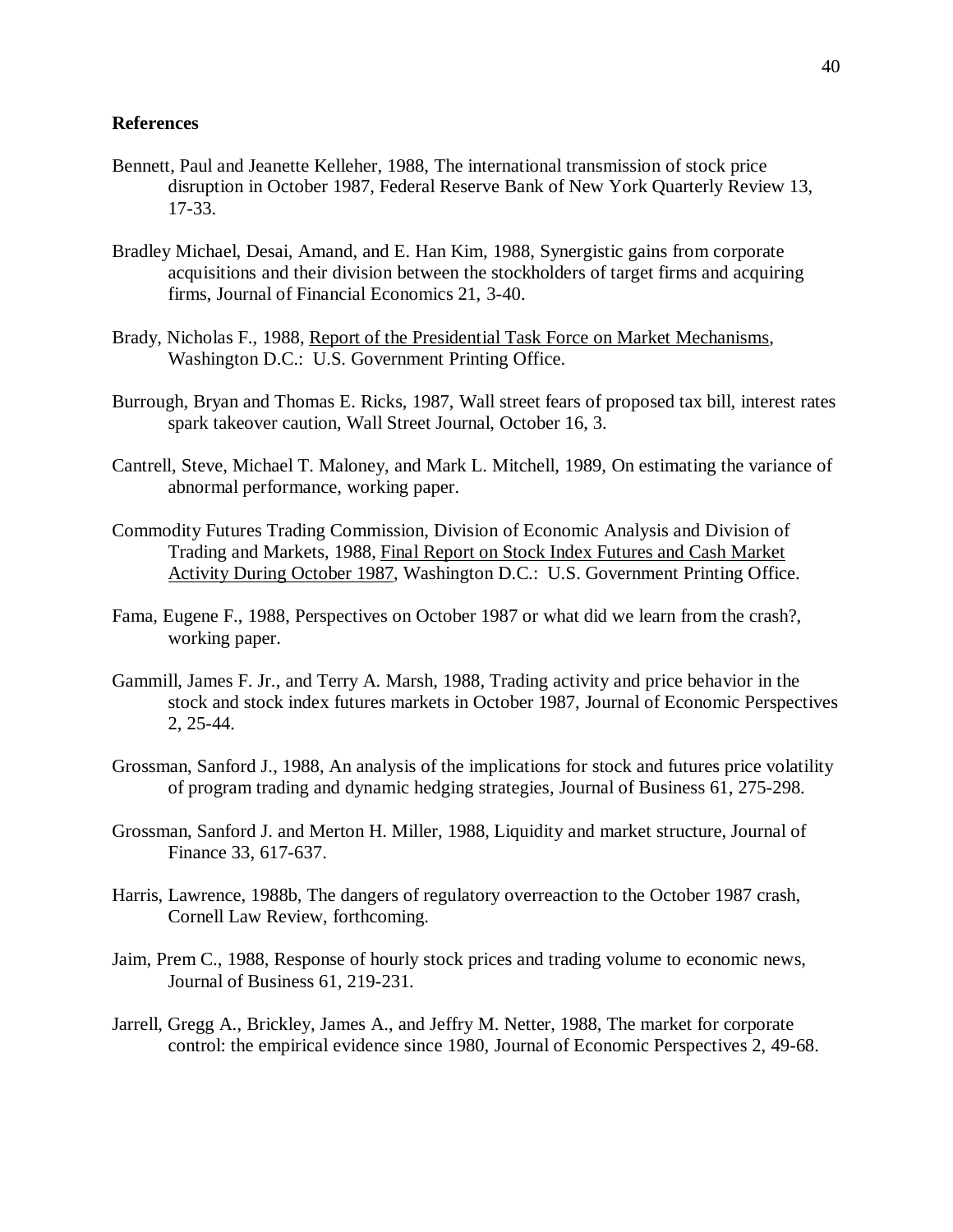### **References**

- Bennett, Paul and Jeanette Kelleher, 1988, The international transmission of stock price disruption in October 1987, Federal Reserve Bank of New York Quarterly Review 13, 17-33.
- Bradley Michael, Desai, Amand, and E. Han Kim, 1988, Synergistic gains from corporate acquisitions and their division between the stockholders of target firms and acquiring firms, Journal of Financial Economics 21, 3-40.
- Brady, Nicholas F., 1988, Report of the Presidential Task Force on Market Mechanisms, Washington D.C.: U.S. Government Printing Office.
- Burrough, Bryan and Thomas E. Ricks, 1987, Wall street fears of proposed tax bill, interest rates spark takeover caution, Wall Street Journal, October 16, 3.
- Cantrell, Steve, Michael T. Maloney, and Mark L. Mitchell, 1989, On estimating the variance of abnormal performance, working paper.
- Commodity Futures Trading Commission, Division of Economic Analysis and Division of Trading and Markets, 1988, Final Report on Stock Index Futures and Cash Market Activity During October 1987, Washington D.C.: U.S. Government Printing Office.
- Fama, Eugene F., 1988, Perspectives on October 1987 or what did we learn from the crash?, working paper.
- Gammill, James F. Jr., and Terry A. Marsh, 1988, Trading activity and price behavior in the stock and stock index futures markets in October 1987, Journal of Economic Perspectives 2, 25-44.
- Grossman, Sanford J., 1988, An analysis of the implications for stock and futures price volatility of program trading and dynamic hedging strategies, Journal of Business 61, 275-298.
- Grossman, Sanford J. and Merton H. Miller, 1988, Liquidity and market structure, Journal of Finance 33, 617-637.
- Harris, Lawrence, 1988b, The dangers of regulatory overreaction to the October 1987 crash, Cornell Law Review, forthcoming.
- Jaim, Prem C., 1988, Response of hourly stock prices and trading volume to economic news, Journal of Business 61, 219-231.
- Jarrell, Gregg A., Brickley, James A., and Jeffry M. Netter, 1988, The market for corporate control: the empirical evidence since 1980, Journal of Economic Perspectives 2, 49-68.